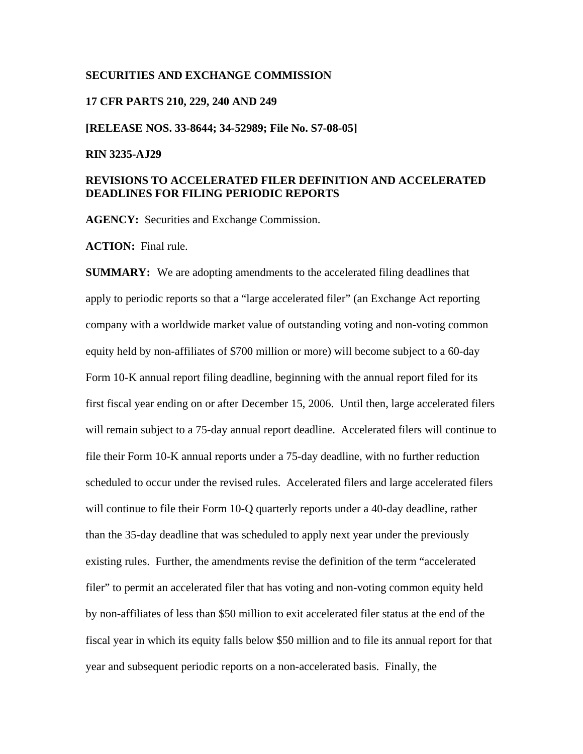#### **SECURITIES AND EXCHANGE COMMISSION**

#### **17 CFR PARTS 210, 229, 240 AND 249**

**[RELEASE NOS. 33-8644; 34-52989; File No. S7-08-05]** 

#### **RIN 3235-AJ29**

# **REVISIONS TO ACCELERATED FILER DEFINITION AND ACCELERATED DEADLINES FOR FILING PERIODIC REPORTS**

**AGENCY:** Securities and Exchange Commission.

**ACTION:** Final rule.

**SUMMARY:** We are adopting amendments to the accelerated filing deadlines that apply to periodic reports so that a "large accelerated filer" (an Exchange Act reporting company with a worldwide market value of outstanding voting and non-voting common equity held by non-affiliates of \$700 million or more) will become subject to a 60-day Form 10-K annual report filing deadline, beginning with the annual report filed for its first fiscal year ending on or after December 15, 2006. Until then, large accelerated filers will remain subject to a 75-day annual report deadline. Accelerated filers will continue to file their Form 10-K annual reports under a 75-day deadline, with no further reduction scheduled to occur under the revised rules. Accelerated filers and large accelerated filers will continue to file their Form 10-Q quarterly reports under a 40-day deadline, rather than the 35-day deadline that was scheduled to apply next year under the previously existing rules. Further, the amendments revise the definition of the term "accelerated filer" to permit an accelerated filer that has voting and non-voting common equity held by non-affiliates of less than \$50 million to exit accelerated filer status at the end of the fiscal year in which its equity falls below \$50 million and to file its annual report for that year and subsequent periodic reports on a non-accelerated basis. Finally, the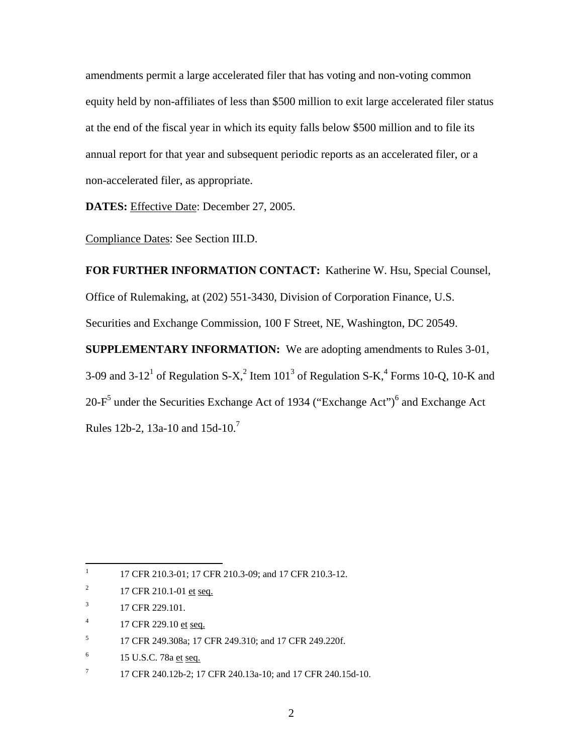amendments permit a large accelerated filer that has voting and non-voting common equity held by non-affiliates of less than \$500 million to exit large accelerated filer status at the end of the fiscal year in which its equity falls below \$500 million and to file its annual report for that year and subsequent periodic reports as an accelerated filer, or a non-accelerated filer, as appropriate.

**DATES:** Effective Date: December 27, 2005.

Compliance Dates: See Section III.D.

**FOR FURTHER INFORMATION CONTACT:** Katherine W. Hsu, Special Counsel, Office of Rulemaking, at (202) 551-3430, Division of Corporation Finance, U.S. Securities and Exchange Commission, 100 F Street, NE, Washington, DC 20549. **SUPPLEMENTARY INFORMATION:** We are adopting amendments to Rules 3-01, 3-09 and 3-12<sup>1</sup> of Regulation S-X,<sup>2</sup> Item 101<sup>3</sup> of Regulation S-K,<sup>4</sup> Forms 10-Q, 10-K and 20-F<sup>5</sup> under the Securities Exchange Act of 1934 ("Exchange Act")<sup>6</sup> and Exchange Act Rules 12b-2, 13a-10 and 15d-10.7

 $\mathbf{1}$ 17 CFR 210.3-01; 17 CFR 210.3-09; and 17 CFR 210.3-12.

<sup>2</sup> 17 CFR 210.1-01 et seq.

<sup>3</sup> 17 CFR 229.101.

<sup>4</sup> 17 CFR 229.10 et seq.

<sup>5</sup> 17 CFR 249.308a; 17 CFR 249.310; and 17 CFR 249.220f.

<sup>6</sup> 15 U.S.C. 78a et seq.

<sup>7</sup> 17 CFR 240.12b-2; 17 CFR 240.13a-10; and 17 CFR 240.15d-10.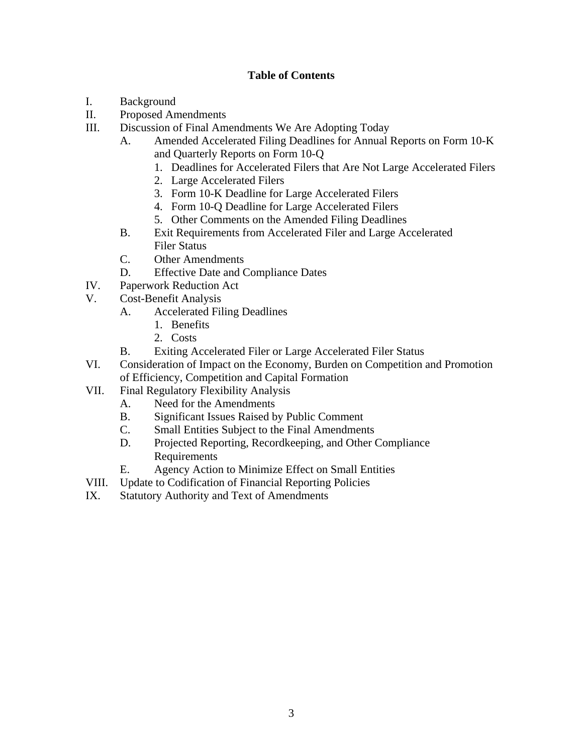# **Table of Contents**

- I. Background
- II. Proposed Amendments
- III. Discussion of Final Amendments We Are Adopting Today
	- A. Amended Accelerated Filing Deadlines for Annual Reports on Form 10-K and Quarterly Reports on Form 10-Q
		- 1. Deadlines for Accelerated Filers that Are Not Large Accelerated Filers
		- 2. Large Accelerated Filers
		- 3. Form 10-K Deadline for Large Accelerated Filers
		- 4. Form 10-Q Deadline for Large Accelerated Filers
		- 5. Other Comments on the Amended Filing Deadlines
	- B. Exit Requirements from Accelerated Filer and Large Accelerated Filer Status
	- C. Other Amendments
	- D. Effective Date and Compliance Dates
- IV. Paperwork Reduction Act
- V. Cost-Benefit Analysis
	- A. Accelerated Filing Deadlines
		- 1. Benefits
		- 2. Costs
	- B. Exiting Accelerated Filer or Large Accelerated Filer Status
- VI. Consideration of Impact on the Economy, Burden on Competition and Promotion of Efficiency, Competition and Capital Formation
- VII. Final Regulatory Flexibility Analysis
	- A. Need for the Amendments
	- B. Significant Issues Raised by Public Comment
	- C. Small Entities Subject to the Final Amendments
	- D. Projected Reporting, Recordkeeping, and Other Compliance Requirements
	- E. Agency Action to Minimize Effect on Small Entities
- VIII. Update to Codification of Financial Reporting Policies
- IX. Statutory Authority and Text of Amendments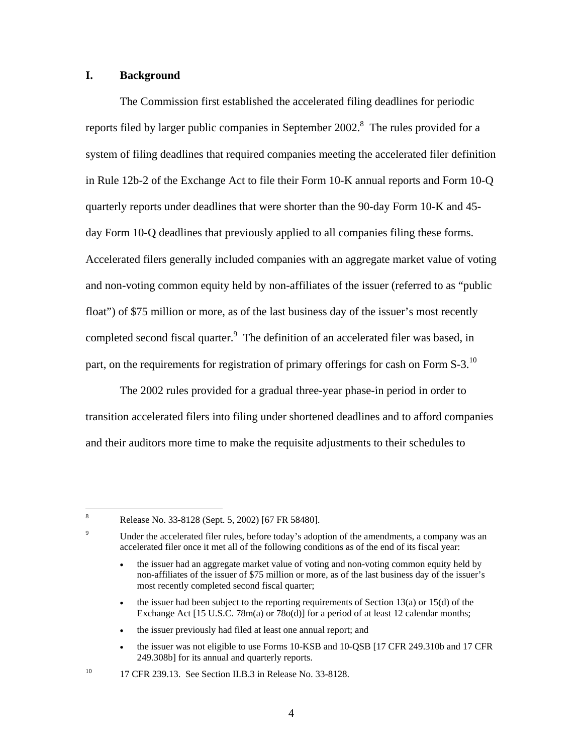# **I. Background**

The Commission first established the accelerated filing deadlines for periodic reports filed by larger public companies in September 2002.<sup>8</sup> The rules provided for a system of filing deadlines that required companies meeting the accelerated filer definition in Rule 12b-2 of the Exchange Act to file their Form 10-K annual reports and Form 10-Q quarterly reports under deadlines that were shorter than the 90-day Form 10-K and 45 day Form 10-Q deadlines that previously applied to all companies filing these forms. Accelerated filers generally included companies with an aggregate market value of voting and non-voting common equity held by non-affiliates of the issuer (referred to as "public float") of \$75 million or more, as of the last business day of the issuer's most recently completed second fiscal quarter.<sup>9</sup> The definition of an accelerated filer was based, in part, on the requirements for registration of primary offerings for cash on Form S-3.<sup>10</sup>

The 2002 rules provided for a gradual three-year phase-in period in order to transition accelerated filers into filing under shortened deadlines and to afford companies and their auditors more time to make the requisite adjustments to their schedules to

9

8

Release No. 33-8128 (Sept. 5, 2002) [67 FR 58480].

Under the accelerated filer rules, before today's adoption of the amendments, a company was an accelerated filer once it met all of the following conditions as of the end of its fiscal year:

<sup>•</sup> the issuer had an aggregate market value of voting and non-voting common equity held by non-affiliates of the issuer of \$75 million or more, as of the last business day of the issuer's most recently completed second fiscal quarter;

<sup>•</sup> the issuer had been subject to the reporting requirements of Section  $13(a)$  or  $15(d)$  of the Exchange Act [15 U.S.C. 78m(a) or 78o(d)] for a period of at least 12 calendar months;

<sup>•</sup> the issuer previously had filed at least one annual report; and

<sup>•</sup> the issuer was not eligible to use Forms 10-KSB and 10-QSB [17 CFR 249.310b and 17 CFR 249.308b] for its annual and quarterly reports.

<sup>&</sup>lt;sup>10</sup> 17 CFR 239.13. See Section II.B.3 in Release No. 33-8128.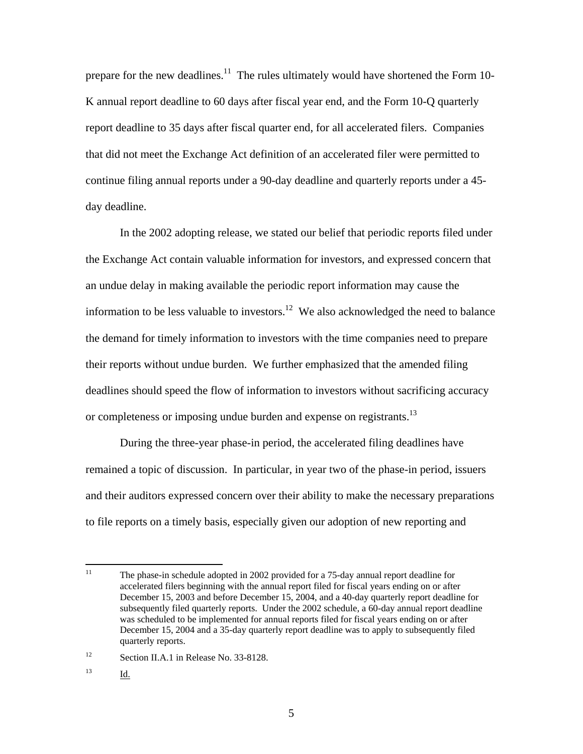prepare for the new deadlines.<sup>11</sup> The rules ultimately would have shortened the Form 10-K annual report deadline to 60 days after fiscal year end, and the Form 10-Q quarterly report deadline to 35 days after fiscal quarter end, for all accelerated filers. Companies that did not meet the Exchange Act definition of an accelerated filer were permitted to continue filing annual reports under a 90-day deadline and quarterly reports under a 45 day deadline.

In the 2002 adopting release, we stated our belief that periodic reports filed under the Exchange Act contain valuable information for investors, and expressed concern that an undue delay in making available the periodic report information may cause the information to be less valuable to investors.<sup>12</sup> We also acknowledged the need to balance the demand for timely information to investors with the time companies need to prepare their reports without undue burden. We further emphasized that the amended filing deadlines should speed the flow of information to investors without sacrificing accuracy or completeness or imposing undue burden and expense on registrants.<sup>13</sup>

During the three-year phase-in period, the accelerated filing deadlines have remained a topic of discussion. In particular, in year two of the phase-in period, issuers and their auditors expressed concern over their ability to make the necessary preparations to file reports on a timely basis, especially given our adoption of new reporting and

13 Id.

 $11$ 11 The phase-in schedule adopted in 2002 provided for a 75-day annual report deadline for accelerated filers beginning with the annual report filed for fiscal years ending on or after December 15, 2003 and before December 15, 2004, and a 40-day quarterly report deadline for subsequently filed quarterly reports. Under the 2002 schedule, a 60-day annual report deadline was scheduled to be implemented for annual reports filed for fiscal years ending on or after December 15, 2004 and a 35-day quarterly report deadline was to apply to subsequently filed quarterly reports.

<sup>&</sup>lt;sup>12</sup> Section II.A.1 in Release No. 33-8128.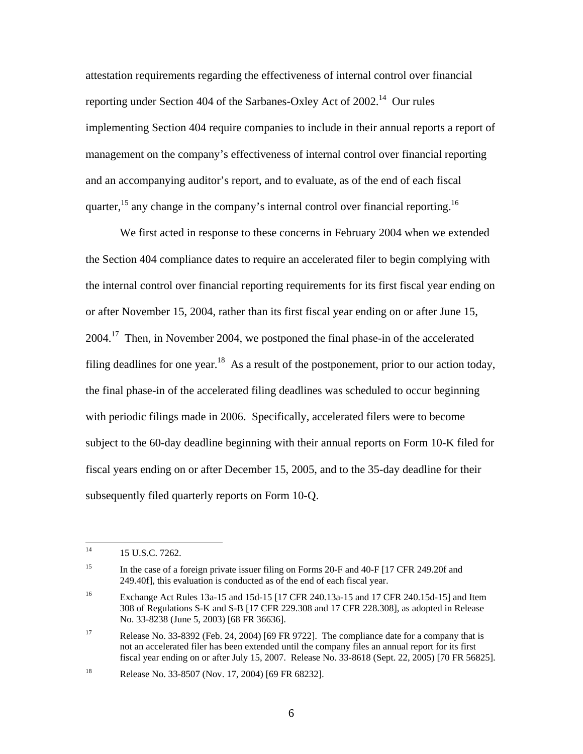attestation requirements regarding the effectiveness of internal control over financial reporting under Section 404 of the Sarbanes-Oxley Act of 2002.<sup>14</sup> Our rules implementing Section 404 require companies to include in their annual reports a report of management on the company's effectiveness of internal control over financial reporting and an accompanying auditor's report, and to evaluate, as of the end of each fiscal quarter,  $15$  any change in the company's internal control over financial reporting.  $16$ 

We first acted in response to these concerns in February 2004 when we extended the Section 404 compliance dates to require an accelerated filer to begin complying with the internal control over financial reporting requirements for its first fiscal year ending on or after November 15, 2004, rather than its first fiscal year ending on or after June 15, 2004.17 Then, in November 2004, we postponed the final phase-in of the accelerated filing deadlines for one year.<sup>18</sup> As a result of the postponement, prior to our action today, the final phase-in of the accelerated filing deadlines was scheduled to occur beginning with periodic filings made in 2006. Specifically, accelerated filers were to become subject to the 60-day deadline beginning with their annual reports on Form 10-K filed for fiscal years ending on or after December 15, 2005, and to the 35-day deadline for their subsequently filed quarterly reports on Form 10-Q.

 $14<sup>1</sup>$ 15 U.S.C. 7262.

<sup>&</sup>lt;sup>15</sup> In the case of a foreign private issuer filing on Forms 20-F and 40-F [17 CFR 249.20f and 249.40f], this evaluation is conducted as of the end of each fiscal year.

<sup>&</sup>lt;sup>16</sup> Exchange Act Rules 13a-15 and 15d-15 [17 CFR 240.13a-15 and 17 CFR 240.15d-15] and Item 308 of Regulations S-K and S-B [17 CFR 229.308 and 17 CFR 228.308], as adopted in Release No. 33-8238 (June 5, 2003) [68 FR 36636].

<sup>&</sup>lt;sup>17</sup> Release No. 33-8392 (Feb. 24, 2004) [69 FR 9722]. The compliance date for a company that is not an accelerated filer has been extended until the company files an annual report for its first fiscal year ending on or after July 15, 2007. Release No. 33-8618 (Sept. 22, 2005) [70 FR 56825].

<sup>18</sup> Release No. 33-8507 (Nov. 17, 2004) [69 FR 68232].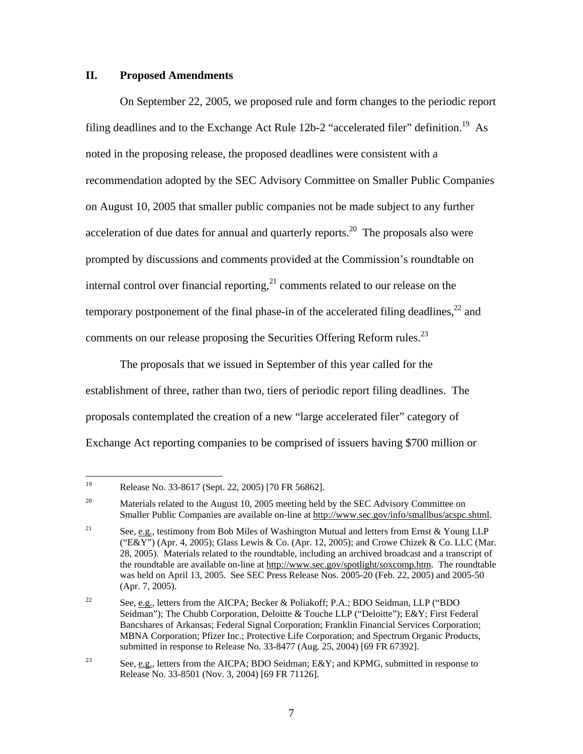## **II. Proposed Amendments**

On September 22, 2005, we proposed rule and form changes to the periodic report filing deadlines and to the Exchange Act Rule 12b-2 "accelerated filer" definition.<sup>19</sup> As noted in the proposing release, the proposed deadlines were consistent with a recommendation adopted by the SEC Advisory Committee on Smaller Public Companies on August 10, 2005 that smaller public companies not be made subject to any further acceleration of due dates for annual and quarterly reports.<sup>20</sup> The proposals also were prompted by discussions and comments provided at the Commission's roundtable on internal control over financial reporting, $^{21}$  comments related to our release on the temporary postponement of the final phase-in of the accelerated filing deadlines,  $^{22}$  and comments on our release proposing the Securities Offering Reform rules.<sup>23</sup>

The proposals that we issued in September of this year called for the establishment of three, rather than two, tiers of periodic report filing deadlines. The proposals contemplated the creation of a new "large accelerated filer" category of Exchange Act reporting companies to be comprised of issuers having \$700 million or

<sup>19</sup> Release No. 33-8617 (Sept. 22, 2005) [70 FR 56862].

<sup>&</sup>lt;sup>20</sup> Materials related to the August 10, 2005 meeting held by the SEC Advisory Committee on Smaller Public Companies are available on-line at http://www.sec.gov/info/smallbus/acspc.shtml.

<sup>&</sup>lt;sup>21</sup> See, e.g., testimony from Bob Miles of Washington Mutual and letters from Ernst & Young LLP ("E&Y") (Apr. 4, 2005); Glass Lewis & Co. (Apr. 12, 2005); and Crowe Chizek & Co. LLC (Mar. 28, 2005). Materials related to the roundtable, including an archived broadcast and a transcript of the roundtable are available on-line at http://www.sec.gov/spotlight/soxcomp.htm. The roundtable was held on April 13, 2005. See SEC Press Release Nos. 2005-20 (Feb. 22, 2005) and 2005-50 (Apr. 7, 2005).

<sup>&</sup>lt;sup>22</sup> See, e.g., letters from the AICPA; Becker & Poliakoff; P.A.; BDO Seidman, LLP ("BDO Seidman"); The Chubb Corporation, Deloitte & Touche LLP ("Deloitte"); E&Y; First Federal Bancshares of Arkansas; Federal Signal Corporation; Franklin Financial Services Corporation; MBNA Corporation; Pfizer Inc.; Protective Life Corporation; and Spectrum Organic Products, submitted in response to Release No. 33-8477 (Aug. 25, 2004) [69 FR 67392].

<sup>&</sup>lt;sup>23</sup> See, e.g., letters from the AICPA; BDO Seidman; E&Y; and KPMG, submitted in response to Release No. 33-8501 (Nov. 3, 2004) [69 FR 71126].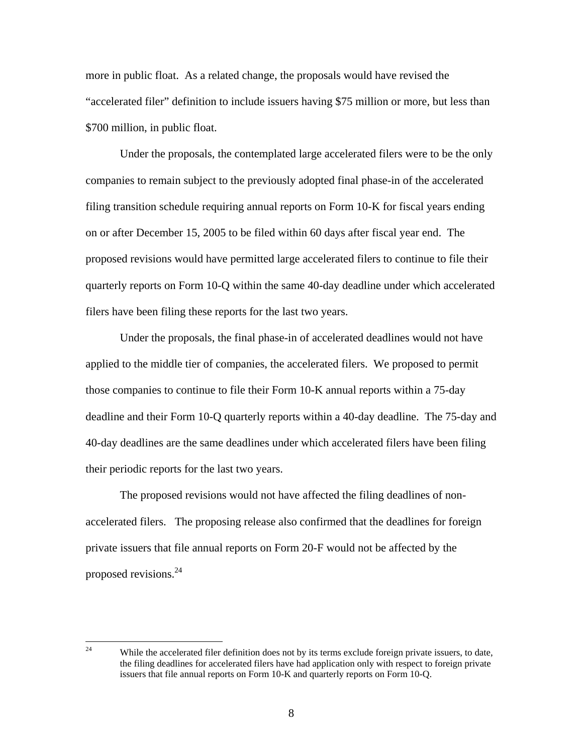more in public float. As a related change, the proposals would have revised the "accelerated filer" definition to include issuers having \$75 million or more, but less than \$700 million, in public float.

Under the proposals, the contemplated large accelerated filers were to be the only companies to remain subject to the previously adopted final phase-in of the accelerated filing transition schedule requiring annual reports on Form 10-K for fiscal years ending on or after December 15, 2005 to be filed within 60 days after fiscal year end. The proposed revisions would have permitted large accelerated filers to continue to file their quarterly reports on Form 10-Q within the same 40-day deadline under which accelerated filers have been filing these reports for the last two years.

Under the proposals, the final phase-in of accelerated deadlines would not have applied to the middle tier of companies, the accelerated filers. We proposed to permit those companies to continue to file their Form 10-K annual reports within a 75-day deadline and their Form 10-Q quarterly reports within a 40-day deadline. The 75-day and 40-day deadlines are the same deadlines under which accelerated filers have been filing their periodic reports for the last two years.

The proposed revisions would not have affected the filing deadlines of nonaccelerated filers. The proposing release also confirmed that the deadlines for foreign private issuers that file annual reports on Form 20-F would not be affected by the proposed revisions.24

 $24$ While the accelerated filer definition does not by its terms exclude foreign private issuers, to date, the filing deadlines for accelerated filers have had application only with respect to foreign private issuers that file annual reports on Form 10-K and quarterly reports on Form 10-Q.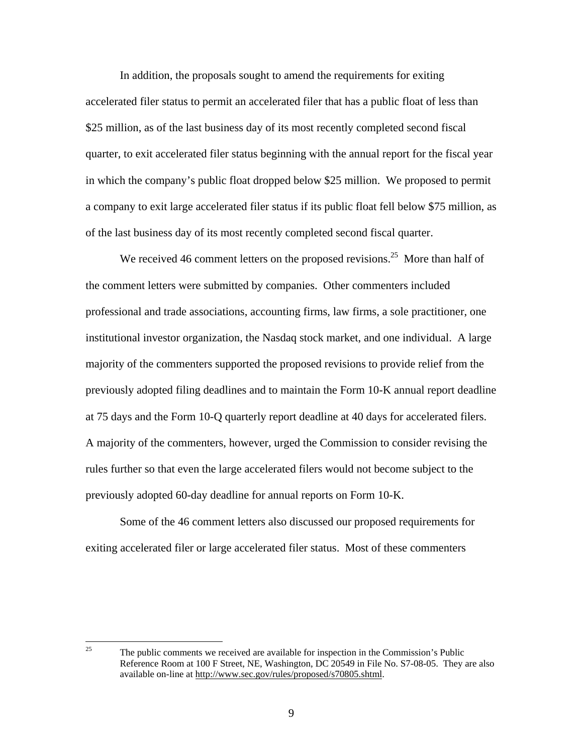In addition, the proposals sought to amend the requirements for exiting accelerated filer status to permit an accelerated filer that has a public float of less than \$25 million, as of the last business day of its most recently completed second fiscal quarter, to exit accelerated filer status beginning with the annual report for the fiscal year in which the company's public float dropped below \$25 million. We proposed to permit a company to exit large accelerated filer status if its public float fell below \$75 million, as of the last business day of its most recently completed second fiscal quarter.

We received 46 comment letters on the proposed revisions.<sup>25</sup> More than half of the comment letters were submitted by companies. Other commenters included professional and trade associations, accounting firms, law firms, a sole practitioner, one institutional investor organization, the Nasdaq stock market, and one individual. A large majority of the commenters supported the proposed revisions to provide relief from the previously adopted filing deadlines and to maintain the Form 10-K annual report deadline at 75 days and the Form 10-Q quarterly report deadline at 40 days for accelerated filers. A majority of the commenters, however, urged the Commission to consider revising the rules further so that even the large accelerated filers would not become subject to the previously adopted 60-day deadline for annual reports on Form 10-K.

Some of the 46 comment letters also discussed our proposed requirements for exiting accelerated filer or large accelerated filer status. Most of these commenters

 $25\overline{)}$ 25 The public comments we received are available for inspection in the Commission's Public Reference Room at 100 F Street, NE, Washington, DC 20549 in File No. S7-08-05. They are also available on-line at http://www.sec.gov/rules/proposed/s70805.shtml.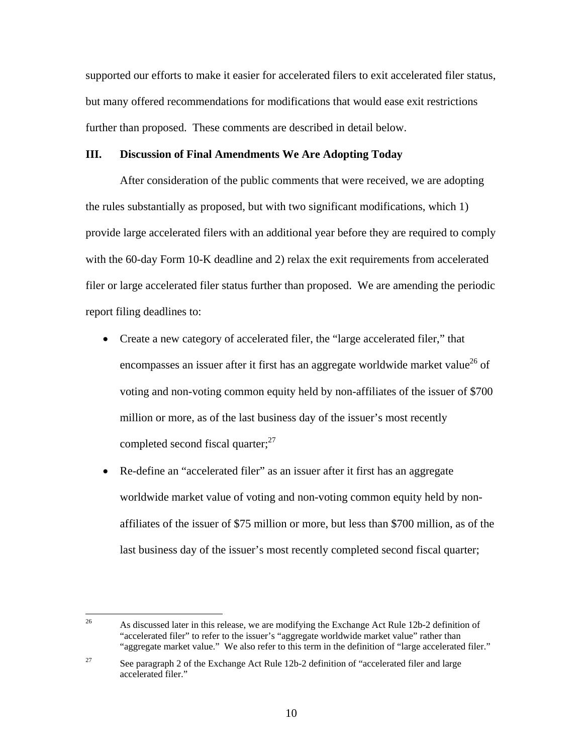supported our efforts to make it easier for accelerated filers to exit accelerated filer status, but many offered recommendations for modifications that would ease exit restrictions further than proposed. These comments are described in detail below.

#### **III. Discussion of Final Amendments We Are Adopting Today**

After consideration of the public comments that were received, we are adopting the rules substantially as proposed, but with two significant modifications, which 1) provide large accelerated filers with an additional year before they are required to comply with the 60-day Form 10-K deadline and 2) relax the exit requirements from accelerated filer or large accelerated filer status further than proposed. We are amending the periodic report filing deadlines to:

- Create a new category of accelerated filer, the "large accelerated filer," that encompasses an issuer after it first has an aggregate worldwide market value<sup>26</sup> of voting and non-voting common equity held by non-affiliates of the issuer of \$700 million or more, as of the last business day of the issuer's most recently completed second fiscal quarter; $^{27}$
- Re-define an "accelerated filer" as an issuer after it first has an aggregate worldwide market value of voting and non-voting common equity held by nonaffiliates of the issuer of \$75 million or more, but less than \$700 million, as of the last business day of the issuer's most recently completed second fiscal quarter;

<sup>26</sup> 26 As discussed later in this release, we are modifying the Exchange Act Rule 12b-2 definition of "accelerated filer" to refer to the issuer's "aggregate worldwide market value" rather than "aggregate market value." We also refer to this term in the definition of "large accelerated filer."

<sup>&</sup>lt;sup>27</sup> See paragraph 2 of the Exchange Act Rule 12b-2 definition of "accelerated filer and large accelerated filer."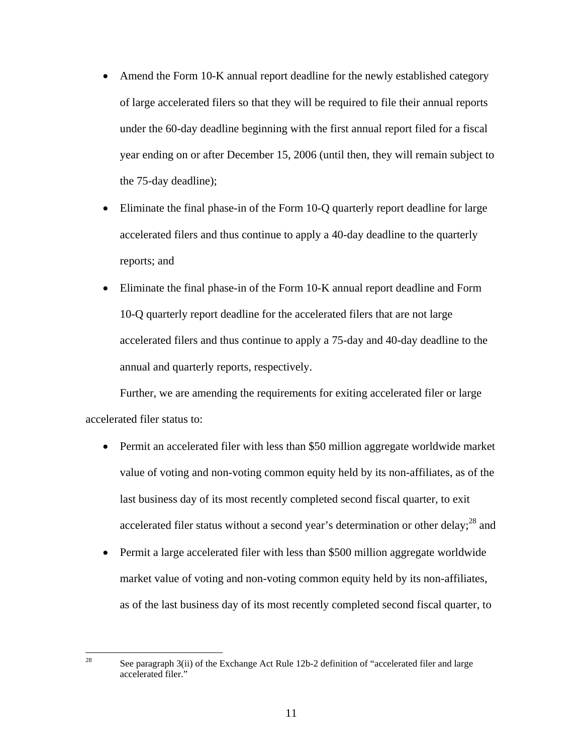- Amend the Form 10-K annual report deadline for the newly established category of large accelerated filers so that they will be required to file their annual reports under the 60-day deadline beginning with the first annual report filed for a fiscal year ending on or after December 15, 2006 (until then, they will remain subject to the 75-day deadline);
- Eliminate the final phase-in of the Form 10-Q quarterly report deadline for large accelerated filers and thus continue to apply a 40-day deadline to the quarterly reports; and
- Eliminate the final phase-in of the Form 10-K annual report deadline and Form 10-Q quarterly report deadline for the accelerated filers that are not large accelerated filers and thus continue to apply a 75-day and 40-day deadline to the annual and quarterly reports, respectively.

Further, we are amending the requirements for exiting accelerated filer or large accelerated filer status to:

- Permit an accelerated filer with less than \$50 million aggregate worldwide market value of voting and non-voting common equity held by its non-affiliates, as of the last business day of its most recently completed second fiscal quarter, to exit accelerated filer status without a second year's determination or other delay;<sup>28</sup> and
- Permit a large accelerated filer with less than \$500 million aggregate worldwide market value of voting and non-voting common equity held by its non-affiliates, as of the last business day of its most recently completed second fiscal quarter, to

<sup>28</sup> See paragraph 3(ii) of the Exchange Act Rule 12b-2 definition of "accelerated filer and large accelerated filer."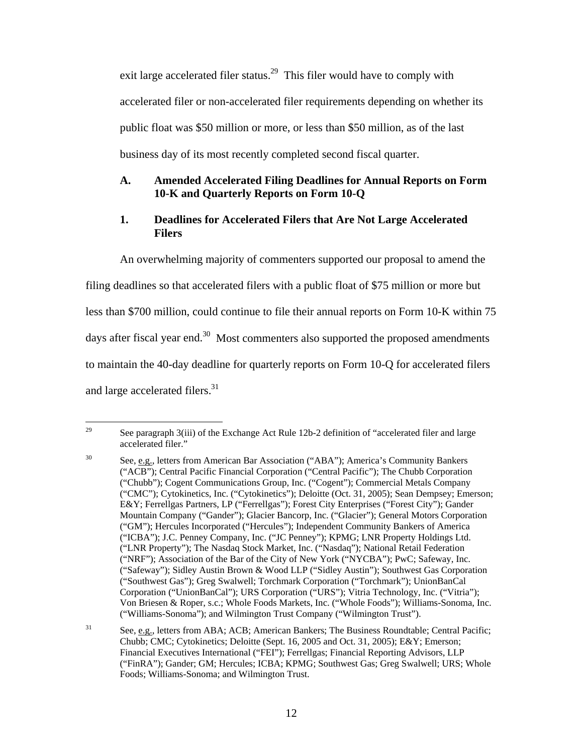exit large accelerated filer status.<sup>29</sup> This filer would have to comply with accelerated filer or non-accelerated filer requirements depending on whether its public float was \$50 million or more, or less than \$50 million, as of the last business day of its most recently completed second fiscal quarter.

# **A. Amended Accelerated Filing Deadlines for Annual Reports on Form 10-K and Quarterly Reports on Form 10-Q**

# **1. Deadlines for Accelerated Filers that Are Not Large Accelerated Filers**

An overwhelming majority of commenters supported our proposal to amend the filing deadlines so that accelerated filers with a public float of \$75 million or more but less than \$700 million, could continue to file their annual reports on Form 10-K within 75 days after fiscal year end. $30$  Most commenters also supported the proposed amendments to maintain the 40-day deadline for quarterly reports on Form 10-Q for accelerated filers and large accelerated filers.<sup>31</sup>

<sup>29</sup> See paragraph 3(iii) of the Exchange Act Rule 12b-2 definition of "accelerated filer and large accelerated filer."

<sup>&</sup>lt;sup>30</sup> See, e.g., letters from American Bar Association ("ABA"); America's Community Bankers ("ACB"); Central Pacific Financial Corporation ("Central Pacific"); The Chubb Corporation ("Chubb"); Cogent Communications Group, Inc. ("Cogent"); Commercial Metals Company ("CMC"); Cytokinetics, Inc. ("Cytokinetics"); Deloitte (Oct. 31, 2005); Sean Dempsey; Emerson; E&Y; Ferrellgas Partners, LP ("Ferrellgas"); Forest City Enterprises ("Forest City"); Gander Mountain Company ("Gander"); Glacier Bancorp, Inc. ("Glacier"); General Motors Corporation ("GM"); Hercules Incorporated ("Hercules"); Independent Community Bankers of America ("ICBA"); J.C. Penney Company, Inc. ("JC Penney"); KPMG; LNR Property Holdings Ltd. ("LNR Property"); The Nasdaq Stock Market, Inc. ("Nasdaq"); National Retail Federation ("NRF"); Association of the Bar of the City of New York ("NYCBA"); PwC; Safeway, Inc. ("Safeway"); Sidley Austin Brown & Wood LLP ("Sidley Austin"); Southwest Gas Corporation ("Southwest Gas"); Greg Swalwell; Torchmark Corporation ("Torchmark"); UnionBanCal Corporation ("UnionBanCal"); URS Corporation ("URS"); Vitria Technology, Inc. ("Vitria"); Von Briesen & Roper, s.c.; Whole Foods Markets, Inc. ("Whole Foods"); Williams-Sonoma, Inc. ("Williams-Sonoma"); and Wilmington Trust Company ("Wilmington Trust").

<sup>&</sup>lt;sup>31</sup> See, e.g., letters from ABA; ACB; American Bankers; The Business Roundtable; Central Pacific; Chubb; CMC; Cytokinetics; Deloitte (Sept. 16, 2005 and Oct. 31, 2005); E&Y; Emerson; Financial Executives International ("FEI"); Ferrellgas; Financial Reporting Advisors, LLP ("FinRA"); Gander; GM; Hercules; ICBA; KPMG; Southwest Gas; Greg Swalwell; URS; Whole Foods; Williams-Sonoma; and Wilmington Trust.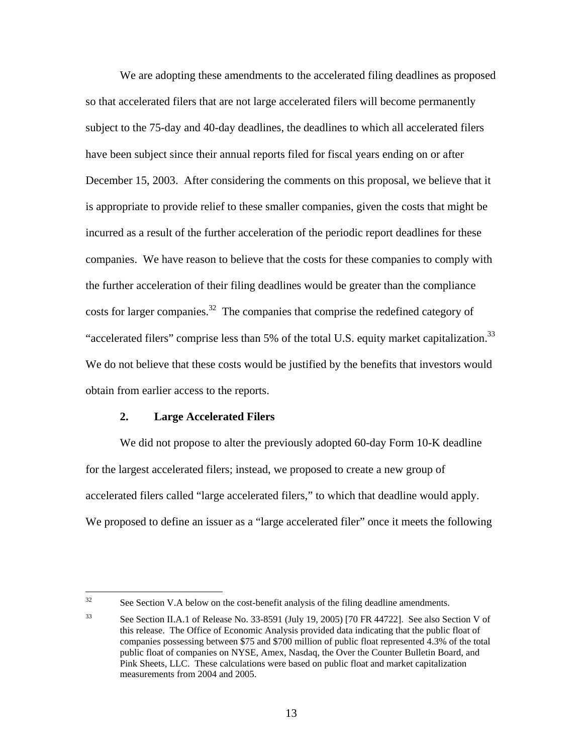We are adopting these amendments to the accelerated filing deadlines as proposed so that accelerated filers that are not large accelerated filers will become permanently subject to the 75-day and 40-day deadlines, the deadlines to which all accelerated filers have been subject since their annual reports filed for fiscal years ending on or after December 15, 2003. After considering the comments on this proposal, we believe that it is appropriate to provide relief to these smaller companies, given the costs that might be incurred as a result of the further acceleration of the periodic report deadlines for these companies. We have reason to believe that the costs for these companies to comply with the further acceleration of their filing deadlines would be greater than the compliance costs for larger companies.<sup>32</sup> The companies that comprise the redefined category of "accelerated filers" comprise less than 5% of the total U.S. equity market capitalization.<sup>33</sup> We do not believe that these costs would be justified by the benefits that investors would obtain from earlier access to the reports.

#### **2. Large Accelerated Filers**

We did not propose to alter the previously adopted 60-day Form 10-K deadline for the largest accelerated filers; instead, we proposed to create a new group of accelerated filers called "large accelerated filers," to which that deadline would apply. We proposed to define an issuer as a "large accelerated filer" once it meets the following

 $32$ See Section V.A below on the cost-benefit analysis of the filing deadline amendments.

<sup>33</sup> See Section II.A.1 of Release No. 33-8591 (July 19, 2005) [70 FR 44722]. See also Section V of this release. The Office of Economic Analysis provided data indicating that the public float of companies possessing between \$75 and \$700 million of public float represented 4.3% of the total public float of companies on NYSE, Amex, Nasdaq, the Over the Counter Bulletin Board, and Pink Sheets, LLC. These calculations were based on public float and market capitalization measurements from 2004 and 2005.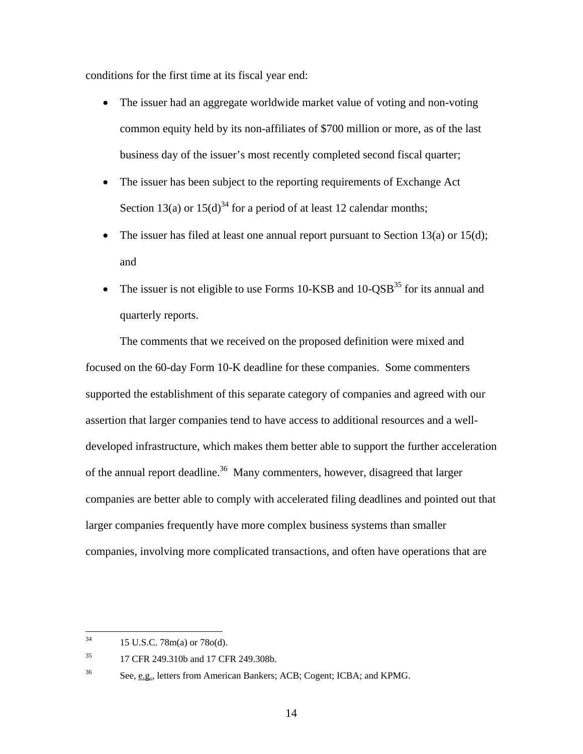conditions for the first time at its fiscal year end:

- The issuer had an aggregate worldwide market value of voting and non-voting common equity held by its non-affiliates of \$700 million or more, as of the last business day of the issuer's most recently completed second fiscal quarter;
- The issuer has been subject to the reporting requirements of Exchange Act Section 13(a) or  $15(d)^{34}$  for a period of at least 12 calendar months;
- The issuer has filed at least one annual report pursuant to Section 13(a) or 15(d); and
- The issuer is not eligible to use Forms 10-KSB and  $10\text{-}OSB^{35}$  for its annual and quarterly reports.

The comments that we received on the proposed definition were mixed and focused on the 60-day Form 10-K deadline for these companies. Some commenters supported the establishment of this separate category of companies and agreed with our assertion that larger companies tend to have access to additional resources and a welldeveloped infrastructure, which makes them better able to support the further acceleration of the annual report deadline.<sup>36</sup> Many commenters, however, disagreed that larger companies are better able to comply with accelerated filing deadlines and pointed out that larger companies frequently have more complex business systems than smaller companies, involving more complicated transactions, and often have operations that are

 $34$ 34 15 U.S.C. 78m(a) or 78o(d).

<sup>&</sup>lt;sup>35</sup> 17 CFR 249.310b and 17 CFR 249.308b.

<sup>&</sup>lt;sup>36</sup> See, e.g., letters from American Bankers; ACB; Cogent; ICBA; and KPMG.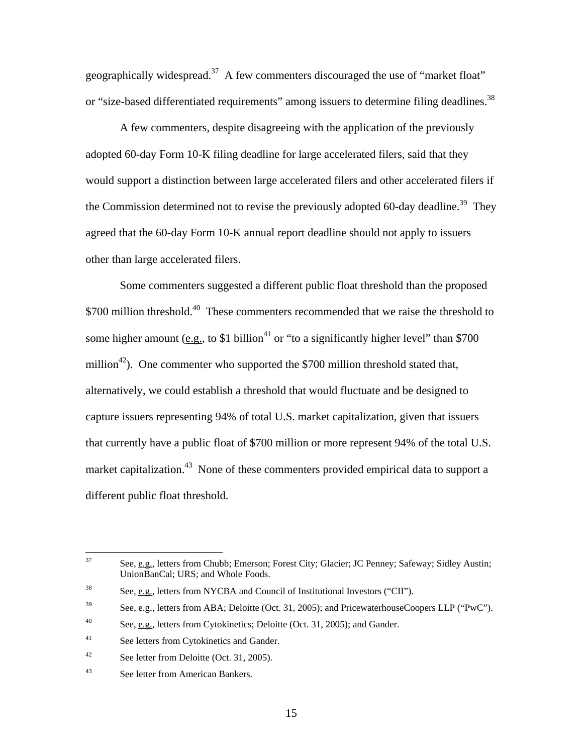geographically widespread.<sup>37</sup> A few commenters discouraged the use of "market float" or "size-based differentiated requirements" among issuers to determine filing deadlines.<sup>38</sup>

A few commenters, despite disagreeing with the application of the previously adopted 60-day Form 10-K filing deadline for large accelerated filers, said that they would support a distinction between large accelerated filers and other accelerated filers if the Commission determined not to revise the previously adopted 60-day deadline.<sup>39</sup> They agreed that the 60-day Form 10-K annual report deadline should not apply to issuers other than large accelerated filers.

Some commenters suggested a different public float threshold than the proposed \$700 million threshold.<sup>40</sup> These commenters recommended that we raise the threshold to some higher amount (e.g., to \$1 billion<sup>41</sup> or "to a significantly higher level" than \$700 million<sup>42</sup>). One commenter who supported the \$700 million threshold stated that, alternatively, we could establish a threshold that would fluctuate and be designed to capture issuers representing 94% of total U.S. market capitalization, given that issuers that currently have a public float of \$700 million or more represent 94% of the total U.S. market capitalization.<sup>43</sup> None of these commenters provided empirical data to support a different public float threshold.

<sup>37</sup> See, e.g., letters from Chubb; Emerson; Forest City; Glacier; JC Penney; Safeway; Sidley Austin; UnionBanCal; URS; and Whole Foods.

<sup>38</sup> See, e.g., letters from NYCBA and Council of Institutional Investors ("CII").

<sup>&</sup>lt;sup>39</sup> See, e.g., letters from ABA; Deloitte (Oct. 31, 2005); and PricewaterhouseCoopers LLP ("PwC").

<sup>&</sup>lt;sup>40</sup> See, e.g., letters from Cytokinetics; Deloitte (Oct. 31, 2005); and Gander.

<sup>41</sup> See letters from Cytokinetics and Gander.

<sup>&</sup>lt;sup>42</sup> See letter from Deloitte (Oct. 31, 2005).

<sup>43</sup> See letter from American Bankers.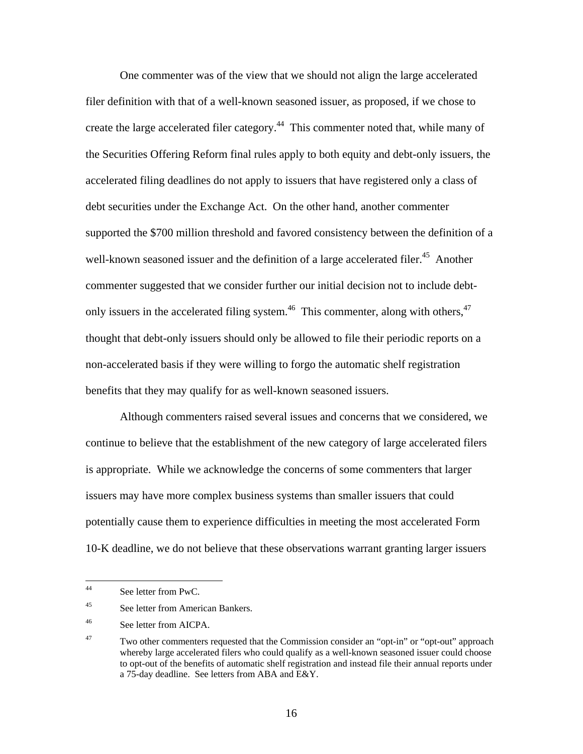One commenter was of the view that we should not align the large accelerated filer definition with that of a well-known seasoned issuer, as proposed, if we chose to create the large accelerated filer category.<sup>44</sup> This commenter noted that, while many of the Securities Offering Reform final rules apply to both equity and debt-only issuers, the accelerated filing deadlines do not apply to issuers that have registered only a class of debt securities under the Exchange Act. On the other hand, another commenter supported the \$700 million threshold and favored consistency between the definition of a well-known seasoned issuer and the definition of a large accelerated filer.<sup>45</sup> Another commenter suggested that we consider further our initial decision not to include debtonly issuers in the accelerated filing system.<sup>46</sup> This commenter, along with others,<sup>47</sup> thought that debt-only issuers should only be allowed to file their periodic reports on a non-accelerated basis if they were willing to forgo the automatic shelf registration benefits that they may qualify for as well-known seasoned issuers.

Although commenters raised several issues and concerns that we considered, we continue to believe that the establishment of the new category of large accelerated filers is appropriate. While we acknowledge the concerns of some commenters that larger issuers may have more complex business systems than smaller issuers that could potentially cause them to experience difficulties in meeting the most accelerated Form 10-K deadline, we do not believe that these observations warrant granting larger issuers

 $44$ See letter from PwC.

<sup>45</sup> See letter from American Bankers.

<sup>46</sup> See letter from AICPA.

<sup>&</sup>lt;sup>47</sup> Two other commenters requested that the Commission consider an "opt-in" or "opt-out" approach whereby large accelerated filers who could qualify as a well-known seasoned issuer could choose to opt-out of the benefits of automatic shelf registration and instead file their annual reports under a 75-day deadline. See letters from ABA and E&Y.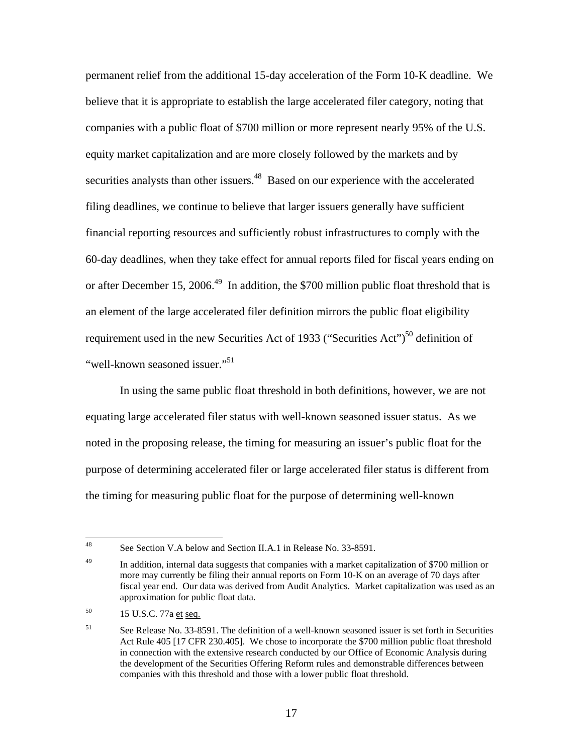permanent relief from the additional 15-day acceleration of the Form 10-K deadline. We believe that it is appropriate to establish the large accelerated filer category, noting that companies with a public float of \$700 million or more represent nearly 95% of the U.S. equity market capitalization and are more closely followed by the markets and by securities analysts than other issuers.<sup>48</sup> Based on our experience with the accelerated filing deadlines, we continue to believe that larger issuers generally have sufficient financial reporting resources and sufficiently robust infrastructures to comply with the 60-day deadlines, when they take effect for annual reports filed for fiscal years ending on or after December 15, 2006.<sup>49</sup> In addition, the \$700 million public float threshold that is an element of the large accelerated filer definition mirrors the public float eligibility requirement used in the new Securities Act of 1933 ("Securities Act")<sup>50</sup> definition of "well-known seasoned issuer."<sup>51</sup>

In using the same public float threshold in both definitions, however, we are not equating large accelerated filer status with well-known seasoned issuer status. As we noted in the proposing release, the timing for measuring an issuer's public float for the purpose of determining accelerated filer or large accelerated filer status is different from the timing for measuring public float for the purpose of determining well-known

<sup>48</sup> See Section V.A below and Section II.A.1 in Release No. 33-8591.

<sup>&</sup>lt;sup>49</sup> In addition, internal data suggests that companies with a market capitalization of \$700 million or more may currently be filing their annual reports on Form 10-K on an average of 70 days after fiscal year end. Our data was derived from Audit Analytics. Market capitalization was used as an approximation for public float data.

<sup>&</sup>lt;sup>50</sup> 15 U.S.C. 77a et seq.

<sup>51</sup> See Release No. 33-8591. The definition of a well-known seasoned issuer is set forth in Securities Act Rule 405 [17 CFR 230.405]. We chose to incorporate the \$700 million public float threshold in connection with the extensive research conducted by our Office of Economic Analysis during the development of the Securities Offering Reform rules and demonstrable differences between companies with this threshold and those with a lower public float threshold.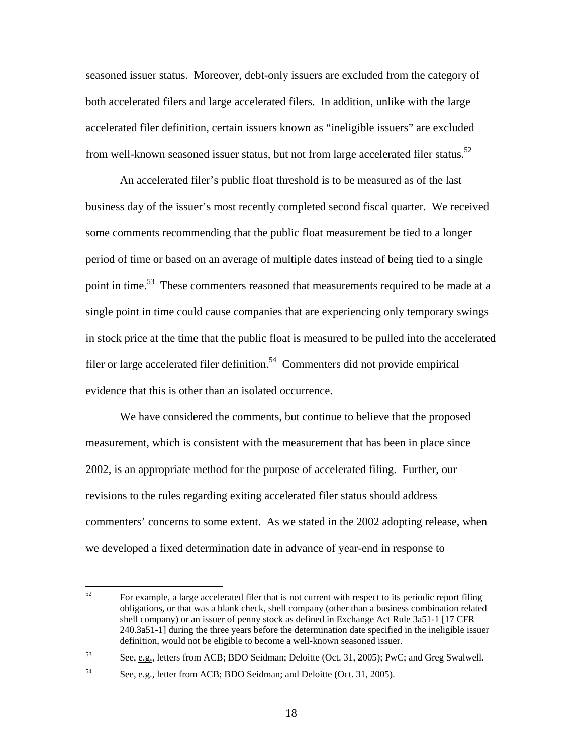seasoned issuer status. Moreover, debt-only issuers are excluded from the category of both accelerated filers and large accelerated filers. In addition, unlike with the large accelerated filer definition, certain issuers known as "ineligible issuers" are excluded from well-known seasoned issuer status, but not from large accelerated filer status.<sup>52</sup>

An accelerated filer's public float threshold is to be measured as of the last business day of the issuer's most recently completed second fiscal quarter. We received some comments recommending that the public float measurement be tied to a longer period of time or based on an average of multiple dates instead of being tied to a single point in time.<sup>53</sup> These commenters reasoned that measurements required to be made at a single point in time could cause companies that are experiencing only temporary swings in stock price at the time that the public float is measured to be pulled into the accelerated filer or large accelerated filer definition.<sup>54</sup> Commenters did not provide empirical evidence that this is other than an isolated occurrence.

We have considered the comments, but continue to believe that the proposed measurement, which is consistent with the measurement that has been in place since 2002, is an appropriate method for the purpose of accelerated filing. Further, our revisions to the rules regarding exiting accelerated filer status should address commenters' concerns to some extent. As we stated in the 2002 adopting release, when we developed a fixed determination date in advance of year-end in response to

<sup>52</sup> 52 For example, a large accelerated filer that is not current with respect to its periodic report filing obligations, or that was a blank check, shell company (other than a business combination related shell company) or an issuer of penny stock as defined in Exchange Act Rule 3a51-1 [17 CFR 240.3a51-1] during the three years before the determination date specified in the ineligible issuer definition, would not be eligible to become a well-known seasoned issuer.

<sup>53</sup> See, e.g., letters from ACB; BDO Seidman; Deloitte (Oct. 31, 2005); PwC; and Greg Swalwell.

<sup>&</sup>lt;sup>54</sup> See, e.g., letter from ACB; BDO Seidman; and Deloitte (Oct. 31, 2005).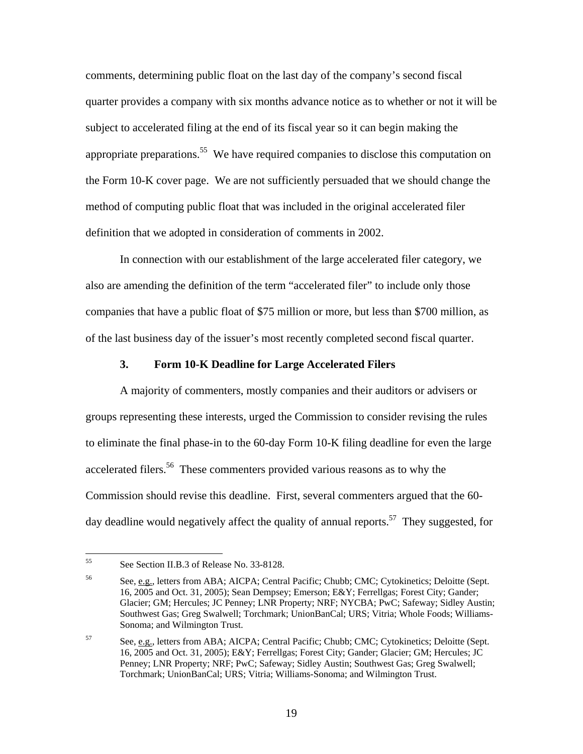comments, determining public float on the last day of the company's second fiscal quarter provides a company with six months advance notice as to whether or not it will be subject to accelerated filing at the end of its fiscal year so it can begin making the appropriate preparations.<sup>55</sup> We have required companies to disclose this computation on the Form 10-K cover page. We are not sufficiently persuaded that we should change the method of computing public float that was included in the original accelerated filer definition that we adopted in consideration of comments in 2002.

In connection with our establishment of the large accelerated filer category, we also are amending the definition of the term "accelerated filer" to include only those companies that have a public float of \$75 million or more, but less than \$700 million, as of the last business day of the issuer's most recently completed second fiscal quarter.

#### **3. Form 10-K Deadline for Large Accelerated Filers**

A majority of commenters, mostly companies and their auditors or advisers or groups representing these interests, urged the Commission to consider revising the rules to eliminate the final phase-in to the 60-day Form 10-K filing deadline for even the large accelerated filers.<sup>56</sup> These commenters provided various reasons as to why the Commission should revise this deadline. First, several commenters argued that the 60 day deadline would negatively affect the quality of annual reports.<sup>57</sup> They suggested, for

<sup>55</sup> See Section II.B.3 of Release No. 33-8128.

<sup>&</sup>lt;sup>56</sup> See, e.g., letters from ABA; AICPA; Central Pacific; Chubb; CMC; Cytokinetics; Deloitte (Sept. 16, 2005 and Oct. 31, 2005); Sean Dempsey; Emerson; E&Y; Ferrellgas; Forest City; Gander; Glacier; GM; Hercules; JC Penney; LNR Property; NRF; NYCBA; PwC; Safeway; Sidley Austin; Southwest Gas; Greg Swalwell; Torchmark; UnionBanCal; URS; Vitria; Whole Foods; Williams-Sonoma; and Wilmington Trust.

<sup>57</sup> See, e.g., letters from ABA; AICPA; Central Pacific; Chubb; CMC; Cytokinetics; Deloitte (Sept. 16, 2005 and Oct. 31, 2005); E&Y; Ferrellgas; Forest City; Gander; Glacier; GM; Hercules; JC Penney; LNR Property; NRF; PwC; Safeway; Sidley Austin; Southwest Gas; Greg Swalwell; Torchmark; UnionBanCal; URS; Vitria; Williams-Sonoma; and Wilmington Trust.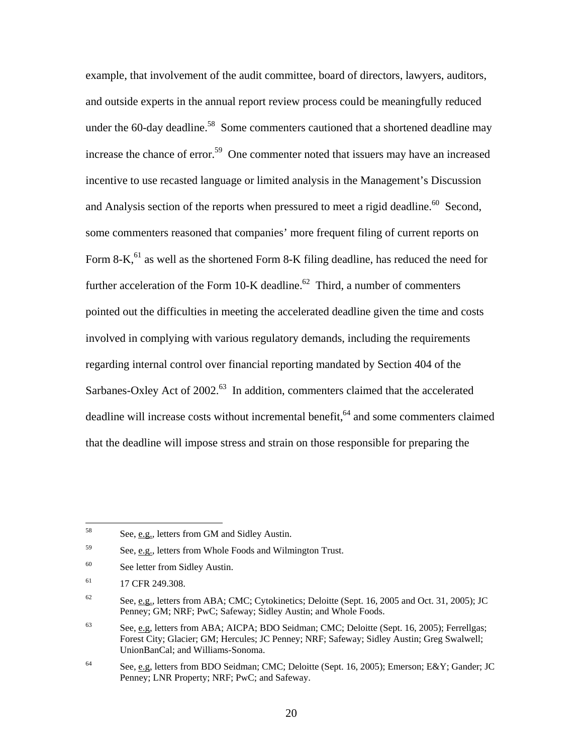example, that involvement of the audit committee, board of directors, lawyers, auditors, and outside experts in the annual report review process could be meaningfully reduced under the 60-day deadline.<sup>58</sup> Some commenters cautioned that a shortened deadline may increase the chance of error.<sup>59</sup> One commenter noted that issuers may have an increased incentive to use recasted language or limited analysis in the Management's Discussion and Analysis section of the reports when pressured to meet a rigid deadline.<sup>60</sup> Second, some commenters reasoned that companies' more frequent filing of current reports on Form 8-K,  $^{61}$  as well as the shortened Form 8-K filing deadline, has reduced the need for further acceleration of the Form 10-K deadline. $62$  Third, a number of commenters pointed out the difficulties in meeting the accelerated deadline given the time and costs involved in complying with various regulatory demands, including the requirements regarding internal control over financial reporting mandated by Section 404 of the Sarbanes-Oxley Act of 2002.<sup>63</sup> In addition, commenters claimed that the accelerated deadline will increase costs without incremental benefit,  $64$  and some commenters claimed that the deadline will impose stress and strain on those responsible for preparing the

<sup>58</sup> See, e.g., letters from GM and Sidley Austin.

<sup>59</sup> See, e.g., letters from Whole Foods and Wilmington Trust.

<sup>60</sup> See letter from Sidley Austin.

<sup>&</sup>lt;sup>61</sup> 17 CFR 249.308.

<sup>&</sup>lt;sup>62</sup> See, e.g., letters from ABA; CMC; Cytokinetics; Deloitte (Sept. 16, 2005 and Oct. 31, 2005); JC Penney; GM; NRF; PwC; Safeway; Sidley Austin; and Whole Foods.

 $63$  See, e.g, letters from ABA; AICPA; BDO Seidman; CMC; Deloitte (Sept. 16, 2005); Ferrellgas; Forest City; Glacier; GM; Hercules; JC Penney; NRF; Safeway; Sidley Austin; Greg Swalwell; UnionBanCal; and Williams-Sonoma.

<sup>&</sup>lt;sup>64</sup> See, e.g, letters from BDO Seidman; CMC; Deloitte (Sept. 16, 2005); Emerson; E&Y; Gander; JC Penney; LNR Property; NRF; PwC; and Safeway.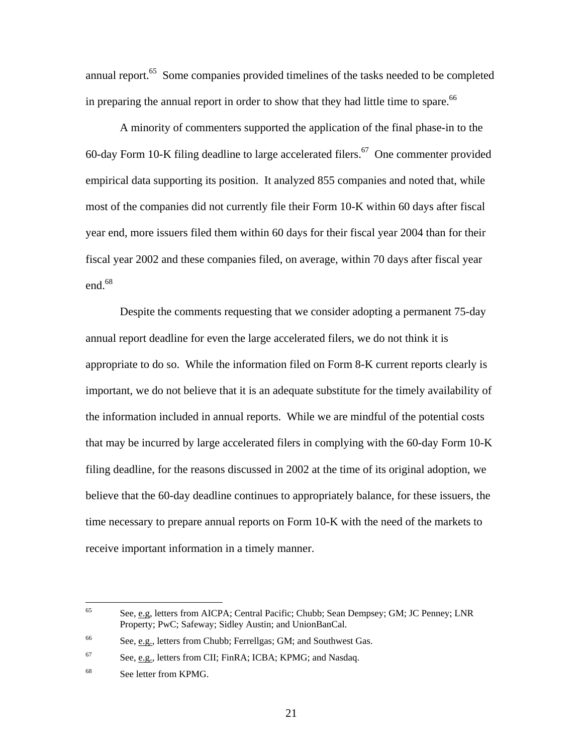annual report.<sup>65</sup> Some companies provided timelines of the tasks needed to be completed in preparing the annual report in order to show that they had little time to spare. $66$ 

A minority of commenters supported the application of the final phase-in to the 60-day Form 10-K filing deadline to large accelerated filers.<sup>67</sup> One commenter provided empirical data supporting its position. It analyzed 855 companies and noted that, while most of the companies did not currently file their Form 10-K within 60 days after fiscal year end, more issuers filed them within 60 days for their fiscal year 2004 than for their fiscal year 2002 and these companies filed, on average, within 70 days after fiscal year end. $68$ 

Despite the comments requesting that we consider adopting a permanent 75-day annual report deadline for even the large accelerated filers, we do not think it is appropriate to do so. While the information filed on Form 8-K current reports clearly is important, we do not believe that it is an adequate substitute for the timely availability of the information included in annual reports. While we are mindful of the potential costs that may be incurred by large accelerated filers in complying with the 60-day Form 10-K filing deadline, for the reasons discussed in 2002 at the time of its original adoption, we believe that the 60-day deadline continues to appropriately balance, for these issuers, the time necessary to prepare annual reports on Form 10-K with the need of the markets to receive important information in a timely manner.

<sup>65</sup> 65 See, e.g, letters from AICPA; Central Pacific; Chubb; Sean Dempsey; GM; JC Penney; LNR Property; PwC; Safeway; Sidley Austin; and UnionBanCal.

<sup>66</sup> See, e.g., letters from Chubb; Ferrellgas; GM; and Southwest Gas.

<sup>67</sup> See, e.g., letters from CII; FinRA; ICBA; KPMG; and Nasdaq.

<sup>68</sup> See letter from KPMG.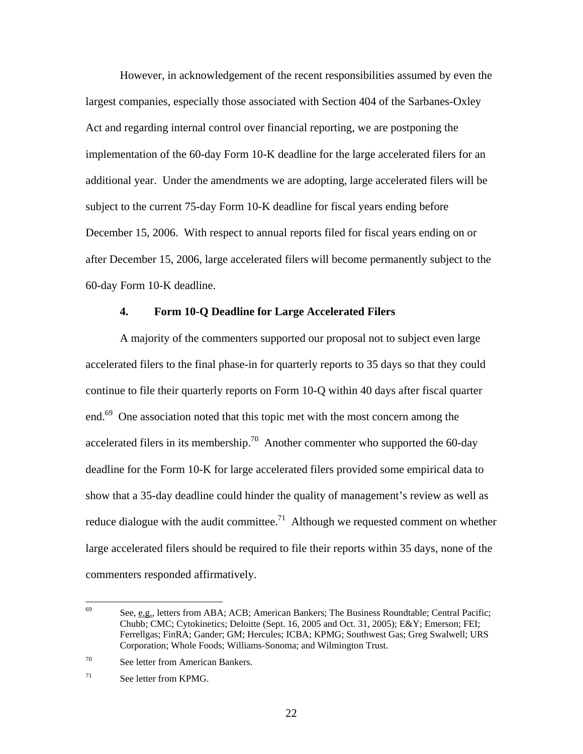However, in acknowledgement of the recent responsibilities assumed by even the largest companies, especially those associated with Section 404 of the Sarbanes-Oxley Act and regarding internal control over financial reporting, we are postponing the implementation of the 60-day Form 10-K deadline for the large accelerated filers for an additional year. Under the amendments we are adopting, large accelerated filers will be subject to the current 75-day Form 10-K deadline for fiscal years ending before December 15, 2006. With respect to annual reports filed for fiscal years ending on or after December 15, 2006, large accelerated filers will become permanently subject to the 60-day Form 10-K deadline.

#### **4. Form 10-Q Deadline for Large Accelerated Filers**

A majority of the commenters supported our proposal not to subject even large accelerated filers to the final phase-in for quarterly reports to 35 days so that they could continue to file their quarterly reports on Form 10-Q within 40 days after fiscal quarter end.<sup>69</sup> One association noted that this topic met with the most concern among the accelerated filers in its membership.<sup>70</sup> Another commenter who supported the 60-day deadline for the Form 10-K for large accelerated filers provided some empirical data to show that a 35-day deadline could hinder the quality of management's review as well as reduce dialogue with the audit committee.<sup>71</sup> Although we requested comment on whether large accelerated filers should be required to file their reports within 35 days, none of the commenters responded affirmatively.

<sup>69</sup> 69 See, e.g., letters from ABA; ACB; American Bankers; The Business Roundtable; Central Pacific; Chubb; CMC; Cytokinetics; Deloitte (Sept. 16, 2005 and Oct. 31, 2005); E&Y; Emerson; FEI; Ferrellgas; FinRA; Gander; GM; Hercules; ICBA; KPMG; Southwest Gas; Greg Swalwell; URS Corporation; Whole Foods; Williams-Sonoma; and Wilmington Trust.

<sup>70</sup> See letter from American Bankers.

 $71$  See letter from KPMG.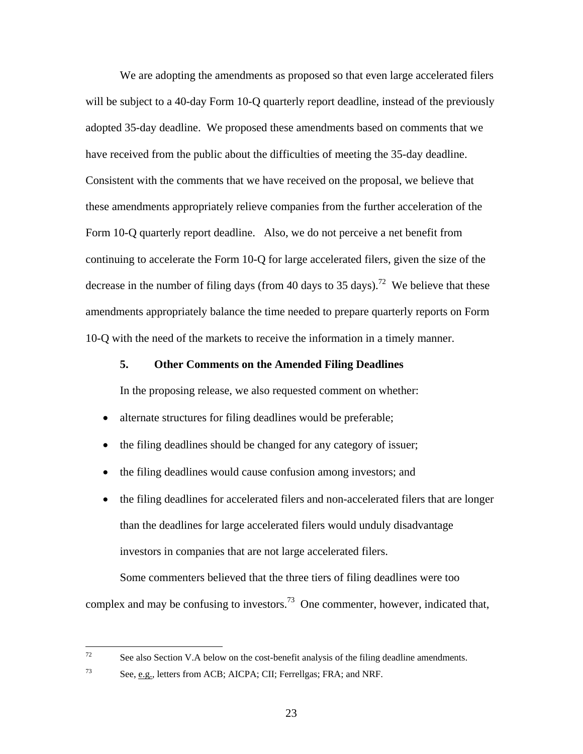We are adopting the amendments as proposed so that even large accelerated filers will be subject to a 40-day Form 10-Q quarterly report deadline, instead of the previously adopted 35-day deadline. We proposed these amendments based on comments that we have received from the public about the difficulties of meeting the 35-day deadline. Consistent with the comments that we have received on the proposal, we believe that these amendments appropriately relieve companies from the further acceleration of the Form 10-Q quarterly report deadline. Also, we do not perceive a net benefit from continuing to accelerate the Form 10-Q for large accelerated filers, given the size of the decrease in the number of filing days (from 40 days to 35 days).<sup>72</sup> We believe that these amendments appropriately balance the time needed to prepare quarterly reports on Form 10-Q with the need of the markets to receive the information in a timely manner.

#### **5. Other Comments on the Amended Filing Deadlines**

In the proposing release, we also requested comment on whether:

- alternate structures for filing deadlines would be preferable;
- the filing deadlines should be changed for any category of issuer;
- the filing deadlines would cause confusion among investors; and
- the filing deadlines for accelerated filers and non-accelerated filers that are longer than the deadlines for large accelerated filers would unduly disadvantage investors in companies that are not large accelerated filers.

Some commenters believed that the three tiers of filing deadlines were too complex and may be confusing to investors.<sup>73</sup> One commenter, however, indicated that,

 $72$ See also Section V.A below on the cost-benefit analysis of the filing deadline amendments.

 $73$  See, e.g., letters from ACB; AICPA; CII; Ferrellgas; FRA; and NRF.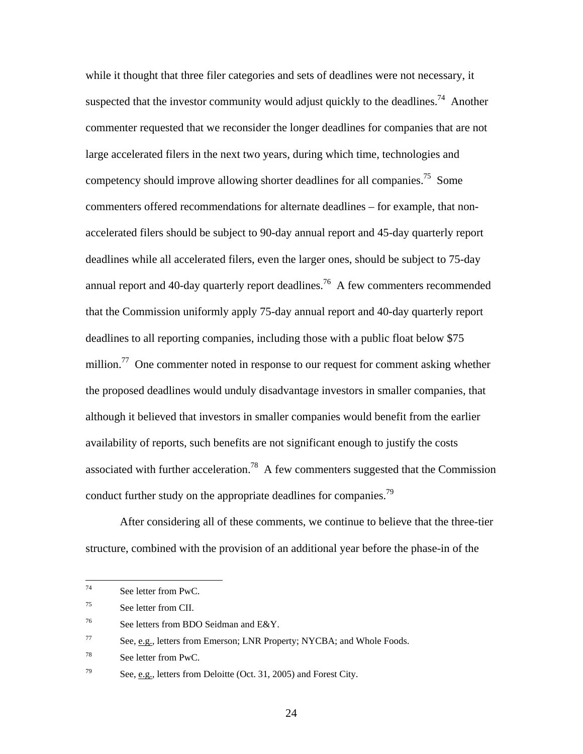while it thought that three filer categories and sets of deadlines were not necessary, it suspected that the investor community would adjust quickly to the deadlines.<sup>74</sup> Another commenter requested that we reconsider the longer deadlines for companies that are not large accelerated filers in the next two years, during which time, technologies and competency should improve allowing shorter deadlines for all companies.<sup>75</sup> Some commenters offered recommendations for alternate deadlines – for example, that nonaccelerated filers should be subject to 90-day annual report and 45-day quarterly report deadlines while all accelerated filers, even the larger ones, should be subject to 75-day annual report and 40-day quarterly report deadlines.<sup>76</sup> A few commenters recommended that the Commission uniformly apply 75-day annual report and 40-day quarterly report deadlines to all reporting companies, including those with a public float below \$75 million.<sup>77</sup> One commenter noted in response to our request for comment asking whether the proposed deadlines would unduly disadvantage investors in smaller companies, that although it believed that investors in smaller companies would benefit from the earlier availability of reports, such benefits are not significant enough to justify the costs associated with further acceleration.<sup>78</sup> A few commenters suggested that the Commission conduct further study on the appropriate deadlines for companies.<sup>79</sup>

After considering all of these comments, we continue to believe that the three-tier structure, combined with the provision of an additional year before the phase-in of the

 $74$ See letter from PwC.

<sup>75</sup> See letter from CII.

<sup>76</sup> See letters from BDO Seidman and E&Y.

 $77$  See, e.g., letters from Emerson; LNR Property; NYCBA; and Whole Foods.

<sup>78</sup> See letter from PwC.

 $79$  See, e.g., letters from Deloitte (Oct. 31, 2005) and Forest City.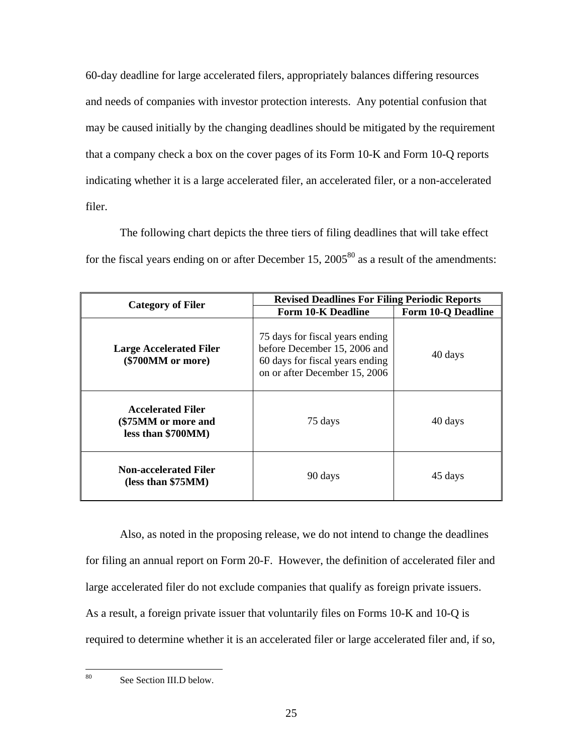60-day deadline for large accelerated filers, appropriately balances differing resources and needs of companies with investor protection interests. Any potential confusion that may be caused initially by the changing deadlines should be mitigated by the requirement that a company check a box on the cover pages of its Form 10-K and Form 10-Q reports indicating whether it is a large accelerated filer, an accelerated filer, or a non-accelerated filer.

The following chart depicts the three tiers of filing deadlines that will take effect for the fiscal years ending on or after December 15,  $2005^{80}$  as a result of the amendments:

| <b>Category of Filer</b>                                              | <b>Revised Deadlines For Filing Periodic Reports</b>                                                                                |                           |
|-----------------------------------------------------------------------|-------------------------------------------------------------------------------------------------------------------------------------|---------------------------|
|                                                                       | <b>Form 10-K Deadline</b>                                                                                                           | <b>Form 10-Q Deadline</b> |
| <b>Large Accelerated Filer</b><br>(\$700MM or more)                   | 75 days for fiscal years ending<br>before December 15, 2006 and<br>60 days for fiscal years ending<br>on or after December 15, 2006 | 40 days                   |
| <b>Accelerated Filer</b><br>(\$75MM or more and<br>less than \$700MM) | 75 days                                                                                                                             | 40 days                   |
| <b>Non-accelerated Filer</b><br>(less than \$75MM)                    | 90 days                                                                                                                             | 45 days                   |

Also, as noted in the proposing release, we do not intend to change the deadlines for filing an annual report on Form 20-F. However, the definition of accelerated filer and large accelerated filer do not exclude companies that qualify as foreign private issuers. As a result, a foreign private issuer that voluntarily files on Forms 10-K and 10-Q is required to determine whether it is an accelerated filer or large accelerated filer and, if so,

 $80^{\circ}$ 

See Section III.D below.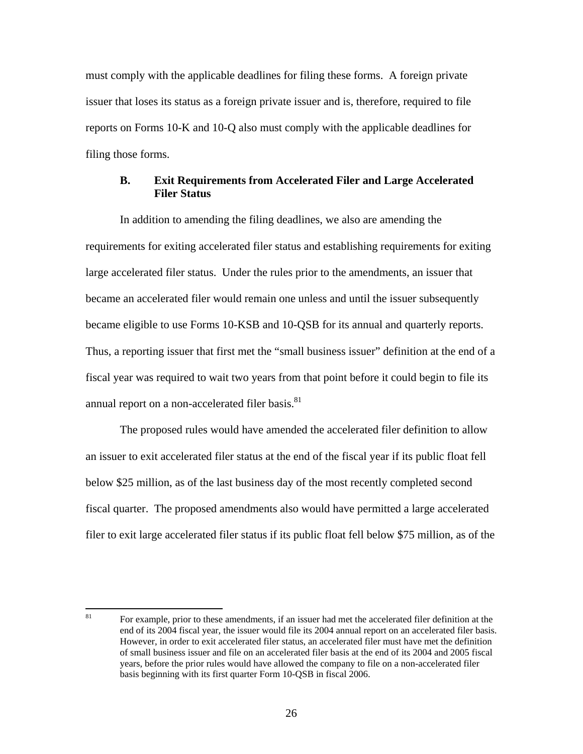must comply with the applicable deadlines for filing these forms. A foreign private issuer that loses its status as a foreign private issuer and is, therefore, required to file reports on Forms 10-K and 10-Q also must comply with the applicable deadlines for filing those forms.

## **B. Exit Requirements from Accelerated Filer and Large Accelerated Filer Status**

In addition to amending the filing deadlines, we also are amending the requirements for exiting accelerated filer status and establishing requirements for exiting large accelerated filer status. Under the rules prior to the amendments, an issuer that became an accelerated filer would remain one unless and until the issuer subsequently became eligible to use Forms 10-KSB and 10-QSB for its annual and quarterly reports. Thus, a reporting issuer that first met the "small business issuer" definition at the end of a fiscal year was required to wait two years from that point before it could begin to file its annual report on a non-accelerated filer basis.<sup>81</sup>

The proposed rules would have amended the accelerated filer definition to allow an issuer to exit accelerated filer status at the end of the fiscal year if its public float fell below \$25 million, as of the last business day of the most recently completed second fiscal quarter.The proposed amendments also would have permitted a large accelerated filer to exit large accelerated filer status if its public float fell below \$75 million, as of the

<sup>81</sup> 81 For example, prior to these amendments, if an issuer had met the accelerated filer definition at the end of its 2004 fiscal year, the issuer would file its 2004 annual report on an accelerated filer basis. However, in order to exit accelerated filer status, an accelerated filer must have met the definition of small business issuer and file on an accelerated filer basis at the end of its 2004 and 2005 fiscal years, before the prior rules would have allowed the company to file on a non-accelerated filer basis beginning with its first quarter Form 10-QSB in fiscal 2006.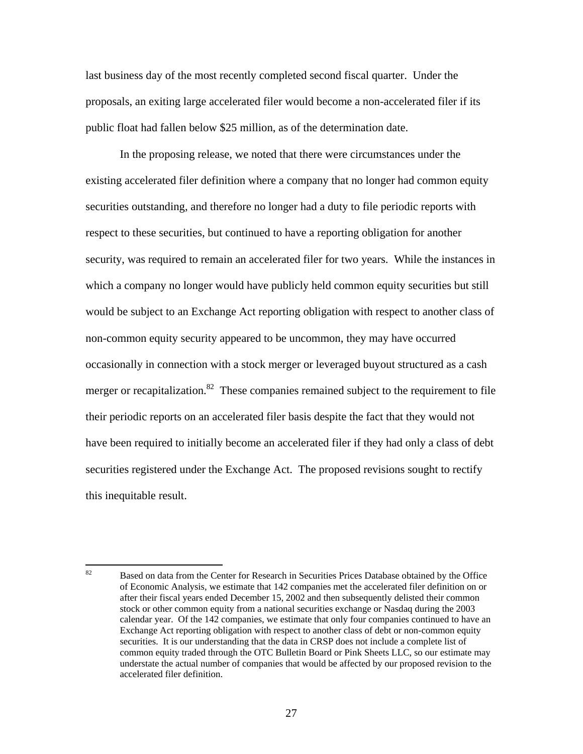last business day of the most recently completed second fiscal quarter. Under the proposals, an exiting large accelerated filer would become a non-accelerated filer if its public float had fallen below \$25 million, as of the determination date.

In the proposing release, we noted that there were circumstances under the existing accelerated filer definition where a company that no longer had common equity securities outstanding, and therefore no longer had a duty to file periodic reports with respect to these securities, but continued to have a reporting obligation for another security, was required to remain an accelerated filer for two years. While the instances in which a company no longer would have publicly held common equity securities but still would be subject to an Exchange Act reporting obligation with respect to another class of non-common equity security appeared to be uncommon, they may have occurred occasionally in connection with a stock merger or leveraged buyout structured as a cash merger or recapitalization.<sup>82</sup> These companies remained subject to the requirement to file their periodic reports on an accelerated filer basis despite the fact that they would not have been required to initially become an accelerated filer if they had only a class of debt securities registered under the Exchange Act. The proposed revisions sought to rectify this inequitable result.

<sup>82</sup> 82 Based on data from the Center for Research in Securities Prices Database obtained by the Office of Economic Analysis, we estimate that 142 companies met the accelerated filer definition on or after their fiscal years ended December 15, 2002 and then subsequently delisted their common stock or other common equity from a national securities exchange or Nasdaq during the 2003 calendar year. Of the 142 companies, we estimate that only four companies continued to have an Exchange Act reporting obligation with respect to another class of debt or non-common equity securities. It is our understanding that the data in CRSP does not include a complete list of common equity traded through the OTC Bulletin Board or Pink Sheets LLC, so our estimate may understate the actual number of companies that would be affected by our proposed revision to the accelerated filer definition.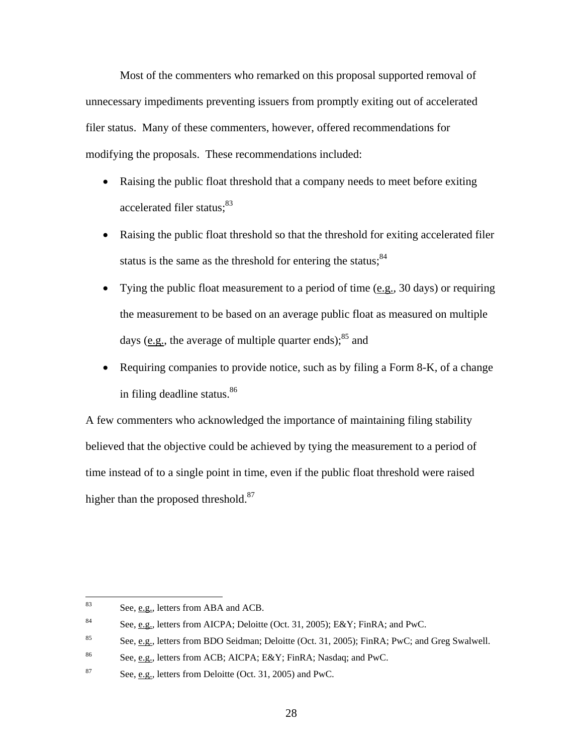Most of the commenters who remarked on this proposal supported removal of unnecessary impediments preventing issuers from promptly exiting out of accelerated filer status. Many of these commenters, however, offered recommendations for modifying the proposals. These recommendations included:

- Raising the public float threshold that a company needs to meet before exiting accelerated filer status;<sup>83</sup>
- Raising the public float threshold so that the threshold for exiting accelerated filer status is the same as the threshold for entering the status; $84$
- Tying the public float measurement to a period of time (e.g., 30 days) or requiring the measurement to be based on an average public float as measured on multiple days ( $e.g.,$  the average of multiple quarter ends); $85$  and
- Requiring companies to provide notice, such as by filing a Form 8-K, of a change in filing deadline status. 86

A few commenters who acknowledged the importance of maintaining filing stability believed that the objective could be achieved by tying the measurement to a period of time instead of to a single point in time, even if the public float threshold were raised higher than the proposed threshold.<sup>87</sup>

<sup>83</sup> See, e.g., letters from ABA and ACB.

<sup>&</sup>lt;sup>84</sup> See, e.g., letters from AICPA; Deloitte (Oct. 31, 2005); E&Y; FinRA; and PwC.

<sup>85</sup> See, e.g., letters from BDO Seidman; Deloitte (Oct. 31, 2005); FinRA; PwC; and Greg Swalwell.

<sup>86</sup> See, e.g., letters from ACB; AICPA; E&Y; FinRA; Nasdaq; and PwC.

<sup>87</sup> See, e.g., letters from Deloitte (Oct. 31, 2005) and PwC.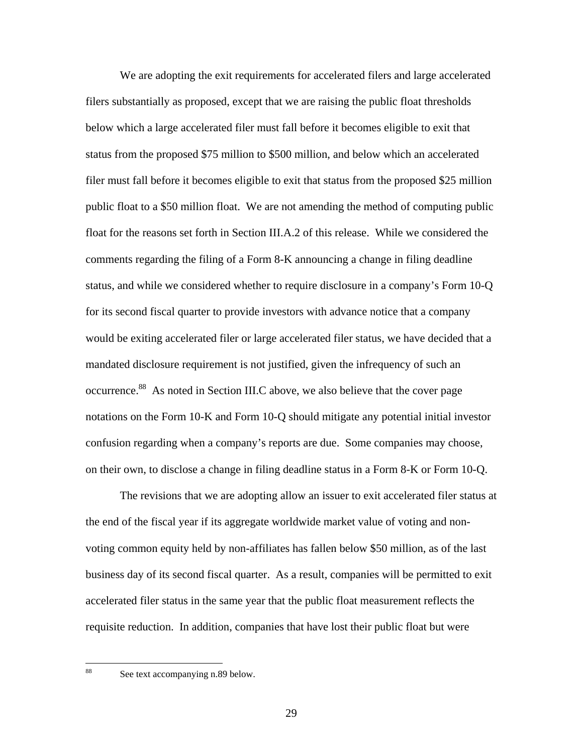We are adopting the exit requirements for accelerated filers and large accelerated filers substantially as proposed, except that we are raising the public float thresholds below which a large accelerated filer must fall before it becomes eligible to exit that status from the proposed \$75 million to \$500 million, and below which an accelerated filer must fall before it becomes eligible to exit that status from the proposed \$25 million public float to a \$50 million float. We are not amending the method of computing public float for the reasons set forth in Section III.A.2 of this release. While we considered the comments regarding the filing of a Form 8-K announcing a change in filing deadline status, and while we considered whether to require disclosure in a company's Form 10-Q for its second fiscal quarter to provide investors with advance notice that a company would be exiting accelerated filer or large accelerated filer status, we have decided that a mandated disclosure requirement is not justified, given the infrequency of such an occurrence.88 As noted in Section III.C above, we also believe that the cover page notations on the Form 10-K and Form 10-Q should mitigate any potential initial investor confusion regarding when a company's reports are due. Some companies may choose, on their own, to disclose a change in filing deadline status in a Form 8-K or Form 10-Q.

The revisions that we are adopting allow an issuer to exit accelerated filer status at the end of the fiscal year if its aggregate worldwide market value of voting and nonvoting common equity held by non-affiliates has fallen below \$50 million, as of the last business day of its second fiscal quarter.As a result, companies will be permitted to exit accelerated filer status in the same year that the public float measurement reflects the requisite reduction. In addition, companies that have lost their public float but were

88

See text accompanying n.89 below.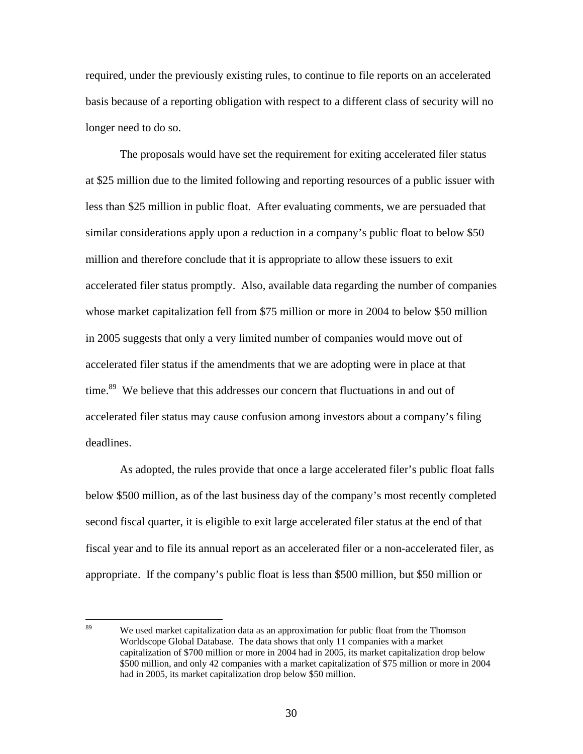required, under the previously existing rules, to continue to file reports on an accelerated basis because of a reporting obligation with respect to a different class of security will no longer need to do so.

The proposals would have set the requirement for exiting accelerated filer status at \$25 million due to the limited following and reporting resources of a public issuer with less than \$25 million in public float. After evaluating comments, we are persuaded that similar considerations apply upon a reduction in a company's public float to below \$50 million and therefore conclude that it is appropriate to allow these issuers to exit accelerated filer status promptly. Also, available data regarding the number of companies whose market capitalization fell from \$75 million or more in 2004 to below \$50 million in 2005 suggests that only a very limited number of companies would move out of accelerated filer status if the amendments that we are adopting were in place at that time.<sup>89</sup> We believe that this addresses our concern that fluctuations in and out of accelerated filer status may cause confusion among investors about a company's filing deadlines.

As adopted, the rules provide that once a large accelerated filer's public float falls below \$500 million, as of the last business day of the company's most recently completed second fiscal quarter, it is eligible to exit large accelerated filer status at the end of that fiscal year and to file its annual report as an accelerated filer or a non-accelerated filer, as appropriate. If the company's public float is less than \$500 million, but \$50 million or

<sup>89</sup> We used market capitalization data as an approximation for public float from the Thomson Worldscope Global Database. The data shows that only 11 companies with a market capitalization of \$700 million or more in 2004 had in 2005, its market capitalization drop below \$500 million, and only 42 companies with a market capitalization of \$75 million or more in 2004 had in 2005, its market capitalization drop below \$50 million.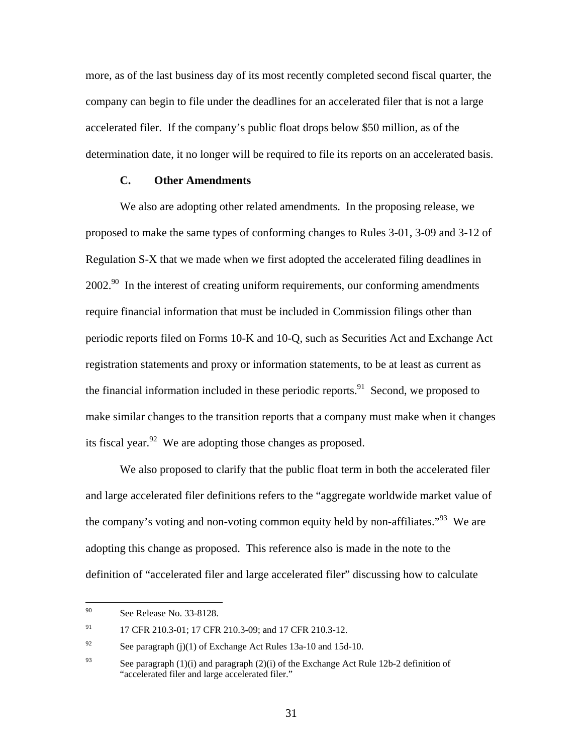more, as of the last business day of its most recently completed second fiscal quarter, the company can begin to file under the deadlines for an accelerated filer that is not a large accelerated filer. If the company's public float drops below \$50 million, as of the determination date, it no longer will be required to file its reports on an accelerated basis.

# **C. Other Amendments**

We also are adopting other related amendments. In the proposing release, we proposed to make the same types of conforming changes to Rules 3-01, 3-09 and 3-12 of Regulation S-X that we made when we first adopted the accelerated filing deadlines in  $2002.<sup>90</sup>$  In the interest of creating uniform requirements, our conforming amendments require financial information that must be included in Commission filings other than periodic reports filed on Forms 10-K and 10-Q, such as Securities Act and Exchange Act registration statements and proxy or information statements, to be at least as current as the financial information included in these periodic reports.<sup>91</sup> Second, we proposed to make similar changes to the transition reports that a company must make when it changes its fiscal year. <sup>92</sup> We are adopting those changes as proposed.

We also proposed to clarify that the public float term in both the accelerated filer and large accelerated filer definitions refers to the "aggregate worldwide market value of the company's voting and non-voting common equity held by non-affiliates.<sup>"93</sup> We are adopting this change as proposed. This reference also is made in the note to the definition of "accelerated filer and large accelerated filer" discussing how to calculate

 $90^{\circ}$ See Release No. 33-8128.

<sup>91 17</sup> CFR 210.3-01; 17 CFR 210.3-09; and 17 CFR 210.3-12.

<sup>&</sup>lt;sup>92</sup> See paragraph (j)(1) of Exchange Act Rules 13a-10 and 15d-10.

<sup>&</sup>lt;sup>93</sup> See paragraph (1)(i) and paragraph (2)(i) of the Exchange Act Rule 12b-2 definition of "accelerated filer and large accelerated filer."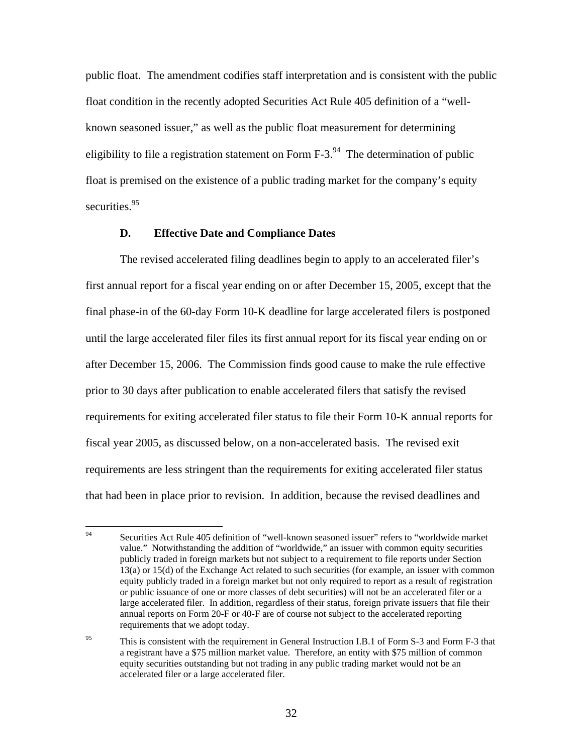public float. The amendment codifies staff interpretation and is consistent with the public float condition in the recently adopted Securities Act Rule 405 definition of a "wellknown seasoned issuer," as well as the public float measurement for determining eligibility to file a registration statement on Form  $F-3$ <sup>94</sup>. The determination of public float is premised on the existence of a public trading market for the company's equity securities.<sup>95</sup>

#### **D. Effective Date and Compliance Dates**

The revised accelerated filing deadlines begin to apply to an accelerated filer's first annual report for a fiscal year ending on or after December 15, 2005, except that the final phase-in of the 60-day Form 10-K deadline for large accelerated filers is postponed until the large accelerated filer files its first annual report for its fiscal year ending on or after December 15, 2006. The Commission finds good cause to make the rule effective prior to 30 days after publication to enable accelerated filers that satisfy the revised requirements for exiting accelerated filer status to file their Form 10-K annual reports for fiscal year 2005, as discussed below, on a non-accelerated basis. The revised exit requirements are less stringent than the requirements for exiting accelerated filer status that had been in place prior to revision. In addition, because the revised deadlines and

<sup>94</sup> 94 Securities Act Rule 405 definition of "well-known seasoned issuer" refers to "worldwide market value." Notwithstanding the addition of "worldwide," an issuer with common equity securities publicly traded in foreign markets but not subject to a requirement to file reports under Section 13(a) or 15(d) of the Exchange Act related to such securities (for example, an issuer with common equity publicly traded in a foreign market but not only required to report as a result of registration or public issuance of one or more classes of debt securities) will not be an accelerated filer or a large accelerated filer. In addition, regardless of their status, foreign private issuers that file their annual reports on Form 20-F or 40-F are of course not subject to the accelerated reporting requirements that we adopt today.

<sup>&</sup>lt;sup>95</sup> This is consistent with the requirement in General Instruction I.B.1 of Form S-3 and Form F-3 that a registrant have a \$75 million market value. Therefore, an entity with \$75 million of common equity securities outstanding but not trading in any public trading market would not be an accelerated filer or a large accelerated filer.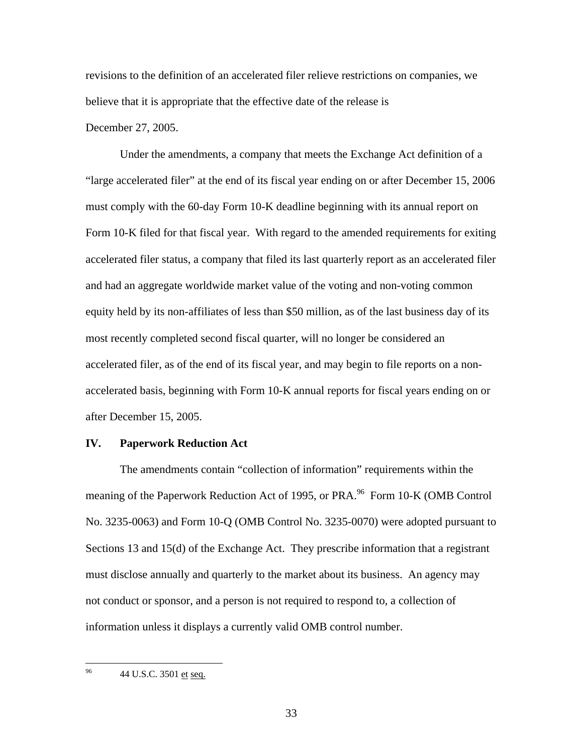revisions to the definition of an accelerated filer relieve restrictions on companies, we believe that it is appropriate that the effective date of the release is December 27, 2005.

Under the amendments, a company that meets the Exchange Act definition of a "large accelerated filer" at the end of its fiscal year ending on or after December 15, 2006 must comply with the 60-day Form 10-K deadline beginning with its annual report on Form 10-K filed for that fiscal year. With regard to the amended requirements for exiting accelerated filer status, a company that filed its last quarterly report as an accelerated filer and had an aggregate worldwide market value of the voting and non-voting common equity held by its non-affiliates of less than \$50 million, as of the last business day of its most recently completed second fiscal quarter, will no longer be considered an accelerated filer, as of the end of its fiscal year, and may begin to file reports on a nonaccelerated basis, beginning with Form 10-K annual reports for fiscal years ending on or after December 15, 2005.

#### **IV. Paperwork Reduction Act**

The amendments contain "collection of information" requirements within the meaning of the Paperwork Reduction Act of 1995, or PRA.<sup>96</sup> Form 10-K (OMB Control No. 3235-0063) and Form 10-Q (OMB Control No. 3235-0070) were adopted pursuant to Sections 13 and 15(d) of the Exchange Act. They prescribe information that a registrant must disclose annually and quarterly to the market about its business. An agency may not conduct or sponsor, and a person is not required to respond to, a collection of information unless it displays a currently valid OMB control number.

96 96 44 U.S.C. 3501 et seq.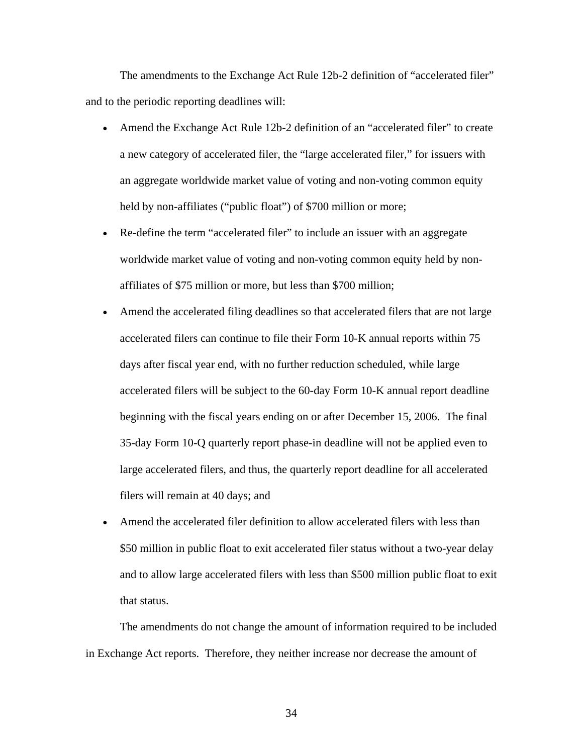The amendments to the Exchange Act Rule 12b-2 definition of "accelerated filer" and to the periodic reporting deadlines will:

- Amend the Exchange Act Rule 12b-2 definition of an "accelerated filer" to create a new category of accelerated filer, the "large accelerated filer," for issuers with an aggregate worldwide market value of voting and non-voting common equity held by non-affiliates ("public float") of \$700 million or more;
- Re-define the term "accelerated filer" to include an issuer with an aggregate worldwide market value of voting and non-voting common equity held by nonaffiliates of \$75 million or more, but less than \$700 million;
- Amend the accelerated filing deadlines so that accelerated filers that are not large accelerated filers can continue to file their Form 10-K annual reports within 75 days after fiscal year end, with no further reduction scheduled, while large accelerated filers will be subject to the 60-day Form 10-K annual report deadline beginning with the fiscal years ending on or after December 15, 2006. The final 35-day Form 10-Q quarterly report phase-in deadline will not be applied even to large accelerated filers, and thus, the quarterly report deadline for all accelerated filers will remain at 40 days; and
- Amend the accelerated filer definition to allow accelerated filers with less than \$50 million in public float to exit accelerated filer status without a two-year delay and to allow large accelerated filers with less than \$500 million public float to exit that status.

The amendments do not change the amount of information required to be included in Exchange Act reports. Therefore, they neither increase nor decrease the amount of

34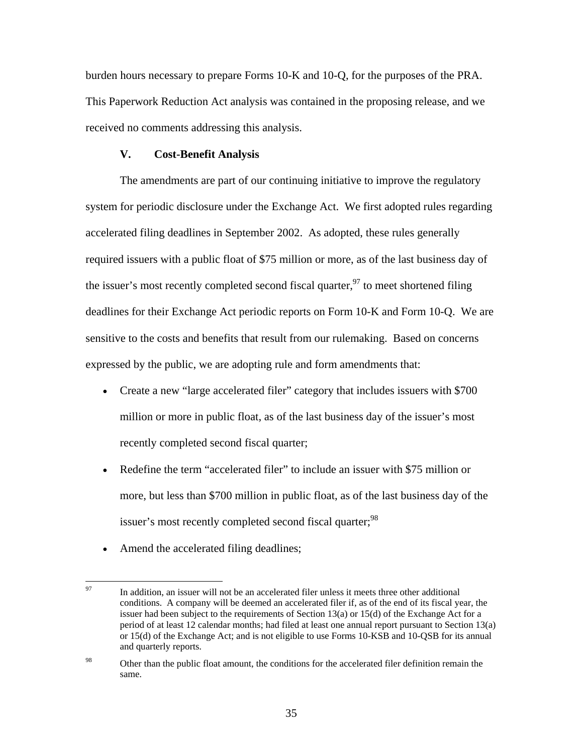burden hours necessary to prepare Forms 10-K and 10-Q, for the purposes of the PRA. This Paperwork Reduction Act analysis was contained in the proposing release, and we received no comments addressing this analysis.

#### **V. Cost-Benefit Analysis**

The amendments are part of our continuing initiative to improve the regulatory system for periodic disclosure under the Exchange Act. We first adopted rules regarding accelerated filing deadlines in September 2002. As adopted, these rules generally required issuers with a public float of \$75 million or more, as of the last business day of the issuer's most recently completed second fiscal quarter,  $97$  to meet shortened filing deadlines for their Exchange Act periodic reports on Form 10-K and Form 10-Q. We are sensitive to the costs and benefits that result from our rulemaking. Based on concerns expressed by the public, we are adopting rule and form amendments that:

- Create a new "large accelerated filer" category that includes issuers with \$700 million or more in public float, as of the last business day of the issuer's most recently completed second fiscal quarter;
- Redefine the term "accelerated filer" to include an issuer with \$75 million or more, but less than \$700 million in public float, as of the last business day of the issuer's most recently completed second fiscal quarter;<sup>98</sup>
- Amend the accelerated filing deadlines;

<sup>97</sup> 97 In addition, an issuer will not be an accelerated filer unless it meets three other additional conditions. A company will be deemed an accelerated filer if, as of the end of its fiscal year, the issuer had been subject to the requirements of Section 13(a) or 15(d) of the Exchange Act for a period of at least 12 calendar months; had filed at least one annual report pursuant to Section 13(a) or 15(d) of the Exchange Act; and is not eligible to use Forms 10-KSB and 10-QSB for its annual and quarterly reports.

<sup>&</sup>lt;sup>98</sup> Other than the public float amount, the conditions for the accelerated filer definition remain the same.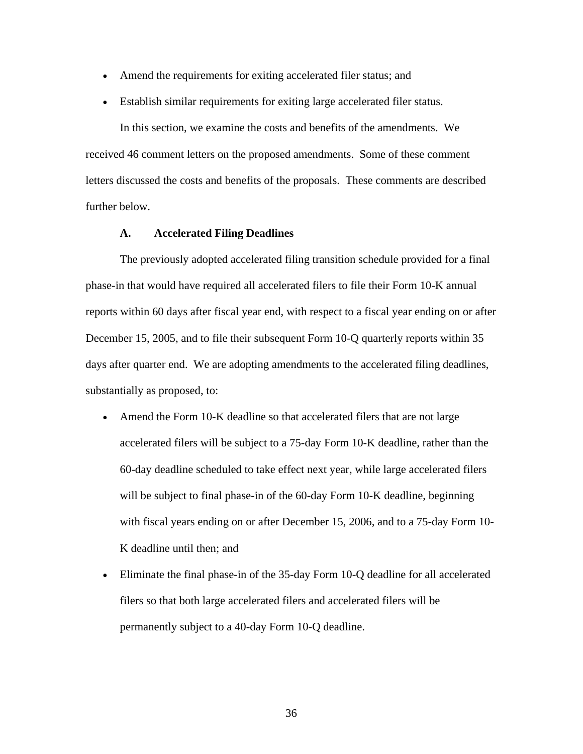- Amend the requirements for exiting accelerated filer status; and
- Establish similar requirements for exiting large accelerated filer status.

In this section, we examine the costs and benefits of the amendments. We received 46 comment letters on the proposed amendments. Some of these comment letters discussed the costs and benefits of the proposals. These comments are described further below.

#### **A. Accelerated Filing Deadlines**

The previously adopted accelerated filing transition schedule provided for a final phase-in that would have required all accelerated filers to file their Form 10-K annual reports within 60 days after fiscal year end, with respect to a fiscal year ending on or after December 15, 2005, and to file their subsequent Form 10-Q quarterly reports within 35 days after quarter end. We are adopting amendments to the accelerated filing deadlines, substantially as proposed, to:

- Amend the Form 10-K deadline so that accelerated filers that are not large accelerated filers will be subject to a 75-day Form 10-K deadline, rather than the 60-day deadline scheduled to take effect next year, while large accelerated filers will be subject to final phase-in of the 60-day Form 10-K deadline, beginning with fiscal years ending on or after December 15, 2006, and to a 75-day Form 10- K deadline until then; and
- Eliminate the final phase-in of the 35-day Form 10-Q deadline for all accelerated filers so that both large accelerated filers and accelerated filers will be permanently subject to a 40-day Form 10-Q deadline.

36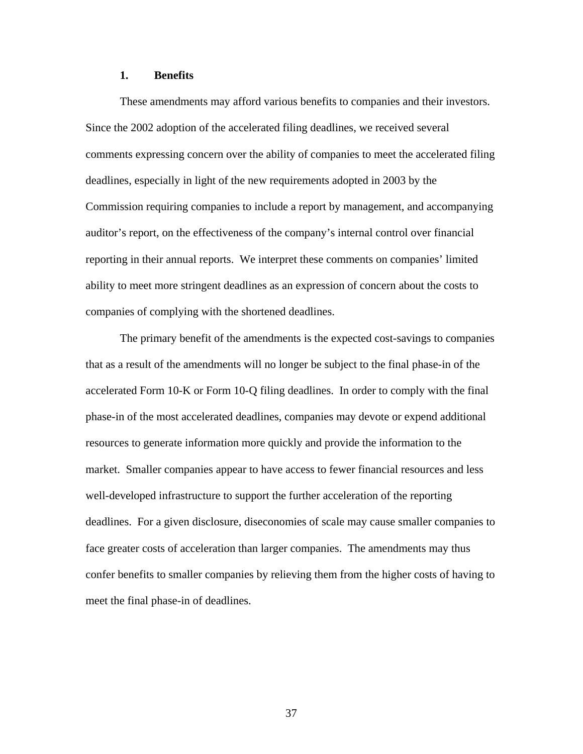### **1. Benefits**

These amendments may afford various benefits to companies and their investors. Since the 2002 adoption of the accelerated filing deadlines, we received several comments expressing concern over the ability of companies to meet the accelerated filing deadlines, especially in light of the new requirements adopted in 2003 by the Commission requiring companies to include a report by management, and accompanying auditor's report, on the effectiveness of the company's internal control over financial reporting in their annual reports. We interpret these comments on companies' limited ability to meet more stringent deadlines as an expression of concern about the costs to companies of complying with the shortened deadlines.

The primary benefit of the amendments is the expected cost-savings to companies that as a result of the amendments will no longer be subject to the final phase-in of the accelerated Form 10-K or Form 10-Q filing deadlines. In order to comply with the final phase-in of the most accelerated deadlines, companies may devote or expend additional resources to generate information more quickly and provide the information to the market. Smaller companies appear to have access to fewer financial resources and less well-developed infrastructure to support the further acceleration of the reporting deadlines. For a given disclosure, diseconomies of scale may cause smaller companies to face greater costs of acceleration than larger companies. The amendments may thus confer benefits to smaller companies by relieving them from the higher costs of having to meet the final phase-in of deadlines.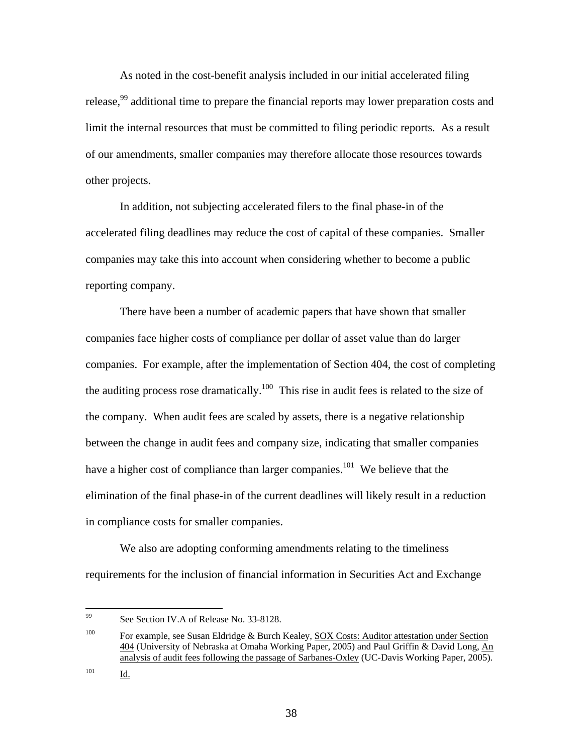As noted in the cost-benefit analysis included in our initial accelerated filing release,<sup>99</sup> additional time to prepare the financial reports may lower preparation costs and limit the internal resources that must be committed to filing periodic reports. As a result of our amendments, smaller companies may therefore allocate those resources towards other projects.

In addition, not subjecting accelerated filers to the final phase-in of the accelerated filing deadlines may reduce the cost of capital of these companies. Smaller companies may take this into account when considering whether to become a public reporting company.

There have been a number of academic papers that have shown that smaller companies face higher costs of compliance per dollar of asset value than do larger companies. For example, after the implementation of Section 404, the cost of completing the auditing process rose dramatically.<sup>100</sup> This rise in audit fees is related to the size of the company. When audit fees are scaled by assets, there is a negative relationship between the change in audit fees and company size, indicating that smaller companies have a higher cost of compliance than larger companies.<sup>101</sup> We believe that the elimination of the final phase-in of the current deadlines will likely result in a reduction in compliance costs for smaller companies.

We also are adopting conforming amendments relating to the timeliness requirements for the inclusion of financial information in Securities Act and Exchange

<sup>99</sup> See Section IV.A of Release No. 33-8128.

<sup>&</sup>lt;sup>100</sup> For example, see Susan Eldridge & Burch Kealey, SOX Costs: Auditor attestation under Section 404 (University of Nebraska at Omaha Working Paper, 2005) and Paul Griffin & David Long, An analysis of audit fees following the passage of Sarbanes-Oxley (UC-Davis Working Paper, 2005).

<sup>101</sup> **Id.**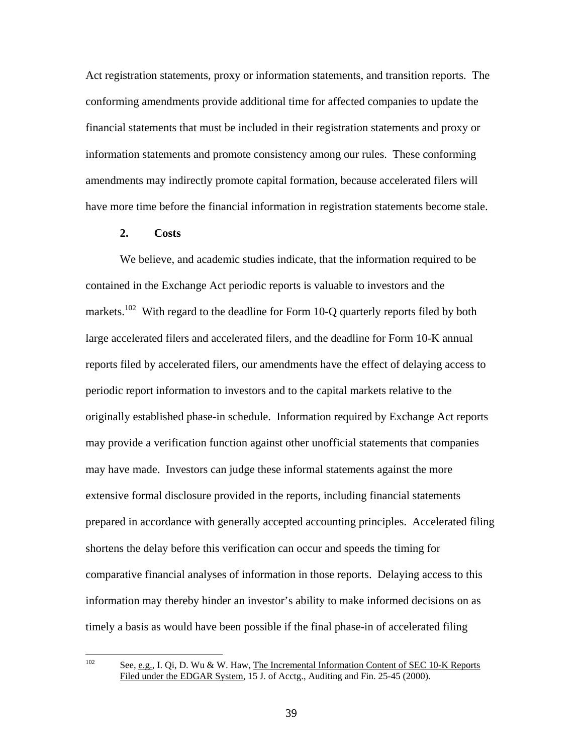Act registration statements, proxy or information statements, and transition reports. The conforming amendments provide additional time for affected companies to update the financial statements that must be included in their registration statements and proxy or information statements and promote consistency among our rules. These conforming amendments may indirectly promote capital formation, because accelerated filers will have more time before the financial information in registration statements become stale.

## **2. Costs**

We believe, and academic studies indicate, that the information required to be contained in the Exchange Act periodic reports is valuable to investors and the markets.<sup>102</sup> With regard to the deadline for Form 10-Q quarterly reports filed by both large accelerated filers and accelerated filers, and the deadline for Form 10-K annual reports filed by accelerated filers, our amendments have the effect of delaying access to periodic report information to investors and to the capital markets relative to the originally established phase-in schedule. Information required by Exchange Act reports may provide a verification function against other unofficial statements that companies may have made. Investors can judge these informal statements against the more extensive formal disclosure provided in the reports, including financial statements prepared in accordance with generally accepted accounting principles. Accelerated filing shortens the delay before this verification can occur and speeds the timing for comparative financial analyses of information in those reports. Delaying access to this information may thereby hinder an investor's ability to make informed decisions on as timely a basis as would have been possible if the final phase-in of accelerated filing

See, e.g., I. Qi, D. Wu & W. Haw, The Incremental Information Content of SEC 10-K Reports Filed under the EDGAR System, 15 J. of Acctg., Auditing and Fin. 25-45 (2000).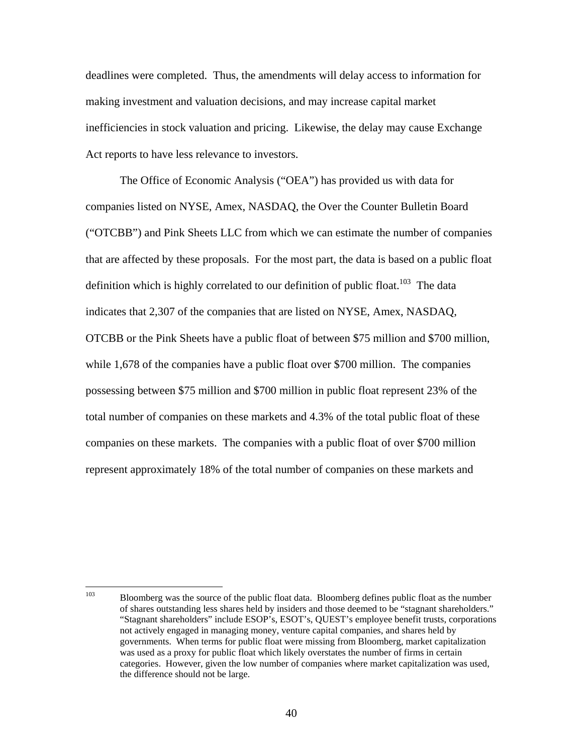deadlines were completed. Thus, the amendments will delay access to information for making investment and valuation decisions, and may increase capital market inefficiencies in stock valuation and pricing. Likewise, the delay may cause Exchange Act reports to have less relevance to investors.

The Office of Economic Analysis ("OEA") has provided us with data for companies listed on NYSE, Amex, NASDAQ, the Over the Counter Bulletin Board ("OTCBB") and Pink Sheets LLC from which we can estimate the number of companies that are affected by these proposals. For the most part, the data is based on a public float definition which is highly correlated to our definition of public float.<sup>103</sup> The data indicates that 2,307 of the companies that are listed on NYSE, Amex, NASDAQ, OTCBB or the Pink Sheets have a public float of between \$75 million and \$700 million, while 1,678 of the companies have a public float over \$700 million. The companies possessing between \$75 million and \$700 million in public float represent 23% of the total number of companies on these markets and 4.3% of the total public float of these companies on these markets. The companies with a public float of over \$700 million represent approximately 18% of the total number of companies on these markets and

<sup>103</sup> 103 Bloomberg was the source of the public float data. Bloomberg defines public float as the number of shares outstanding less shares held by insiders and those deemed to be "stagnant shareholders." "Stagnant shareholders" include ESOP's, ESOT's, QUEST's employee benefit trusts, corporations not actively engaged in managing money, venture capital companies, and shares held by governments. When terms for public float were missing from Bloomberg, market capitalization was used as a proxy for public float which likely overstates the number of firms in certain categories. However, given the low number of companies where market capitalization was used, the difference should not be large.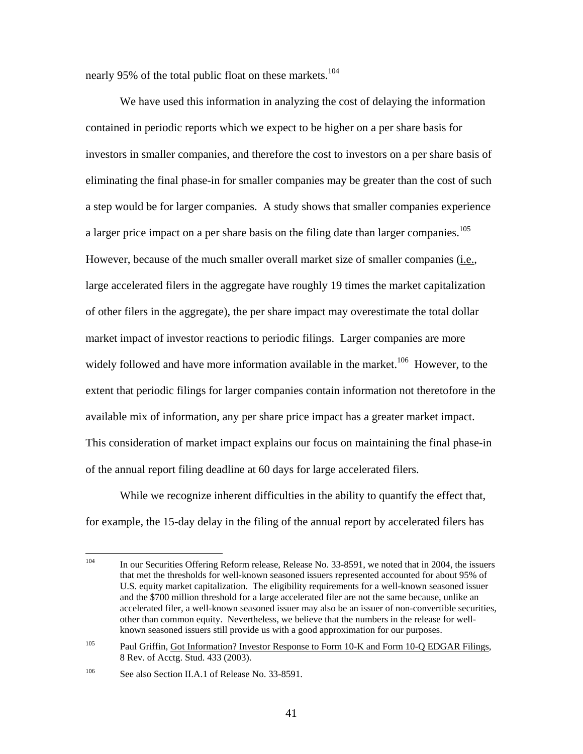nearly 95% of the total public float on these markets.<sup>104</sup>

We have used this information in analyzing the cost of delaying the information contained in periodic reports which we expect to be higher on a per share basis for investors in smaller companies, and therefore the cost to investors on a per share basis of eliminating the final phase-in for smaller companies may be greater than the cost of such a step would be for larger companies. A study shows that smaller companies experience a larger price impact on a per share basis on the filing date than larger companies.<sup>105</sup> However, because of the much smaller overall market size of smaller companies (i.e., large accelerated filers in the aggregate have roughly 19 times the market capitalization of other filers in the aggregate), the per share impact may overestimate the total dollar market impact of investor reactions to periodic filings. Larger companies are more widely followed and have more information available in the market.<sup>106</sup> However, to the extent that periodic filings for larger companies contain information not theretofore in the available mix of information, any per share price impact has a greater market impact. This consideration of market impact explains our focus on maintaining the final phase-in of the annual report filing deadline at 60 days for large accelerated filers.

While we recognize inherent difficulties in the ability to quantify the effect that, for example, the 15-day delay in the filing of the annual report by accelerated filers has

 $104$ In our Securities Offering Reform release, Release No. 33-8591, we noted that in 2004, the issuers that met the thresholds for well-known seasoned issuers represented accounted for about 95% of U.S. equity market capitalization. The eligibility requirements for a well-known seasoned issuer and the \$700 million threshold for a large accelerated filer are not the same because, unlike an accelerated filer, a well-known seasoned issuer may also be an issuer of non-convertible securities, other than common equity. Nevertheless, we believe that the numbers in the release for wellknown seasoned issuers still provide us with a good approximation for our purposes.

<sup>&</sup>lt;sup>105</sup> Paul Griffin, Got Information? Investor Response to Form 10-K and Form 10-Q EDGAR Filings, 8 Rev. of Acctg. Stud. 433 (2003).

<sup>&</sup>lt;sup>106</sup> See also Section II.A.1 of Release No. 33-8591.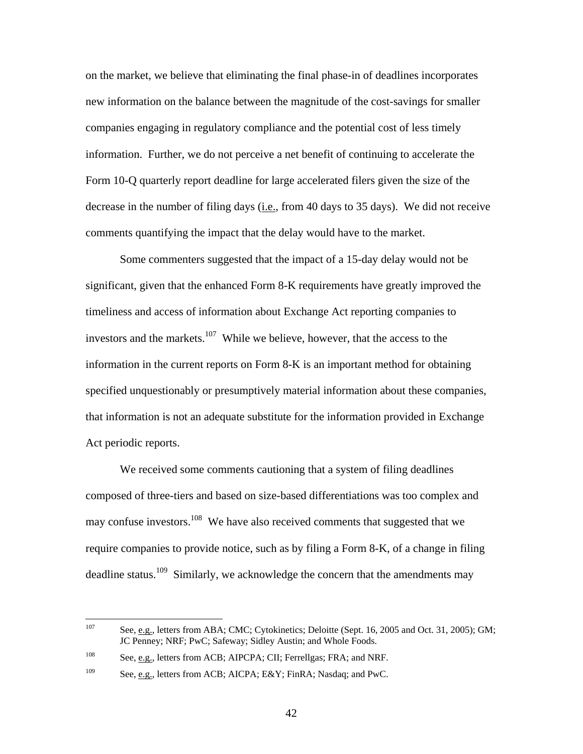on the market, we believe that eliminating the final phase-in of deadlines incorporates new information on the balance between the magnitude of the cost-savings for smaller companies engaging in regulatory compliance and the potential cost of less timely information. Further, we do not perceive a net benefit of continuing to accelerate the Form 10-Q quarterly report deadline for large accelerated filers given the size of the decrease in the number of filing days (i.e., from 40 days to 35 days). We did not receive comments quantifying the impact that the delay would have to the market.

Some commenters suggested that the impact of a 15-day delay would not be significant, given that the enhanced Form 8-K requirements have greatly improved the timeliness and access of information about Exchange Act reporting companies to investors and the markets. $107$  While we believe, however, that the access to the information in the current reports on Form 8-K is an important method for obtaining specified unquestionably or presumptively material information about these companies, that information is not an adequate substitute for the information provided in Exchange Act periodic reports.

We received some comments cautioning that a system of filing deadlines composed of three-tiers and based on size-based differentiations was too complex and may confuse investors.<sup>108</sup> We have also received comments that suggested that we require companies to provide notice, such as by filing a Form 8-K, of a change in filing deadline status.<sup>109</sup> Similarly, we acknowledge the concern that the amendments may

<sup>107</sup> See, e.g., letters from ABA; CMC; Cytokinetics; Deloitte (Sept. 16, 2005 and Oct. 31, 2005); GM; JC Penney; NRF; PwC; Safeway; Sidley Austin; and Whole Foods.

<sup>108</sup> See, e.g., letters from ACB; AIPCPA; CII; Ferrellgas; FRA; and NRF.

<sup>&</sup>lt;sup>109</sup> See, e.g., letters from ACB; AICPA; E&Y; FinRA; Nasdaq; and PwC.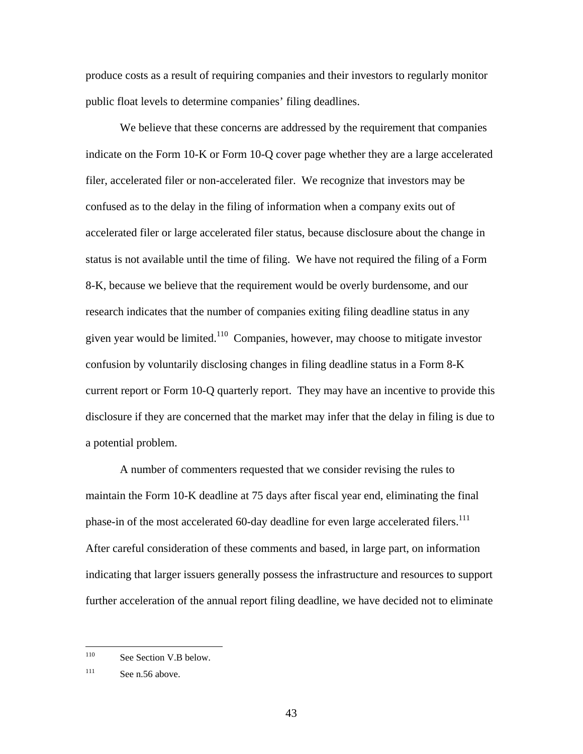produce costs as a result of requiring companies and their investors to regularly monitor public float levels to determine companies' filing deadlines.

We believe that these concerns are addressed by the requirement that companies indicate on the Form 10-K or Form 10-Q cover page whether they are a large accelerated filer, accelerated filer or non-accelerated filer. We recognize that investors may be confused as to the delay in the filing of information when a company exits out of accelerated filer or large accelerated filer status, because disclosure about the change in status is not available until the time of filing. We have not required the filing of a Form 8-K, because we believe that the requirement would be overly burdensome, and our research indicates that the number of companies exiting filing deadline status in any given year would be limited.110 Companies, however, may choose to mitigate investor confusion by voluntarily disclosing changes in filing deadline status in a Form 8-K current report or Form 10-Q quarterly report. They may have an incentive to provide this disclosure if they are concerned that the market may infer that the delay in filing is due to a potential problem.

A number of commenters requested that we consider revising the rules to maintain the Form 10-K deadline at 75 days after fiscal year end, eliminating the final phase-in of the most accelerated 60-day deadline for even large accelerated filers.<sup>111</sup> After careful consideration of these comments and based, in large part, on information indicating that larger issuers generally possess the infrastructure and resources to support further acceleration of the annual report filing deadline, we have decided not to eliminate

<sup>110</sup> See Section V.B below.

 $111$  See n.56 above.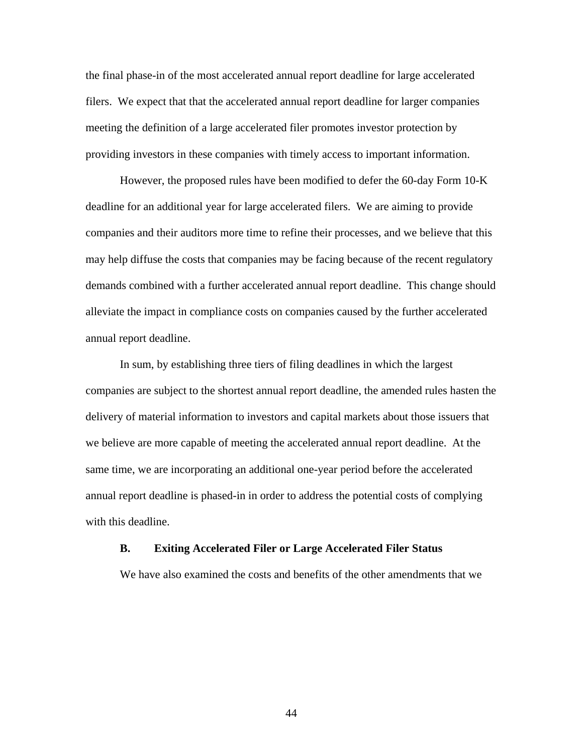the final phase-in of the most accelerated annual report deadline for large accelerated filers. We expect that that the accelerated annual report deadline for larger companies meeting the definition of a large accelerated filer promotes investor protection by providing investors in these companies with timely access to important information.

However, the proposed rules have been modified to defer the 60-day Form 10-K deadline for an additional year for large accelerated filers. We are aiming to provide companies and their auditors more time to refine their processes, and we believe that this may help diffuse the costs that companies may be facing because of the recent regulatory demands combined with a further accelerated annual report deadline. This change should alleviate the impact in compliance costs on companies caused by the further accelerated annual report deadline.

In sum, by establishing three tiers of filing deadlines in which the largest companies are subject to the shortest annual report deadline, the amended rules hasten the delivery of material information to investors and capital markets about those issuers that we believe are more capable of meeting the accelerated annual report deadline. At the same time, we are incorporating an additional one-year period before the accelerated annual report deadline is phased-in in order to address the potential costs of complying with this deadline.

#### **B. Exiting Accelerated Filer or Large Accelerated Filer Status**

We have also examined the costs and benefits of the other amendments that we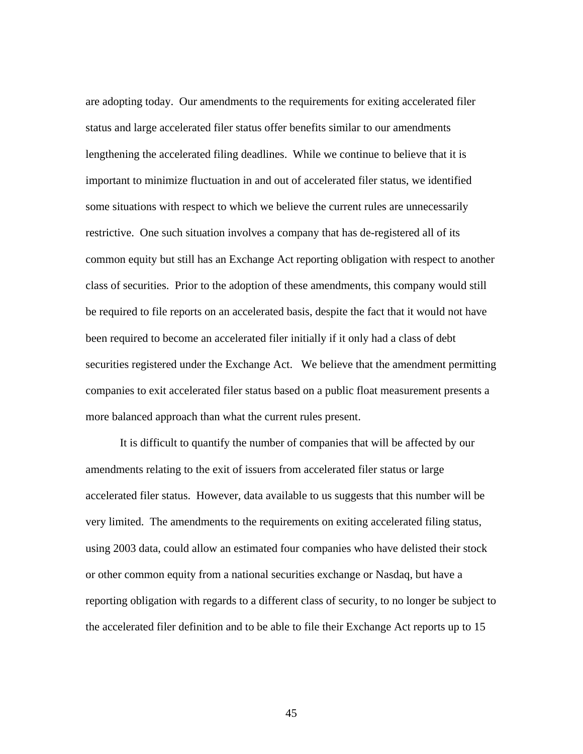are adopting today. Our amendments to the requirements for exiting accelerated filer status and large accelerated filer status offer benefits similar to our amendments lengthening the accelerated filing deadlines. While we continue to believe that it is important to minimize fluctuation in and out of accelerated filer status, we identified some situations with respect to which we believe the current rules are unnecessarily restrictive. One such situation involves a company that has de-registered all of its common equity but still has an Exchange Act reporting obligation with respect to another class of securities. Prior to the adoption of these amendments, this company would still be required to file reports on an accelerated basis, despite the fact that it would not have been required to become an accelerated filer initially if it only had a class of debt securities registered under the Exchange Act. We believe that the amendment permitting companies to exit accelerated filer status based on a public float measurement presents a more balanced approach than what the current rules present.

It is difficult to quantify the number of companies that will be affected by our amendments relating to the exit of issuers from accelerated filer status or large accelerated filer status. However, data available to us suggests that this number will be very limited. The amendments to the requirements on exiting accelerated filing status, using 2003 data, could allow an estimated four companies who have delisted their stock or other common equity from a national securities exchange or Nasdaq, but have a reporting obligation with regards to a different class of security, to no longer be subject to the accelerated filer definition and to be able to file their Exchange Act reports up to 15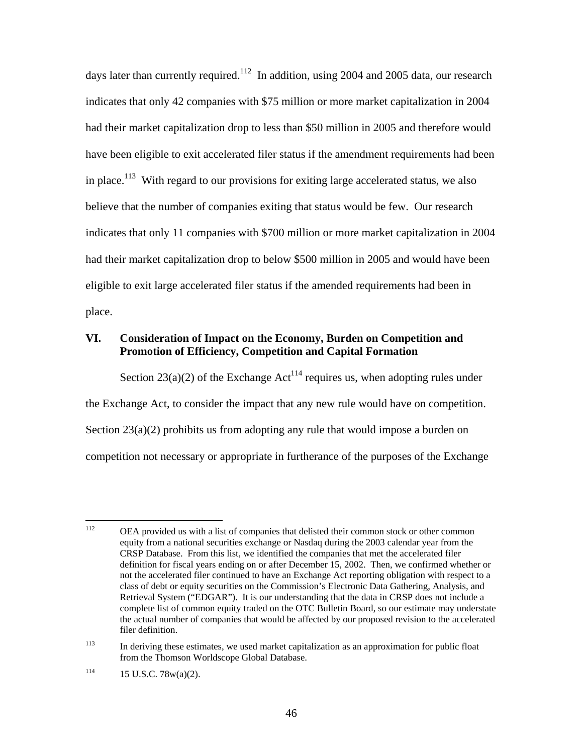days later than currently required.<sup>112</sup> In addition, using 2004 and 2005 data, our research indicates that only 42 companies with \$75 million or more market capitalization in 2004 had their market capitalization drop to less than \$50 million in 2005 and therefore would have been eligible to exit accelerated filer status if the amendment requirements had been in place.<sup>113</sup> With regard to our provisions for exiting large accelerated status, we also believe that the number of companies exiting that status would be few. Our research indicates that only 11 companies with \$700 million or more market capitalization in 2004 had their market capitalization drop to below \$500 million in 2005 and would have been eligible to exit large accelerated filer status if the amended requirements had been in place.

# **VI. Consideration of Impact on the Economy, Burden on Competition and Promotion of Efficiency, Competition and Capital Formation**

Section 23(a)(2) of the Exchange Act<sup>114</sup> requires us, when adopting rules under the Exchange Act, to consider the impact that any new rule would have on competition. Section  $23(a)(2)$  prohibits us from adopting any rule that would impose a burden on competition not necessary or appropriate in furtherance of the purposes of the Exchange

<sup>112</sup> 112 OEA provided us with a list of companies that delisted their common stock or other common equity from a national securities exchange or Nasdaq during the 2003 calendar year from the CRSP Database. From this list, we identified the companies that met the accelerated filer definition for fiscal years ending on or after December 15, 2002. Then, we confirmed whether or not the accelerated filer continued to have an Exchange Act reporting obligation with respect to a class of debt or equity securities on the Commission's Electronic Data Gathering, Analysis, and Retrieval System ("EDGAR"). It is our understanding that the data in CRSP does not include a complete list of common equity traded on the OTC Bulletin Board, so our estimate may understate the actual number of companies that would be affected by our proposed revision to the accelerated filer definition.

<sup>&</sup>lt;sup>113</sup> In deriving these estimates, we used market capitalization as an approximation for public float from the Thomson Worldscope Global Database.

 $114$  15 U.S.C. 78w(a)(2).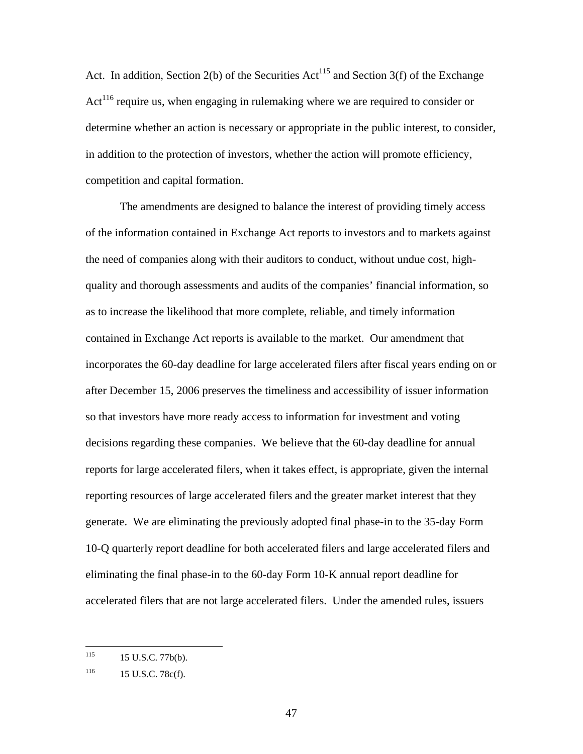Act. In addition, Section 2(b) of the Securities  $Act^{115}$  and Section 3(f) of the Exchange  $Act<sup>116</sup>$  require us, when engaging in rulemaking where we are required to consider or determine whether an action is necessary or appropriate in the public interest, to consider, in addition to the protection of investors, whether the action will promote efficiency, competition and capital formation.

The amendments are designed to balance the interest of providing timely access of the information contained in Exchange Act reports to investors and to markets against the need of companies along with their auditors to conduct, without undue cost, highquality and thorough assessments and audits of the companies' financial information, so as to increase the likelihood that more complete, reliable, and timely information contained in Exchange Act reports is available to the market. Our amendment that incorporates the 60-day deadline for large accelerated filers after fiscal years ending on or after December 15, 2006 preserves the timeliness and accessibility of issuer information so that investors have more ready access to information for investment and voting decisions regarding these companies. We believe that the 60-day deadline for annual reports for large accelerated filers, when it takes effect, is appropriate, given the internal reporting resources of large accelerated filers and the greater market interest that they generate. We are eliminating the previously adopted final phase-in to the 35-day Form 10-Q quarterly report deadline for both accelerated filers and large accelerated filers and eliminating the final phase-in to the 60-day Form 10-K annual report deadline for accelerated filers that are not large accelerated filers. Under the amended rules, issuers

<sup>115</sup> 15 U.S.C. 77b(b).

 $116$  15 U.S.C. 78c(f).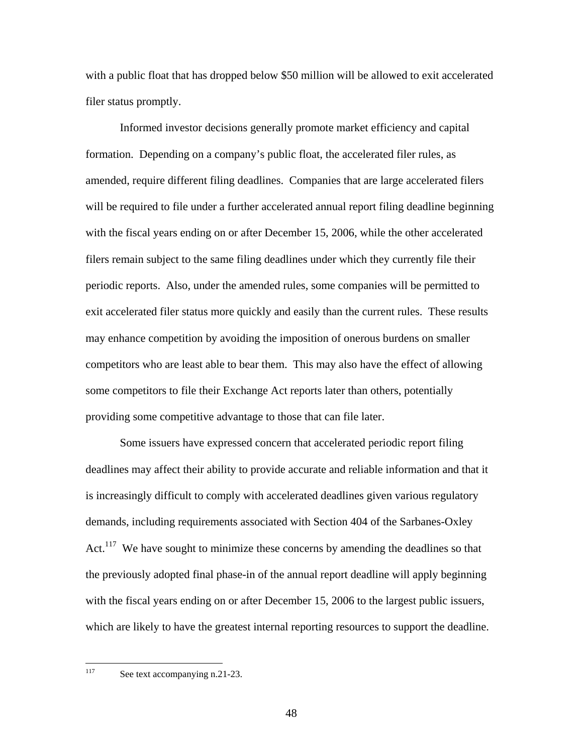with a public float that has dropped below \$50 million will be allowed to exit accelerated filer status promptly.

Informed investor decisions generally promote market efficiency and capital formation. Depending on a company's public float, the accelerated filer rules, as amended, require different filing deadlines. Companies that are large accelerated filers will be required to file under a further accelerated annual report filing deadline beginning with the fiscal years ending on or after December 15, 2006, while the other accelerated filers remain subject to the same filing deadlines under which they currently file their periodic reports. Also, under the amended rules, some companies will be permitted to exit accelerated filer status more quickly and easily than the current rules. These results may enhance competition by avoiding the imposition of onerous burdens on smaller competitors who are least able to bear them. This may also have the effect of allowing some competitors to file their Exchange Act reports later than others, potentially providing some competitive advantage to those that can file later.

Some issuers have expressed concern that accelerated periodic report filing deadlines may affect their ability to provide accurate and reliable information and that it is increasingly difficult to comply with accelerated deadlines given various regulatory demands, including requirements associated with Section 404 of the Sarbanes-Oxley Act.<sup>117</sup> We have sought to minimize these concerns by amending the deadlines so that the previously adopted final phase-in of the annual report deadline will apply beginning with the fiscal years ending on or after December 15, 2006 to the largest public issuers, which are likely to have the greatest internal reporting resources to support the deadline.

See text accompanying n.21-23.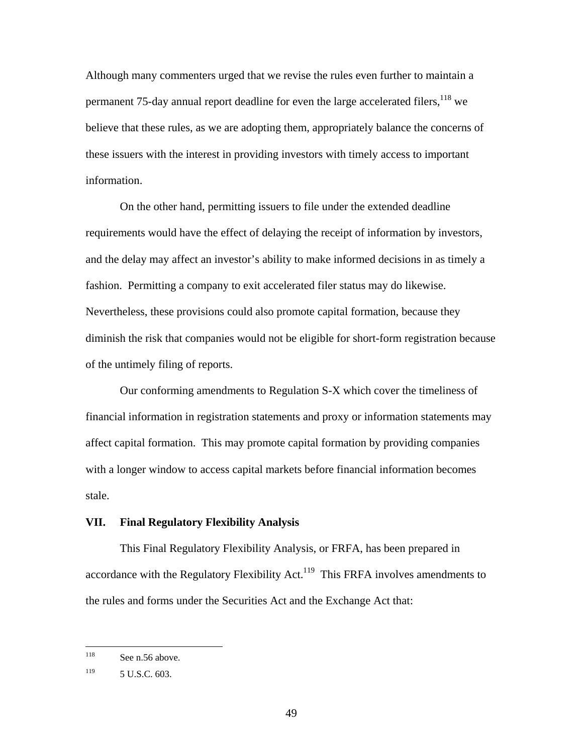Although many commenters urged that we revise the rules even further to maintain a permanent 75-day annual report deadline for even the large accelerated filers, <sup>118</sup> we believe that these rules, as we are adopting them, appropriately balance the concerns of these issuers with the interest in providing investors with timely access to important information.

On the other hand, permitting issuers to file under the extended deadline requirements would have the effect of delaying the receipt of information by investors, and the delay may affect an investor's ability to make informed decisions in as timely a fashion. Permitting a company to exit accelerated filer status may do likewise. Nevertheless, these provisions could also promote capital formation, because they diminish the risk that companies would not be eligible for short-form registration because of the untimely filing of reports.

Our conforming amendments to Regulation S-X which cover the timeliness of financial information in registration statements and proxy or information statements may affect capital formation. This may promote capital formation by providing companies with a longer window to access capital markets before financial information becomes stale.

### **VII. Final Regulatory Flexibility Analysis**

This Final Regulatory Flexibility Analysis, or FRFA, has been prepared in accordance with the Regulatory Flexibility Act.<sup>119</sup> This FRFA involves amendments to the rules and forms under the Securities Act and the Exchange Act that:

<sup>118</sup> See n.56 above.

 $119$  5 U.S.C. 603.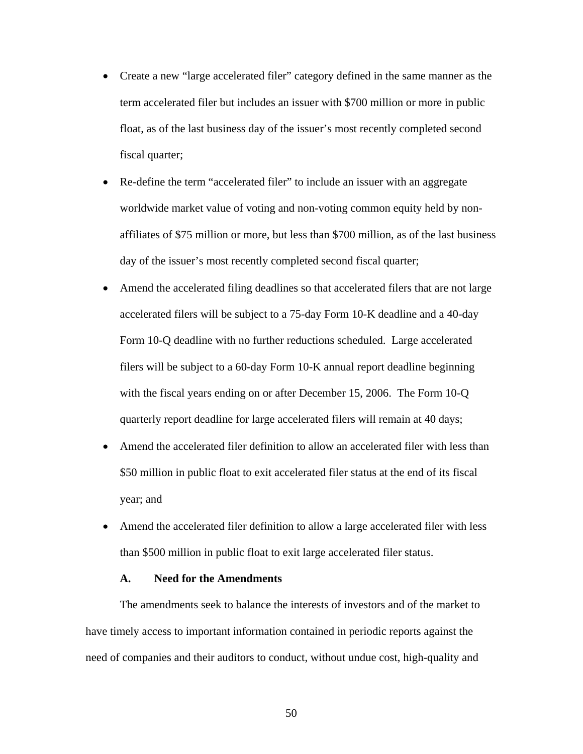- Create a new "large accelerated filer" category defined in the same manner as the term accelerated filer but includes an issuer with \$700 million or more in public float, as of the last business day of the issuer's most recently completed second fiscal quarter;
- Re-define the term "accelerated filer" to include an issuer with an aggregate worldwide market value of voting and non-voting common equity held by nonaffiliates of \$75 million or more, but less than \$700 million, as of the last business day of the issuer's most recently completed second fiscal quarter;
- Amend the accelerated filing deadlines so that accelerated filers that are not large accelerated filers will be subject to a 75-day Form 10-K deadline and a 40-day Form 10-Q deadline with no further reductions scheduled. Large accelerated filers will be subject to a 60-day Form 10-K annual report deadline beginning with the fiscal years ending on or after December 15, 2006. The Form 10-Q quarterly report deadline for large accelerated filers will remain at 40 days;
- Amend the accelerated filer definition to allow an accelerated filer with less than \$50 million in public float to exit accelerated filer status at the end of its fiscal year; and
- Amend the accelerated filer definition to allow a large accelerated filer with less than \$500 million in public float to exit large accelerated filer status.

### **A. Need for the Amendments**

The amendments seek to balance the interests of investors and of the market to have timely access to important information contained in periodic reports against the need of companies and their auditors to conduct, without undue cost, high-quality and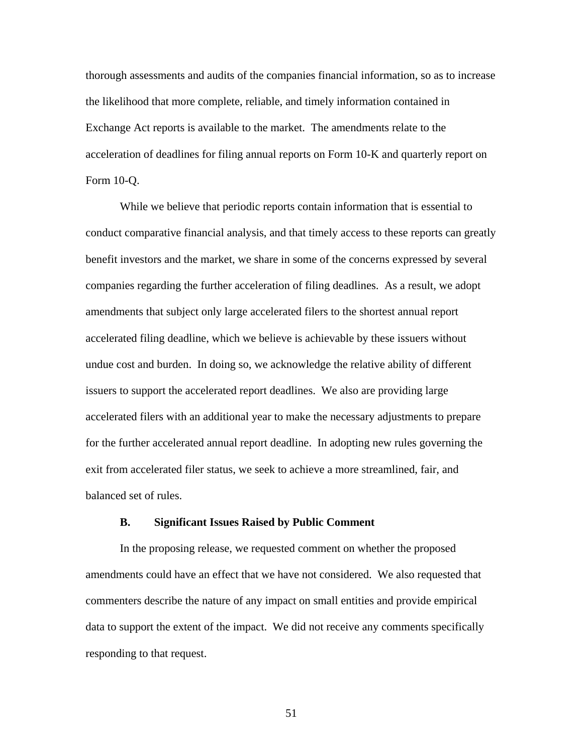thorough assessments and audits of the companies financial information, so as to increase the likelihood that more complete, reliable, and timely information contained in Exchange Act reports is available to the market. The amendments relate to the acceleration of deadlines for filing annual reports on Form 10-K and quarterly report on Form 10-Q.

While we believe that periodic reports contain information that is essential to conduct comparative financial analysis, and that timely access to these reports can greatly benefit investors and the market, we share in some of the concerns expressed by several companies regarding the further acceleration of filing deadlines. As a result, we adopt amendments that subject only large accelerated filers to the shortest annual report accelerated filing deadline, which we believe is achievable by these issuers without undue cost and burden. In doing so, we acknowledge the relative ability of different issuers to support the accelerated report deadlines. We also are providing large accelerated filers with an additional year to make the necessary adjustments to prepare for the further accelerated annual report deadline. In adopting new rules governing the exit from accelerated filer status, we seek to achieve a more streamlined, fair, and balanced set of rules.

### **B. Significant Issues Raised by Public Comment**

In the proposing release, we requested comment on whether the proposed amendments could have an effect that we have not considered. We also requested that commenters describe the nature of any impact on small entities and provide empirical data to support the extent of the impact. We did not receive any comments specifically responding to that request.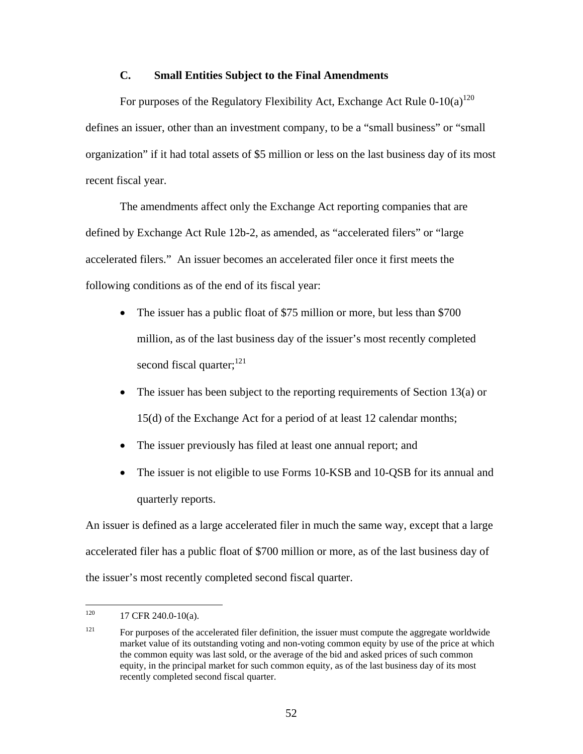## **C. Small Entities Subject to the Final Amendments**

For purposes of the Regulatory Flexibility Act, Exchange Act Rule  $0-10(a)^{120}$ defines an issuer, other than an investment company, to be a "small business" or "small organization" if it had total assets of \$5 million or less on the last business day of its most recent fiscal year.

The amendments affect only the Exchange Act reporting companies that are defined by Exchange Act Rule 12b-2, as amended, as "accelerated filers" or "large accelerated filers." An issuer becomes an accelerated filer once it first meets the following conditions as of the end of its fiscal year:

- The issuer has a public float of \$75 million or more, but less than \$700 million, as of the last business day of the issuer's most recently completed second fiscal quarter; $^{121}$
- The issuer has been subject to the reporting requirements of Section 13(a) or 15(d) of the Exchange Act for a period of at least 12 calendar months;
- The issuer previously has filed at least one annual report; and
- The issuer is not eligible to use Forms 10-KSB and 10-OSB for its annual and quarterly reports.

An issuer is defined as a large accelerated filer in much the same way, except that a large accelerated filer has a public float of \$700 million or more, as of the last business day of the issuer's most recently completed second fiscal quarter.

<sup>120</sup> 17 CFR 240.0-10(a).

 $121$  For purposes of the accelerated filer definition, the issuer must compute the aggregate worldwide market value of its outstanding voting and non-voting common equity by use of the price at which the common equity was last sold, or the average of the bid and asked prices of such common equity, in the principal market for such common equity, as of the last business day of its most recently completed second fiscal quarter.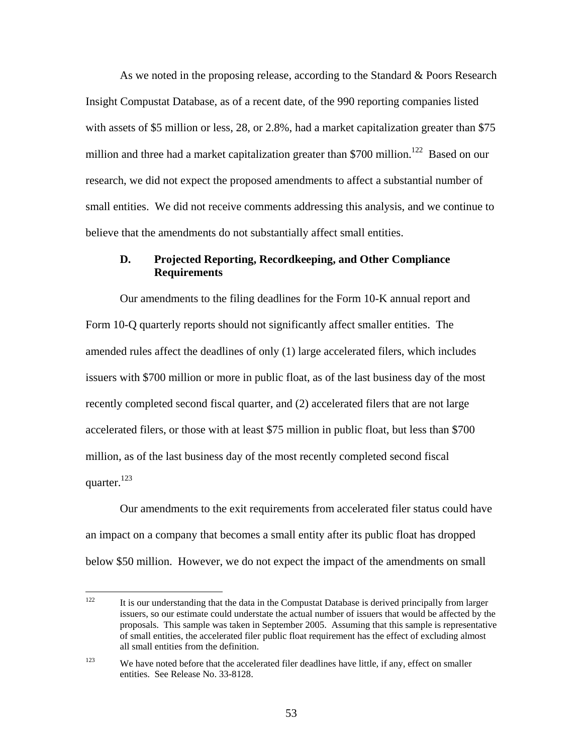As we noted in the proposing release, according to the Standard & Poors Research Insight Compustat Database, as of a recent date, of the 990 reporting companies listed with assets of \$5 million or less, 28, or 2.8%, had a market capitalization greater than \$75 million and three had a market capitalization greater than \$700 million.<sup>122</sup> Based on our research, we did not expect the proposed amendments to affect a substantial number of small entities. We did not receive comments addressing this analysis, and we continue to believe that the amendments do not substantially affect small entities.

# **D. Projected Reporting, Recordkeeping, and Other Compliance Requirements**

Our amendments to the filing deadlines for the Form 10-K annual report and Form 10-Q quarterly reports should not significantly affect smaller entities. The amended rules affect the deadlines of only (1) large accelerated filers, which includes issuers with \$700 million or more in public float, as of the last business day of the most recently completed second fiscal quarter, and (2) accelerated filers that are not large accelerated filers, or those with at least \$75 million in public float, but less than \$700 million, as of the last business day of the most recently completed second fiscal quarter. $^{123}$ 

Our amendments to the exit requirements from accelerated filer status could have an impact on a company that becomes a small entity after its public float has dropped below \$50 million. However, we do not expect the impact of the amendments on small

 $122$ It is our understanding that the data in the Compustat Database is derived principally from larger issuers, so our estimate could understate the actual number of issuers that would be affected by the proposals. This sample was taken in September 2005. Assuming that this sample is representative of small entities, the accelerated filer public float requirement has the effect of excluding almost all small entities from the definition.

 $123$  We have noted before that the accelerated filer deadlines have little, if any, effect on smaller entities. See Release No. 33-8128.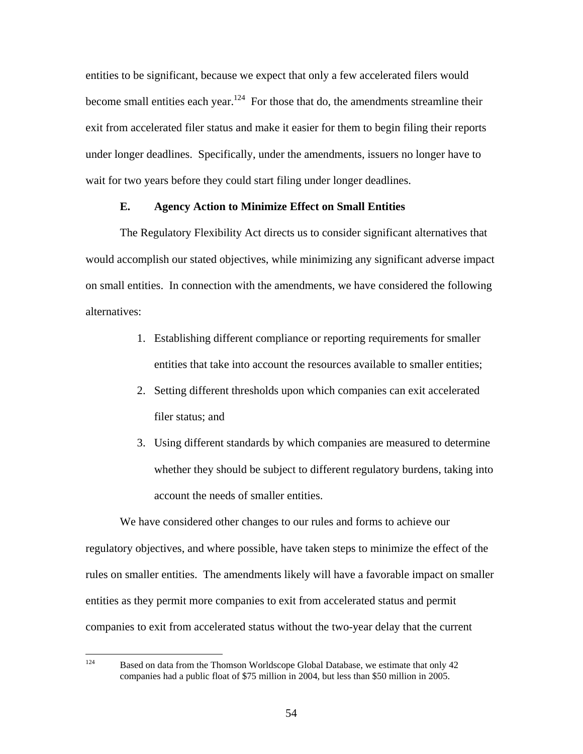entities to be significant, because we expect that only a few accelerated filers would become small entities each year.<sup>124</sup> For those that do, the amendments streamline their exit from accelerated filer status and make it easier for them to begin filing their reports under longer deadlines. Specifically, under the amendments, issuers no longer have to wait for two years before they could start filing under longer deadlines.

### **E. Agency Action to Minimize Effect on Small Entities**

The Regulatory Flexibility Act directs us to consider significant alternatives that would accomplish our stated objectives, while minimizing any significant adverse impact on small entities. In connection with the amendments, we have considered the following alternatives:

- 1. Establishing different compliance or reporting requirements for smaller entities that take into account the resources available to smaller entities;
- 2. Setting different thresholds upon which companies can exit accelerated filer status; and
- 3. Using different standards by which companies are measured to determine whether they should be subject to different regulatory burdens, taking into account the needs of smaller entities.

We have considered other changes to our rules and forms to achieve our regulatory objectives, and where possible, have taken steps to minimize the effect of the rules on smaller entities. The amendments likely will have a favorable impact on smaller entities as they permit more companies to exit from accelerated status and permit companies to exit from accelerated status without the two-year delay that the current

Based on data from the Thomson Worldscope Global Database, we estimate that only 42 companies had a public float of \$75 million in 2004, but less than \$50 million in 2005.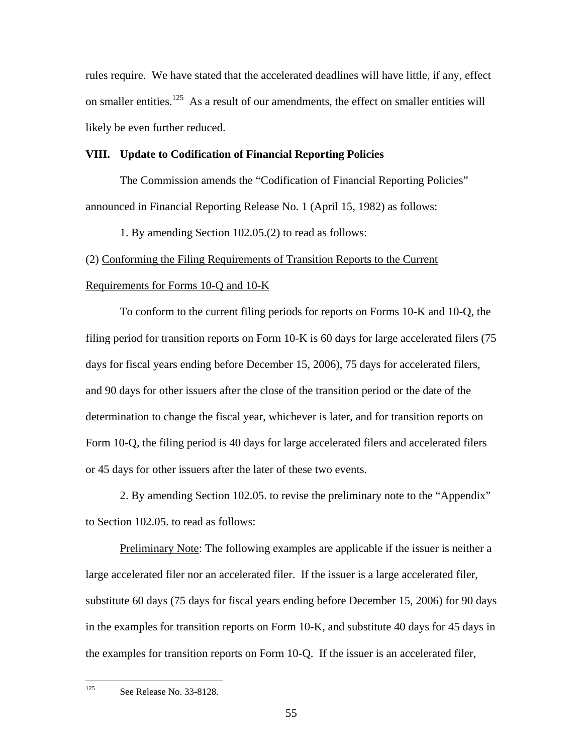rules require. We have stated that the accelerated deadlines will have little, if any, effect on smaller entities.<sup>125</sup> As a result of our amendments, the effect on smaller entities will likely be even further reduced.

### **VIII. Update to Codification of Financial Reporting Policies**

The Commission amends the "Codification of Financial Reporting Policies" announced in Financial Reporting Release No. 1 (April 15, 1982) as follows:

1. By amending Section 102.05.(2) to read as follows:

### (2) Conforming the Filing Requirements of Transition Reports to the Current

### Requirements for Forms 10-Q and 10-K

To conform to the current filing periods for reports on Forms 10-K and 10-Q, the filing period for transition reports on Form 10-K is 60 days for large accelerated filers (75 days for fiscal years ending before December 15, 2006), 75 days for accelerated filers, and 90 days for other issuers after the close of the transition period or the date of the determination to change the fiscal year, whichever is later, and for transition reports on Form 10-Q, the filing period is 40 days for large accelerated filers and accelerated filers or 45 days for other issuers after the later of these two events.

2. By amending Section 102.05. to revise the preliminary note to the "Appendix" to Section 102.05. to read as follows:

Preliminary Note: The following examples are applicable if the issuer is neither a large accelerated filer nor an accelerated filer. If the issuer is a large accelerated filer, substitute 60 days (75 days for fiscal years ending before December 15, 2006) for 90 days in the examples for transition reports on Form 10-K, and substitute 40 days for 45 days in the examples for transition reports on Form 10-Q. If the issuer is an accelerated filer,

<sup>125</sup> See Release No. 33-8128.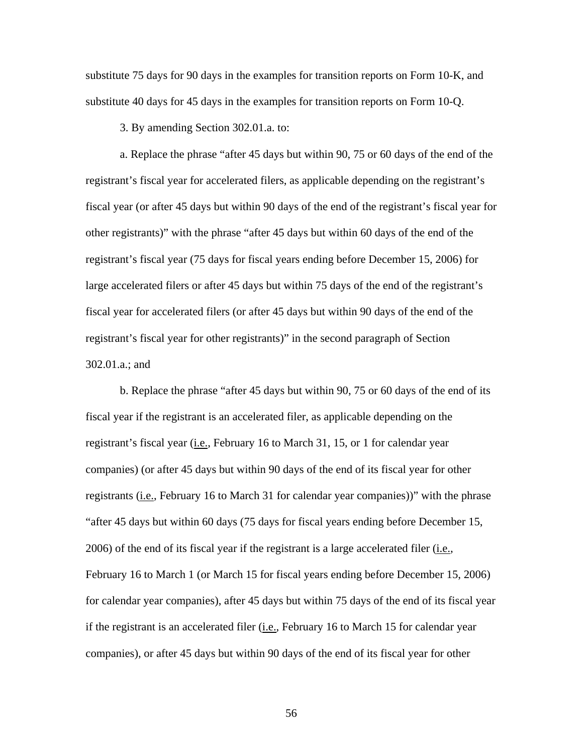substitute 75 days for 90 days in the examples for transition reports on Form 10-K, and substitute 40 days for 45 days in the examples for transition reports on Form 10-Q.

3. By amending Section 302.01.a. to:

a. Replace the phrase "after 45 days but within 90, 75 or 60 days of the end of the registrant's fiscal year for accelerated filers, as applicable depending on the registrant's fiscal year (or after 45 days but within 90 days of the end of the registrant's fiscal year for other registrants)" with the phrase "after 45 days but within 60 days of the end of the registrant's fiscal year (75 days for fiscal years ending before December 15, 2006) for large accelerated filers or after 45 days but within 75 days of the end of the registrant's fiscal year for accelerated filers (or after 45 days but within 90 days of the end of the registrant's fiscal year for other registrants)" in the second paragraph of Section 302.01.a.; and

b. Replace the phrase "after 45 days but within 90, 75 or 60 days of the end of its fiscal year if the registrant is an accelerated filer, as applicable depending on the registrant's fiscal year (i.e., February 16 to March 31, 15, or 1 for calendar year companies) (or after 45 days but within 90 days of the end of its fiscal year for other registrants (*i.e.*, February 16 to March 31 for calendar year companies))" with the phrase "after 45 days but within 60 days (75 days for fiscal years ending before December 15, 2006) of the end of its fiscal year if the registrant is a large accelerated filer  $(i.e.,$ February 16 to March 1 (or March 15 for fiscal years ending before December 15, 2006) for calendar year companies), after 45 days but within 75 days of the end of its fiscal year if the registrant is an accelerated filer (i.e., February 16 to March 15 for calendar year companies), or after 45 days but within 90 days of the end of its fiscal year for other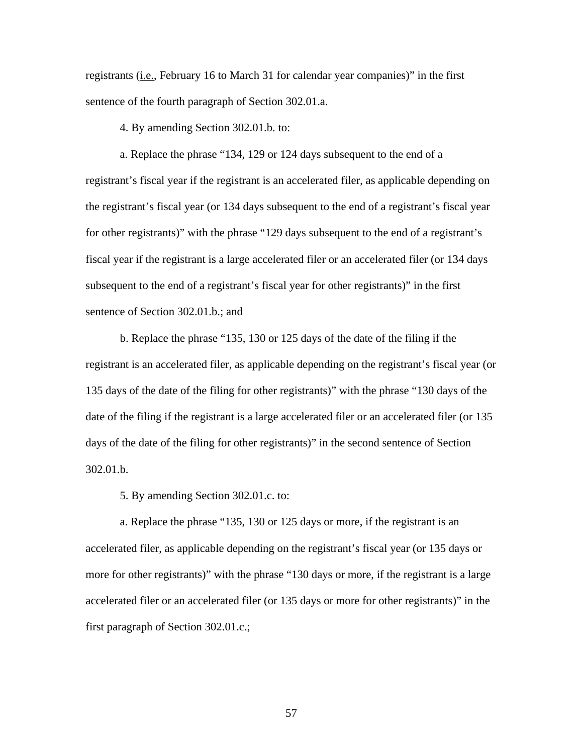registrants (i.e., February 16 to March 31 for calendar year companies)" in the first sentence of the fourth paragraph of Section 302.01.a.

4. By amending Section 302.01.b. to:

a. Replace the phrase "134, 129 or 124 days subsequent to the end of a registrant's fiscal year if the registrant is an accelerated filer, as applicable depending on the registrant's fiscal year (or 134 days subsequent to the end of a registrant's fiscal year for other registrants)" with the phrase "129 days subsequent to the end of a registrant's fiscal year if the registrant is a large accelerated filer or an accelerated filer (or 134 days subsequent to the end of a registrant's fiscal year for other registrants)" in the first sentence of Section 302.01.b.; and

b. Replace the phrase "135, 130 or 125 days of the date of the filing if the registrant is an accelerated filer, as applicable depending on the registrant's fiscal year (or 135 days of the date of the filing for other registrants)" with the phrase "130 days of the date of the filing if the registrant is a large accelerated filer or an accelerated filer (or 135 days of the date of the filing for other registrants)" in the second sentence of Section 302.01.b.

5. By amending Section 302.01.c. to:

a. Replace the phrase "135, 130 or 125 days or more, if the registrant is an accelerated filer, as applicable depending on the registrant's fiscal year (or 135 days or more for other registrants)" with the phrase "130 days or more, if the registrant is a large accelerated filer or an accelerated filer (or 135 days or more for other registrants)" in the first paragraph of Section 302.01.c.;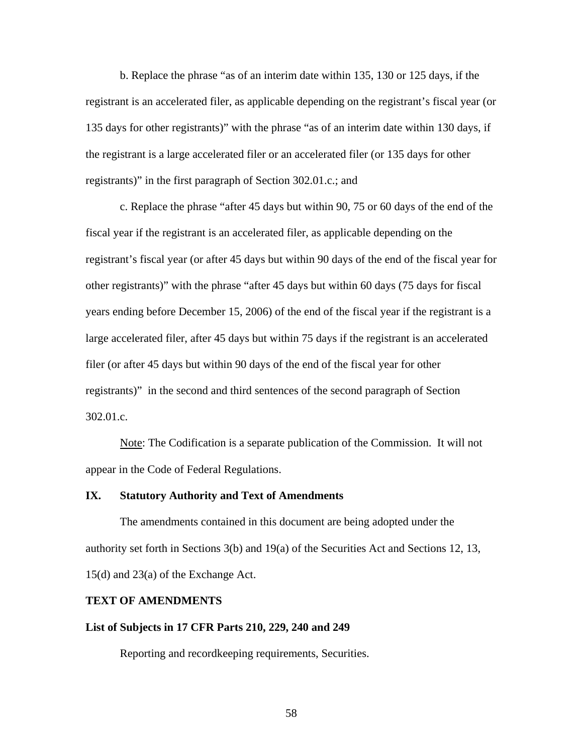b. Replace the phrase "as of an interim date within 135, 130 or 125 days, if the registrant is an accelerated filer, as applicable depending on the registrant's fiscal year (or 135 days for other registrants)" with the phrase "as of an interim date within 130 days, if the registrant is a large accelerated filer or an accelerated filer (or 135 days for other registrants)" in the first paragraph of Section 302.01.c.; and

c. Replace the phrase "after 45 days but within 90, 75 or 60 days of the end of the fiscal year if the registrant is an accelerated filer, as applicable depending on the registrant's fiscal year (or after 45 days but within 90 days of the end of the fiscal year for other registrants)" with the phrase "after 45 days but within 60 days (75 days for fiscal years ending before December 15, 2006) of the end of the fiscal year if the registrant is a large accelerated filer, after 45 days but within 75 days if the registrant is an accelerated filer (or after 45 days but within 90 days of the end of the fiscal year for other registrants)" in the second and third sentences of the second paragraph of Section 302.01.c.

Note: The Codification is a separate publication of the Commission. It will not appear in the Code of Federal Regulations.

### **IX. Statutory Authority and Text of Amendments**

The amendments contained in this document are being adopted under the authority set forth in Sections 3(b) and 19(a) of the Securities Act and Sections 12, 13, 15(d) and 23(a) of the Exchange Act.

#### **TEXT OF AMENDMENTS**

### **List of Subjects in 17 CFR Parts 210, 229, 240 and 249**

Reporting and recordkeeping requirements, Securities.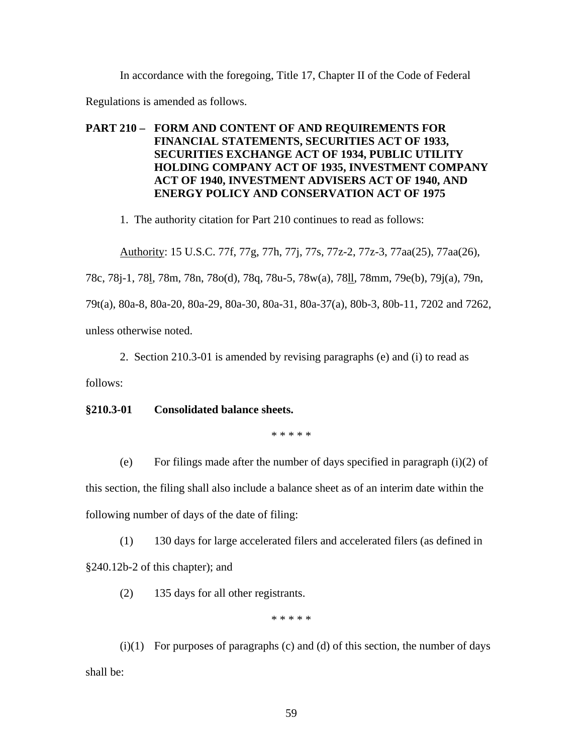In accordance with the foregoing, Title 17, Chapter II of the Code of Federal

Regulations is amended as follows.

# **PART 210 – FORM AND CONTENT OF AND REQUIREMENTS FOR FINANCIAL STATEMENTS, SECURITIES ACT OF 1933, SECURITIES EXCHANGE ACT OF 1934, PUBLIC UTILITY HOLDING COMPANY ACT OF 1935, INVESTMENT COMPANY ACT OF 1940, INVESTMENT ADVISERS ACT OF 1940, AND ENERGY POLICY AND CONSERVATION ACT OF 1975**

1. The authority citation for Part 210 continues to read as follows:

Authority: 15 U.S.C. 77f, 77g, 77h, 77j, 77s, 77z-2, 77z-3, 77aa(25), 77aa(26),

78c, 78j-1, 78l, 78m, 78n, 78o(d), 78q, 78u-5, 78w(a), 78ll, 78mm, 79e(b), 79j(a), 79n,

79t(a), 80a-8, 80a-20, 80a-29, 80a-30, 80a-31, 80a-37(a), 80b-3, 80b-11, 7202 and 7262,

unless otherwise noted.

2. Section 210.3-01 is amended by revising paragraphs (e) and (i) to read as

follows:

# **§210.3-01 Consolidated balance sheets.**

\* \* \* \* \*

(e) For filings made after the number of days specified in paragraph  $(i)(2)$  of

this section, the filing shall also include a balance sheet as of an interim date within the following number of days of the date of filing:

(1) 130 days for large accelerated filers and accelerated filers (as defined in §240.12b-2 of this chapter); and

(2) 135 days for all other registrants.

\* \* \* \* \*

 $(i)(1)$  For purposes of paragraphs  $(c)$  and  $(d)$  of this section, the number of days shall be: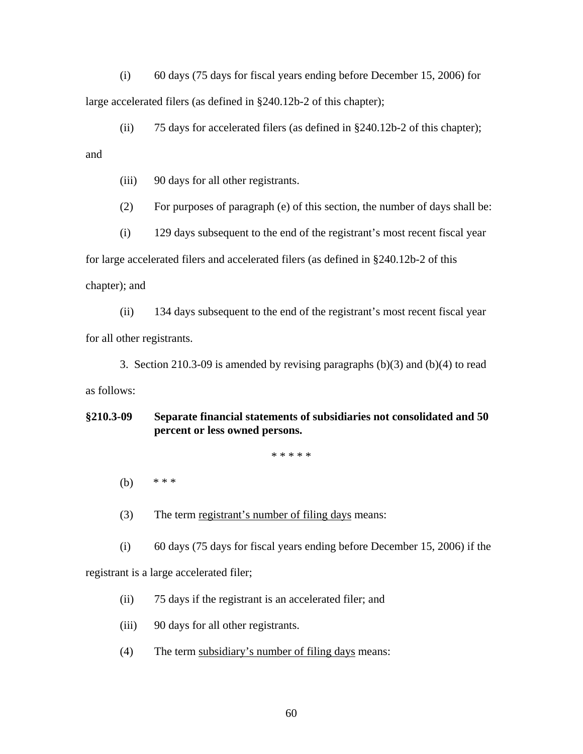(i) 60 days (75 days for fiscal years ending before December 15, 2006) for large accelerated filers (as defined in §240.12b-2 of this chapter);

(ii) 75 days for accelerated filers (as defined in  $\S$ 240.12b-2 of this chapter);

and

(iii) 90 days for all other registrants.

(2) For purposes of paragraph (e) of this section, the number of days shall be:

(i) 129 days subsequent to the end of the registrant's most recent fiscal year for large accelerated filers and accelerated filers (as defined in §240.12b-2 of this chapter); and

(ii) 134 days subsequent to the end of the registrant's most recent fiscal year for all other registrants.

3. Section 210.3-09 is amended by revising paragraphs (b)(3) and (b)(4) to read as follows:

**§210.3-09 Separate financial statements of subsidiaries not consolidated and 50 percent or less owned persons.** 

\* \* \* \* \*

- (b) \* \* \*
- (3) The term registrant's number of filing days means:

(i) 60 days (75 days for fiscal years ending before December 15, 2006) if the

registrant is a large accelerated filer;

(ii) 75 days if the registrant is an accelerated filer; and

(iii) 90 days for all other registrants.

(4) The term subsidiary's number of filing days means: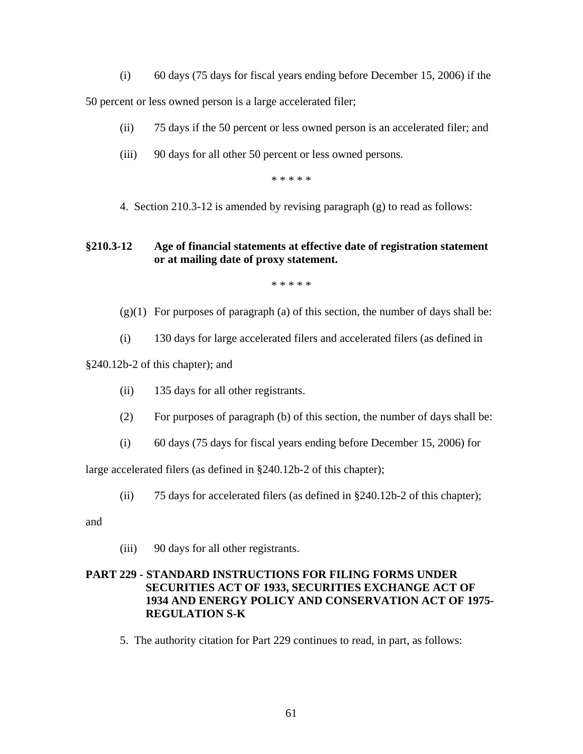(i) 60 days (75 days for fiscal years ending before December 15, 2006) if the

50 percent or less owned person is a large accelerated filer;

- (ii) 75 days if the 50 percent or less owned person is an accelerated filer; and
- (iii) 90 days for all other 50 percent or less owned persons.

\* \* \* \* \*

4. Section 210.3-12 is amended by revising paragraph (g) to read as follows:

# **§210.3-12 Age of financial statements at effective date of registration statement or at mailing date of proxy statement.**

\* \* \* \* \*

- $(g)(1)$  For purposes of paragraph (a) of this section, the number of days shall be:
- (i) 130 days for large accelerated filers and accelerated filers (as defined in

§240.12b-2 of this chapter); and

- (ii) 135 days for all other registrants.
- (2) For purposes of paragraph (b) of this section, the number of days shall be:
- (i) 60 days (75 days for fiscal years ending before December 15, 2006) for

large accelerated filers (as defined in §240.12b-2 of this chapter);

(ii) 75 days for accelerated filers (as defined in §240.12b-2 of this chapter);

and

(iii) 90 days for all other registrants.

# **PART 229 - STANDARD INSTRUCTIONS FOR FILING FORMS UNDER SECURITIES ACT OF 1933, SECURITIES EXCHANGE ACT OF 1934 AND ENERGY POLICY AND CONSERVATION ACT OF 1975- REGULATION S-K**

5. The authority citation for Part 229 continues to read, in part, as follows: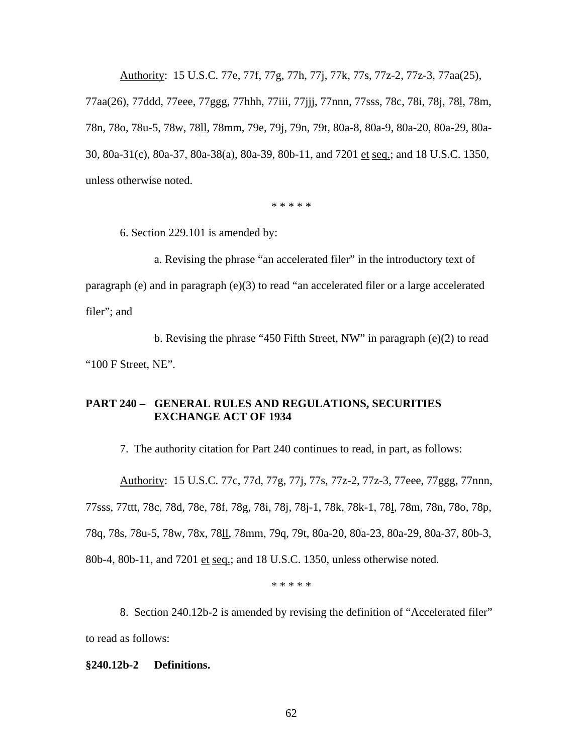Authority: 15 U.S.C. 77e, 77f, 77g, 77h, 77j, 77k, 77s, 77z-2, 77z-3, 77aa(25), 77aa(26), 77ddd, 77eee, 77ggg, 77hhh, 77iii, 77jjj, 77nnn, 77sss, 78c, 78i, 78j, 78l, 78m, 78n, 78o, 78u-5, 78w, 78ll, 78mm, 79e, 79j, 79n, 79t, 80a-8, 80a-9, 80a-20, 80a-29, 80a-30, 80a-31(c), 80a-37, 80a-38(a), 80a-39, 80b-11, and 7201 et seq.; and 18 U.S.C. 1350, unless otherwise noted.

\* \* \* \* \*

6. Section 229.101 is amended by:

a. Revising the phrase "an accelerated filer" in the introductory text of paragraph (e) and in paragraph (e)(3) to read "an accelerated filer or a large accelerated filer"; and

b. Revising the phrase "450 Fifth Street, NW" in paragraph (e)(2) to read "100 F Street, NE".

# **PART 240 – GENERAL RULES AND REGULATIONS, SECURITIES EXCHANGE ACT OF 1934**

7. The authority citation for Part 240 continues to read, in part, as follows:

Authority: 15 U.S.C. 77c, 77d, 77g, 77j, 77s, 77z-2, 77z-3, 77eee, 77ggg, 77nnn, 77sss, 77ttt, 78c, 78d, 78e, 78f, 78g, 78i, 78j, 78j-1, 78k, 78k-1, 78l, 78m, 78n, 78o, 78p, 78q, 78s, 78u-5, 78w, 78x, 78ll, 78mm, 79q, 79t, 80a-20, 80a-23, 80a-29, 80a-37, 80b-3, 80b-4, 80b-11, and 7201 et seq.; and 18 U.S.C. 1350, unless otherwise noted.

\* \* \* \* \*

8. Section 240.12b-2 is amended by revising the definition of "Accelerated filer" to read as follows:

### **§240.12b-2 Definitions.**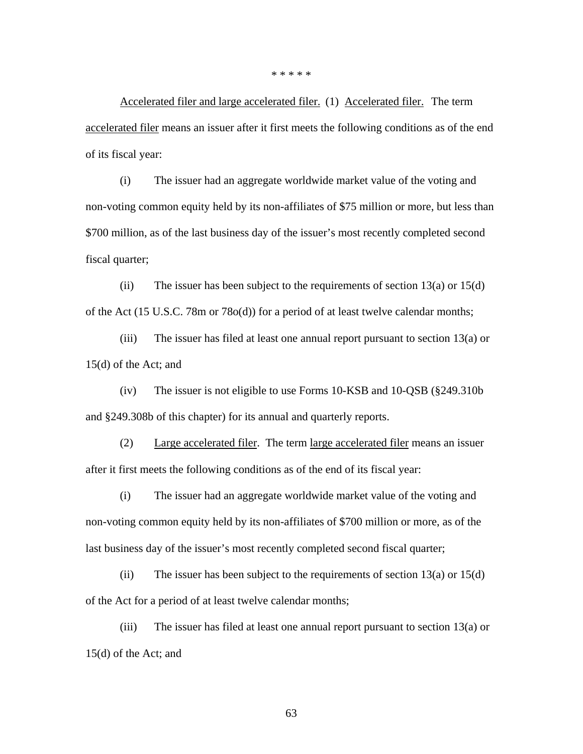\* \* \* \* \*

Accelerated filer and large accelerated filer. (1) Accelerated filer. The term accelerated filer means an issuer after it first meets the following conditions as of the end of its fiscal year:

(i) The issuer had an aggregate worldwide market value of the voting and non-voting common equity held by its non-affiliates of \$75 million or more, but less than \$700 million, as of the last business day of the issuer's most recently completed second fiscal quarter;

(ii) The issuer has been subject to the requirements of section  $13(a)$  or  $15(d)$ of the Act (15 U.S.C. 78m or 78o(d)) for a period of at least twelve calendar months;

(iii) The issuer has filed at least one annual report pursuant to section 13(a) or 15(d) of the Act; and

(iv) The issuer is not eligible to use Forms 10-KSB and 10-QSB (§249.310b and §249.308b of this chapter) for its annual and quarterly reports.

(2) Large accelerated filer. The term large accelerated filer means an issuer after it first meets the following conditions as of the end of its fiscal year:

(i) The issuer had an aggregate worldwide market value of the voting and non-voting common equity held by its non-affiliates of \$700 million or more, as of the last business day of the issuer's most recently completed second fiscal quarter;

(ii) The issuer has been subject to the requirements of section  $13(a)$  or  $15(d)$ of the Act for a period of at least twelve calendar months;

(iii) The issuer has filed at least one annual report pursuant to section 13(a) or 15(d) of the Act; and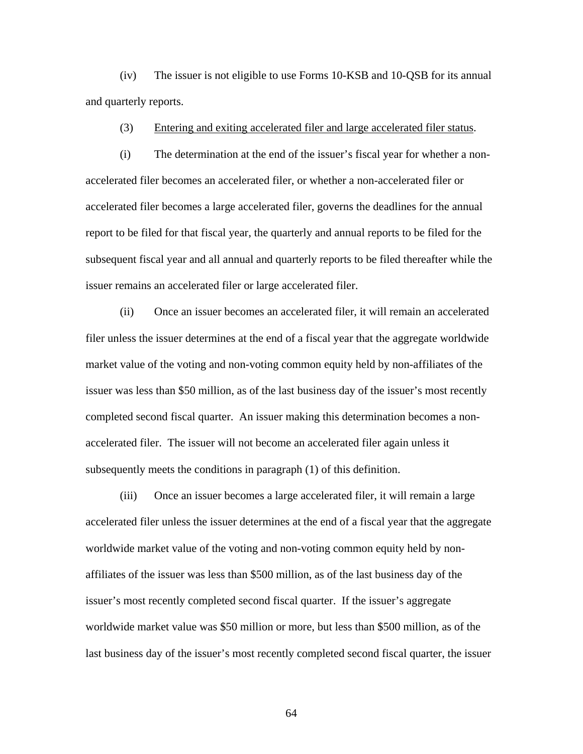(iv) The issuer is not eligible to use Forms 10-KSB and 10-QSB for its annual and quarterly reports.

(3) Entering and exiting accelerated filer and large accelerated filer status.

(i) The determination at the end of the issuer's fiscal year for whether a nonaccelerated filer becomes an accelerated filer, or whether a non-accelerated filer or accelerated filer becomes a large accelerated filer, governs the deadlines for the annual report to be filed for that fiscal year, the quarterly and annual reports to be filed for the subsequent fiscal year and all annual and quarterly reports to be filed thereafter while the issuer remains an accelerated filer or large accelerated filer.

(ii) Once an issuer becomes an accelerated filer, it will remain an accelerated filer unless the issuer determines at the end of a fiscal year that the aggregate worldwide market value of the voting and non-voting common equity held by non-affiliates of the issuer was less than \$50 million, as of the last business day of the issuer's most recently completed second fiscal quarter. An issuer making this determination becomes a nonaccelerated filer. The issuer will not become an accelerated filer again unless it subsequently meets the conditions in paragraph (1) of this definition.

(iii) Once an issuer becomes a large accelerated filer, it will remain a large accelerated filer unless the issuer determines at the end of a fiscal year that the aggregate worldwide market value of the voting and non-voting common equity held by nonaffiliates of the issuer was less than \$500 million, as of the last business day of the issuer's most recently completed second fiscal quarter. If the issuer's aggregate worldwide market value was \$50 million or more, but less than \$500 million, as of the last business day of the issuer's most recently completed second fiscal quarter, the issuer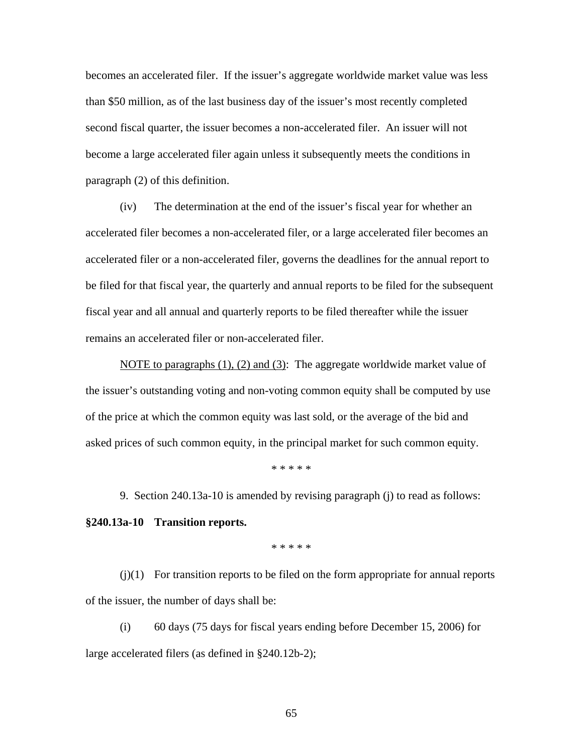becomes an accelerated filer. If the issuer's aggregate worldwide market value was less than \$50 million, as of the last business day of the issuer's most recently completed second fiscal quarter, the issuer becomes a non-accelerated filer. An issuer will not become a large accelerated filer again unless it subsequently meets the conditions in paragraph (2) of this definition.

(iv) The determination at the end of the issuer's fiscal year for whether an accelerated filer becomes a non-accelerated filer, or a large accelerated filer becomes an accelerated filer or a non-accelerated filer, governs the deadlines for the annual report to be filed for that fiscal year, the quarterly and annual reports to be filed for the subsequent fiscal year and all annual and quarterly reports to be filed thereafter while the issuer remains an accelerated filer or non-accelerated filer.

NOTE to paragraphs  $(1)$ ,  $(2)$  and  $(3)$ : The aggregate worldwide market value of the issuer's outstanding voting and non-voting common equity shall be computed by use of the price at which the common equity was last sold, or the average of the bid and asked prices of such common equity, in the principal market for such common equity.

\* \* \* \* \*

9. Section 240.13a-10 is amended by revising paragraph (j) to read as follows: **§240.13a-10 Transition reports.**

\* \* \* \* \*

 $(j)(1)$  For transition reports to be filed on the form appropriate for annual reports of the issuer, the number of days shall be:

(i) 60 days (75 days for fiscal years ending before December 15, 2006) for large accelerated filers (as defined in §240.12b-2);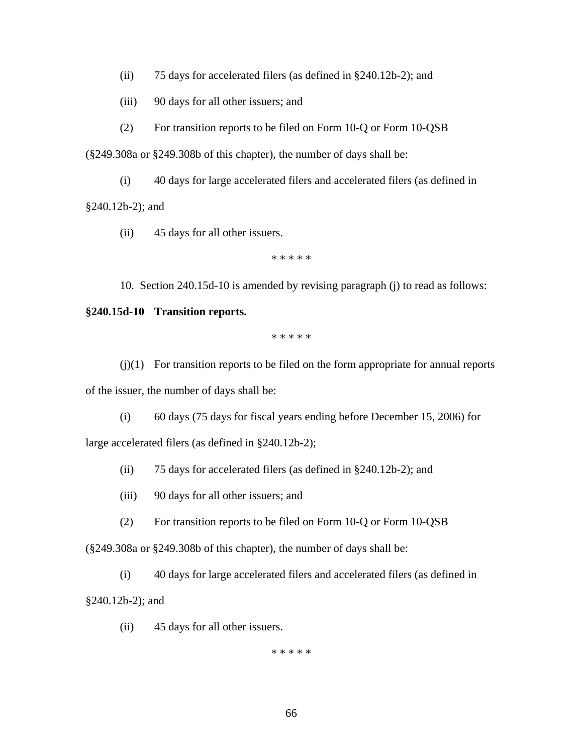(ii) 75 days for accelerated filers (as defined in §240.12b-2); and

(iii) 90 days for all other issuers; and

(2) For transition reports to be filed on Form 10-Q or Form 10-QSB

(§249.308a or §249.308b of this chapter), the number of days shall be:

(i) 40 days for large accelerated filers and accelerated filers (as defined in §240.12b-2); and

(ii) 45 days for all other issuers.

\* \* \* \* \*

10. Section 240.15d-10 is amended by revising paragraph (j) to read as follows:

## **§240.15d-10 Transition reports.**

\* \* \* \* \*

 $(j)(1)$  For transition reports to be filed on the form appropriate for annual reports of the issuer, the number of days shall be:

(i) 60 days (75 days for fiscal years ending before December 15, 2006) for large accelerated filers (as defined in §240.12b-2);

(ii) 75 days for accelerated filers (as defined in §240.12b-2); and

(iii) 90 days for all other issuers; and

(2) For transition reports to be filed on Form 10-Q or Form 10-QSB

(§249.308a or §249.308b of this chapter), the number of days shall be:

(i) 40 days for large accelerated filers and accelerated filers (as defined in §240.12b-2); and

(ii) 45 days for all other issuers.

\* \* \* \* \*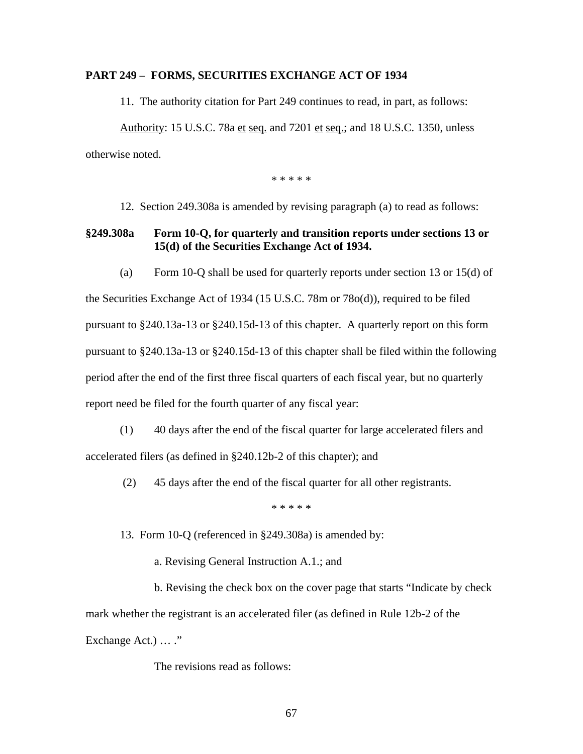### **PART 249 – FORMS, SECURITIES EXCHANGE ACT OF 1934**

11. The authority citation for Part 249 continues to read, in part, as follows:

Authority: 15 U.S.C. 78a et seq. and 7201 et seq.; and 18 U.S.C. 1350, unless otherwise noted.

\* \* \* \* \*

12. Section 249.308a is amended by revising paragraph (a) to read as follows:

# **§249.308a Form 10-Q, for quarterly and transition reports under sections 13 or 15(d) of the Securities Exchange Act of 1934.**

(a) Form 10-Q shall be used for quarterly reports under section 13 or 15(d) of the Securities Exchange Act of 1934 (15 U.S.C. 78m or 78o(d)), required to be filed pursuant to §240.13a-13 or §240.15d-13 of this chapter. A quarterly report on this form pursuant to §240.13a-13 or §240.15d-13 of this chapter shall be filed within the following period after the end of the first three fiscal quarters of each fiscal year, but no quarterly report need be filed for the fourth quarter of any fiscal year:

- (1) 40 days after the end of the fiscal quarter for large accelerated filers and accelerated filers (as defined in §240.12b-2 of this chapter); and
	- (2) 45 days after the end of the fiscal quarter for all other registrants.

\* \* \* \* \*

- 13. Form 10-Q (referenced in §249.308a) is amended by:
	- a. Revising General Instruction A.1.; and

b. Revising the check box on the cover page that starts "Indicate by check mark whether the registrant is an accelerated filer (as defined in Rule 12b-2 of the Exchange Act.) ... ."

The revisions read as follows: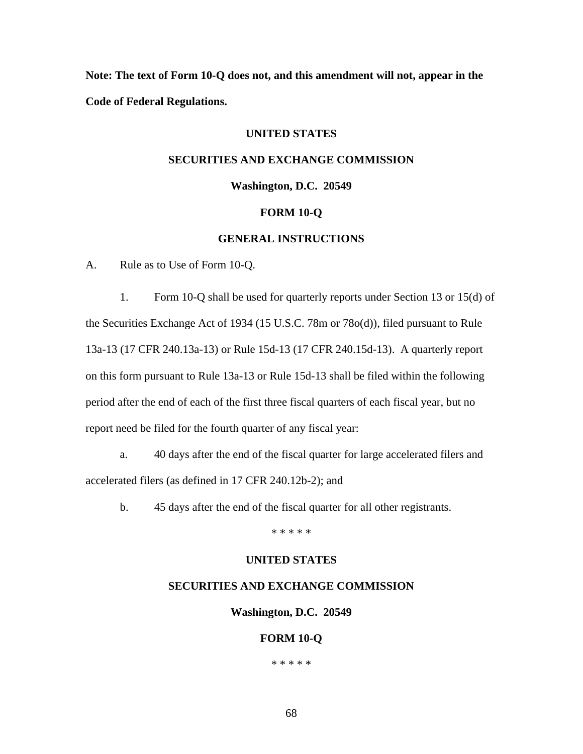**Note: The text of Form 10-Q does not, and this amendment will not, appear in the Code of Federal Regulations.** 

# **UNITED STATES**

# **SECURITIES AND EXCHANGE COMMISSION**

### **Washington, D.C. 20549**

### **FORM 10-Q**

### **GENERAL INSTRUCTIONS**

A. Rule as to Use of Form 10-Q.

1. Form 10-Q shall be used for quarterly reports under Section 13 or 15(d) of the Securities Exchange Act of 1934 (15 U.S.C. 78m or 78o(d)), filed pursuant to Rule 13a-13 (17 CFR 240.13a-13) or Rule 15d-13 (17 CFR 240.15d-13). A quarterly report on this form pursuant to Rule 13a-13 or Rule 15d-13 shall be filed within the following period after the end of each of the first three fiscal quarters of each fiscal year, but no report need be filed for the fourth quarter of any fiscal year:

a. 40 days after the end of the fiscal quarter for large accelerated filers and accelerated filers (as defined in 17 CFR 240.12b-2); and

b. 45 days after the end of the fiscal quarter for all other registrants.

\* \* \* \* \*

### **UNITED STATES**

### **SECURITIES AND EXCHANGE COMMISSION**

**Washington, D.C. 20549** 

### **FORM 10-Q**

\* \* \* \* \*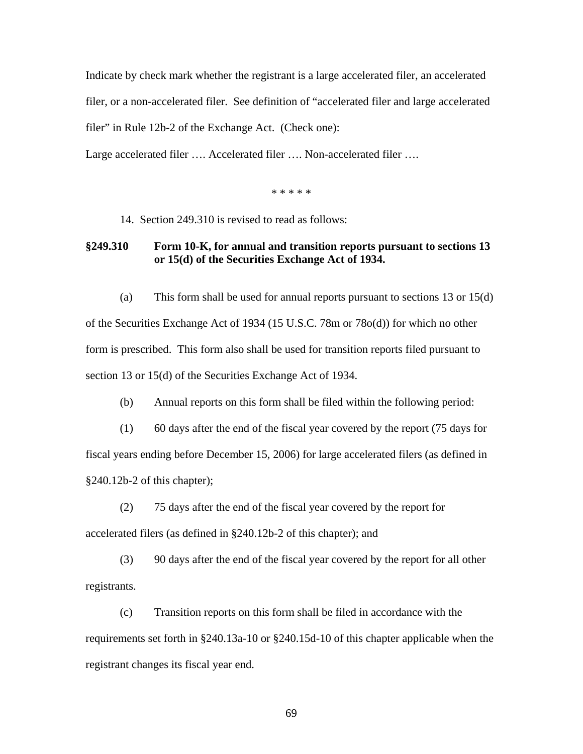Indicate by check mark whether the registrant is a large accelerated filer, an accelerated filer, or a non-accelerated filer. See definition of "accelerated filer and large accelerated filer" in Rule 12b-2 of the Exchange Act. (Check one):

Large accelerated filer …. Accelerated filer …. Non-accelerated filer ….

\* \* \* \* \*

14. Section 249.310 is revised to read as follows:

# **§249.310 Form 10-K, for annual and transition reports pursuant to sections 13 or 15(d) of the Securities Exchange Act of 1934.**

(a) This form shall be used for annual reports pursuant to sections 13 or 15(d) of the Securities Exchange Act of 1934 (15 U.S.C. 78m or 78o(d)) for which no other form is prescribed. This form also shall be used for transition reports filed pursuant to section 13 or 15(d) of the Securities Exchange Act of 1934.

(b) Annual reports on this form shall be filed within the following period:

(1) 60 days after the end of the fiscal year covered by the report (75 days for fiscal years ending before December 15, 2006) for large accelerated filers (as defined in §240.12b-2 of this chapter);

(2) 75 days after the end of the fiscal year covered by the report for accelerated filers (as defined in §240.12b-2 of this chapter); and

(3) 90 days after the end of the fiscal year covered by the report for all other registrants.

(c) Transition reports on this form shall be filed in accordance with the requirements set forth in §240.13a-10 or §240.15d-10 of this chapter applicable when the registrant changes its fiscal year end.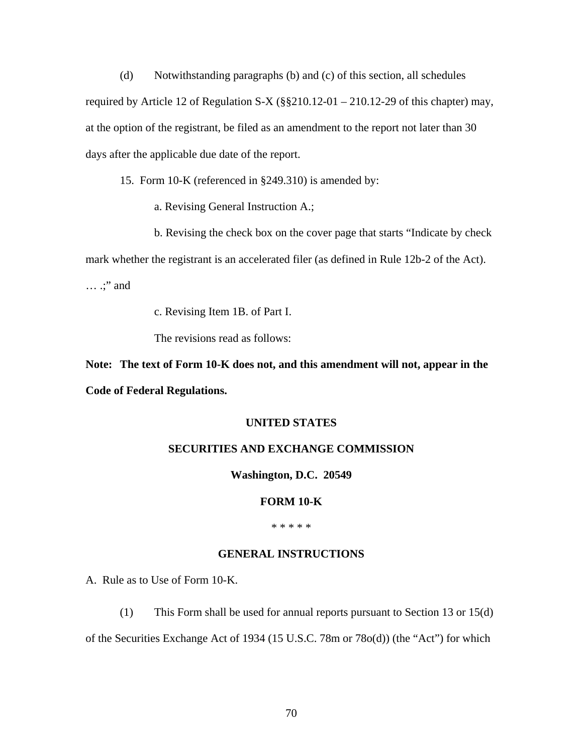(d) Notwithstanding paragraphs (b) and (c) of this section, all schedules required by Article 12 of Regulation S-X ( $\S$  $\S$ 210.12-01 – 210.12-29 of this chapter) may, at the option of the registrant, be filed as an amendment to the report not later than 30 days after the applicable due date of the report.

15. Form 10-K (referenced in §249.310) is amended by:

a. Revising General Instruction A.;

b. Revising the check box on the cover page that starts "Indicate by check mark whether the registrant is an accelerated filer (as defined in Rule 12b-2 of the Act). … .;" and

c. Revising Item 1B. of Part I.

The revisions read as follows:

**Note: The text of Form 10-K does not, and this amendment will not, appear in the Code of Federal Regulations.** 

### **UNITED STATES**

### **SECURITIES AND EXCHANGE COMMISSION**

### **Washington, D.C. 20549**

#### **FORM 10-K**

\* \* \* \* \*

### **GENERAL INSTRUCTIONS**

A. Rule as to Use of Form 10-K.

(1) This Form shall be used for annual reports pursuant to Section 13 or 15(d) of the Securities Exchange Act of 1934 (15 U.S.C. 78m or 78o(d)) (the "Act") for which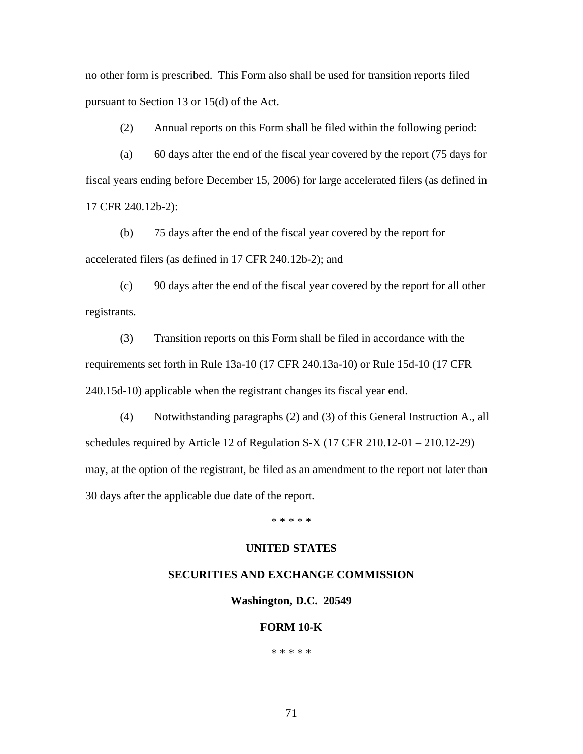no other form is prescribed. This Form also shall be used for transition reports filed pursuant to Section 13 or 15(d) of the Act.

(2) Annual reports on this Form shall be filed within the following period:

(a) 60 days after the end of the fiscal year covered by the report (75 days for fiscal years ending before December 15, 2006) for large accelerated filers (as defined in 17 CFR 240.12b-2):

(b) 75 days after the end of the fiscal year covered by the report for accelerated filers (as defined in 17 CFR 240.12b-2); and

(c) 90 days after the end of the fiscal year covered by the report for all other registrants.

(3) Transition reports on this Form shall be filed in accordance with the requirements set forth in Rule 13a-10 (17 CFR 240.13a-10) or Rule 15d-10 (17 CFR 240.15d-10) applicable when the registrant changes its fiscal year end.

(4) Notwithstanding paragraphs (2) and (3) of this General Instruction A., all schedules required by Article 12 of Regulation S-X  $(17 \text{ CFR } 210.12 - 01 - 210.12 - 29)$ may, at the option of the registrant, be filed as an amendment to the report not later than 30 days after the applicable due date of the report.

\* \* \* \* \*

## **UNITED STATES**

#### **SECURITIES AND EXCHANGE COMMISSION**

**Washington, D.C. 20549** 

### **FORM 10-K**

\* \* \* \* \*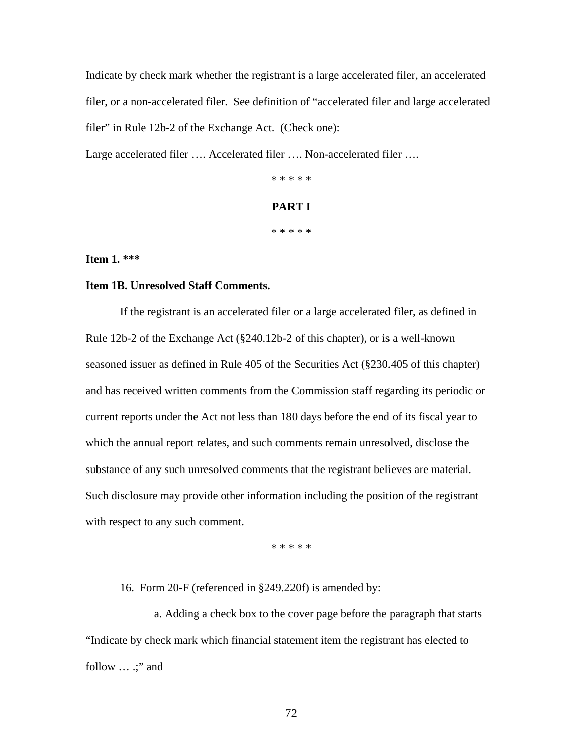Indicate by check mark whether the registrant is a large accelerated filer, an accelerated filer, or a non-accelerated filer. See definition of "accelerated filer and large accelerated filer" in Rule 12b-2 of the Exchange Act. (Check one):

Large accelerated filer …. Accelerated filer …. Non-accelerated filer ….

\* \* \* \* \*

# **PART I**

\* \* \* \* \*

**Item 1. \*\*\*** 

## **Item 1B. Unresolved Staff Comments.**

If the registrant is an accelerated filer or a large accelerated filer, as defined in Rule 12b-2 of the Exchange Act (§240.12b-2 of this chapter), or is a well-known seasoned issuer as defined in Rule 405 of the Securities Act (§230.405 of this chapter) and has received written comments from the Commission staff regarding its periodic or current reports under the Act not less than 180 days before the end of its fiscal year to which the annual report relates, and such comments remain unresolved, disclose the substance of any such unresolved comments that the registrant believes are material. Such disclosure may provide other information including the position of the registrant with respect to any such comment.

\* \* \* \* \*

16. Form 20-F (referenced in §249.220f) is amended by:

a. Adding a check box to the cover page before the paragraph that starts "Indicate by check mark which financial statement item the registrant has elected to follow ... .;" and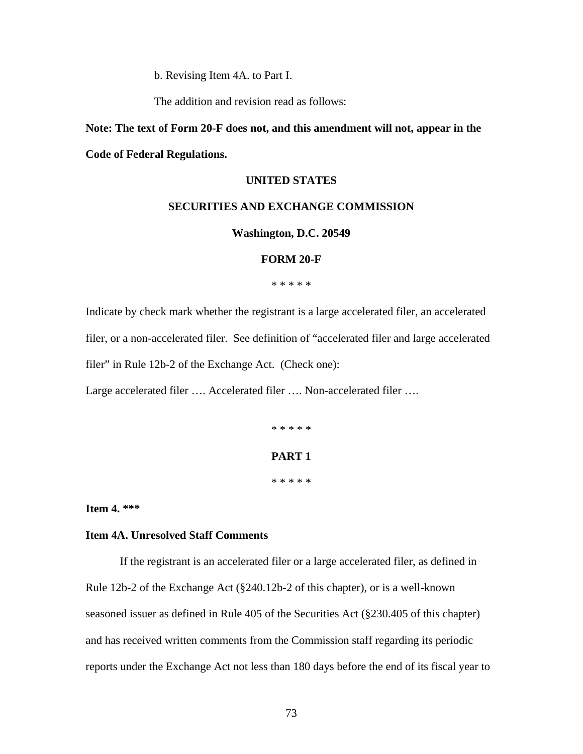b. Revising Item 4A. to Part I.

The addition and revision read as follows:

# **Note: The text of Form 20-F does not, and this amendment will not, appear in the Code of Federal Regulations.**

# **UNITED STATES**

### **SECURITIES AND EXCHANGE COMMISSION**

#### **Washington, D.C. 20549**

## **FORM 20-F**

\* \* \* \* \*

Indicate by check mark whether the registrant is a large accelerated filer, an accelerated filer, or a non-accelerated filer. See definition of "accelerated filer and large accelerated filer" in Rule 12b-2 of the Exchange Act. (Check one):

Large accelerated filer …. Accelerated filer …. Non-accelerated filer ….

\* \* \* \* \*

# **PART 1**

\* \* \* \* \*

**Item 4. \*\*\*** 

# **Item 4A. Unresolved Staff Comments**

If the registrant is an accelerated filer or a large accelerated filer, as defined in Rule 12b-2 of the Exchange Act (§240.12b-2 of this chapter), or is a well-known seasoned issuer as defined in Rule 405 of the Securities Act (§230.405 of this chapter) and has received written comments from the Commission staff regarding its periodic reports under the Exchange Act not less than 180 days before the end of its fiscal year to